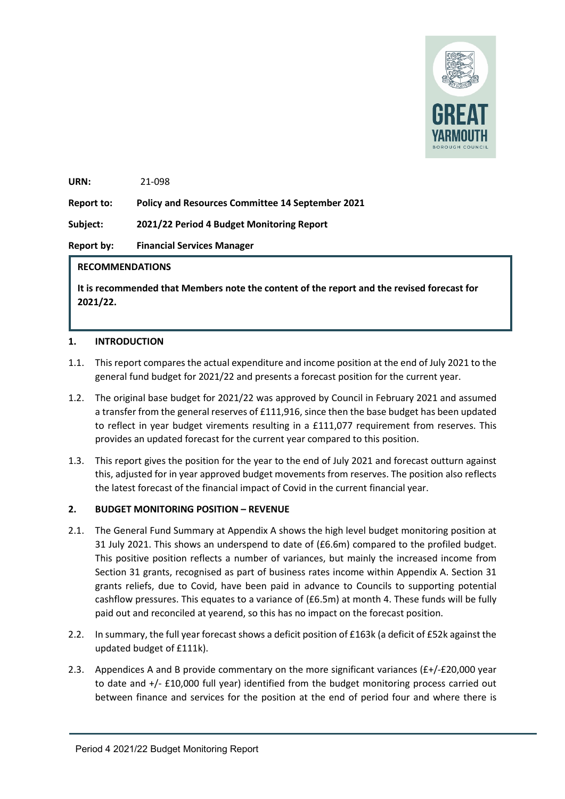

**URN:**  21-098

**Report to: Policy and Resources Committee 14 September 2021** 

**Subject: 2021/22 Period 4 Budget Monitoring Report**

**Report by: Financial Services Manager**

# **RECOMMENDATIONS**

**It is recommended that Members note the content of the report and the revised forecast for 2021/22.** 

# **1. INTRODUCTION**

- 1.1. This report compares the actual expenditure and income position at the end of July 2021 to the general fund budget for 2021/22 and presents a forecast position for the current year.
- 1.2. The original base budget for 2021/22 was approved by Council in February 2021 and assumed a transfer from the general reserves of £111,916, since then the base budget has been updated to reflect in year budget virements resulting in a £111,077 requirement from reserves. This provides an updated forecast for the current year compared to this position.
- 1.3. This report gives the position for the year to the end of July 2021 and forecast outturn against this, adjusted for in year approved budget movements from reserves. The position also reflects the latest forecast of the financial impact of Covid in the current financial year.

# **2. BUDGET MONITORING POSITION – REVENUE**

- 2.1. The General Fund Summary at Appendix A shows the high level budget monitoring position at 31 July 2021. This shows an underspend to date of (£6.6m) compared to the profiled budget. This positive position reflects a number of variances, but mainly the increased income from Section 31 grants, recognised as part of business rates income within Appendix A. Section 31 grants reliefs, due to Covid, have been paid in advance to Councils to supporting potential cashflow pressures. This equates to a variance of (£6.5m) at month 4. These funds will be fully paid out and reconciled at yearend, so this has no impact on the forecast position.
- 2.2. In summary, the full year forecast shows a deficit position of £163k (a deficit of £52k against the updated budget of £111k).
- 2.3. Appendices A and B provide commentary on the more significant variances  $(f+/-20,000$  year to date and +/- £10,000 full year) identified from the budget monitoring process carried out between finance and services for the position at the end of period four and where there is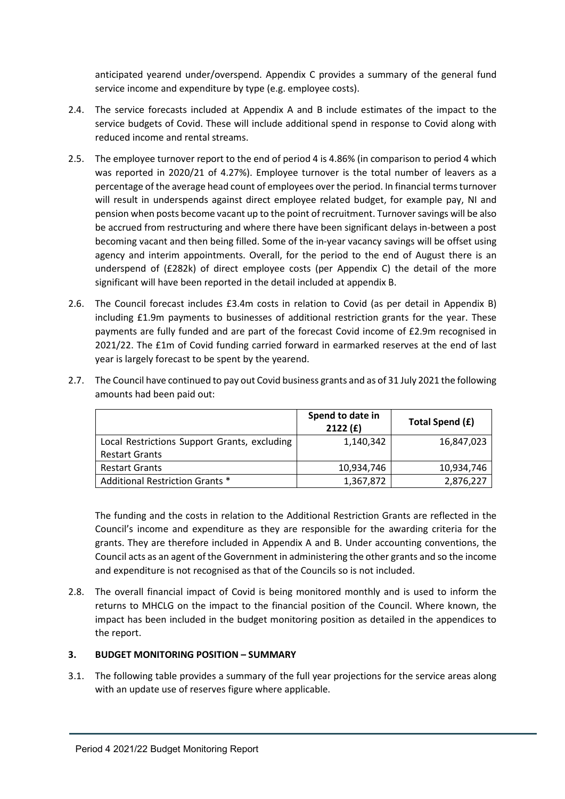anticipated yearend under/overspend. Appendix C provides a summary of the general fund service income and expenditure by type (e.g. employee costs).

- 2.4. The service forecasts included at Appendix A and B include estimates of the impact to the service budgets of Covid. These will include additional spend in response to Covid along with reduced income and rental streams.
- 2.5. The employee turnover report to the end of period 4 is 4.86% (in comparison to period 4 which was reported in 2020/21 of 4.27%). Employee turnover is the total number of leavers as a percentage of the average head count of employees over the period. In financial terms turnover will result in underspends against direct employee related budget, for example pay, NI and pension when posts become vacant up to the point of recruitment. Turnover savings will be also be accrued from restructuring and where there have been significant delays in-between a post becoming vacant and then being filled. Some of the in-year vacancy savings will be offset using agency and interim appointments. Overall, for the period to the end of August there is an underspend of (£282k) of direct employee costs (per Appendix C) the detail of the more significant will have been reported in the detail included at appendix B.
- 2.6. The Council forecast includes £3.4m costs in relation to Covid (as per detail in Appendix B) including £1.9m payments to businesses of additional restriction grants for the year. These payments are fully funded and are part of the forecast Covid income of £2.9m recognised in 2021/22. The £1m of Covid funding carried forward in earmarked reserves at the end of last year is largely forecast to be spent by the yearend.

|                                              | Spend to date in<br>2122(f) | Total Spend (£) |
|----------------------------------------------|-----------------------------|-----------------|
| Local Restrictions Support Grants, excluding | 1,140,342                   | 16,847,023      |
| <b>Restart Grants</b>                        |                             |                 |
| <b>Restart Grants</b>                        | 10,934,746                  | 10,934,746      |
| Additional Restriction Grants *              | 1,367,872                   | 2,876,227       |

2.7. The Council have continued to pay out Covid business grants and as of 31 July 2021 the following amounts had been paid out:

The funding and the costs in relation to the Additional Restriction Grants are reflected in the Council's income and expenditure as they are responsible for the awarding criteria for the grants. They are therefore included in Appendix A and B. Under accounting conventions, the Council acts as an agent of the Government in administering the other grants and so the income and expenditure is not recognised as that of the Councils so is not included.

2.8. The overall financial impact of Covid is being monitored monthly and is used to inform the returns to MHCLG on the impact to the financial position of the Council. Where known, the impact has been included in the budget monitoring position as detailed in the appendices to the report.

# **3. BUDGET MONITORING POSITION – SUMMARY**

3.1. The following table provides a summary of the full year projections for the service areas along with an update use of reserves figure where applicable.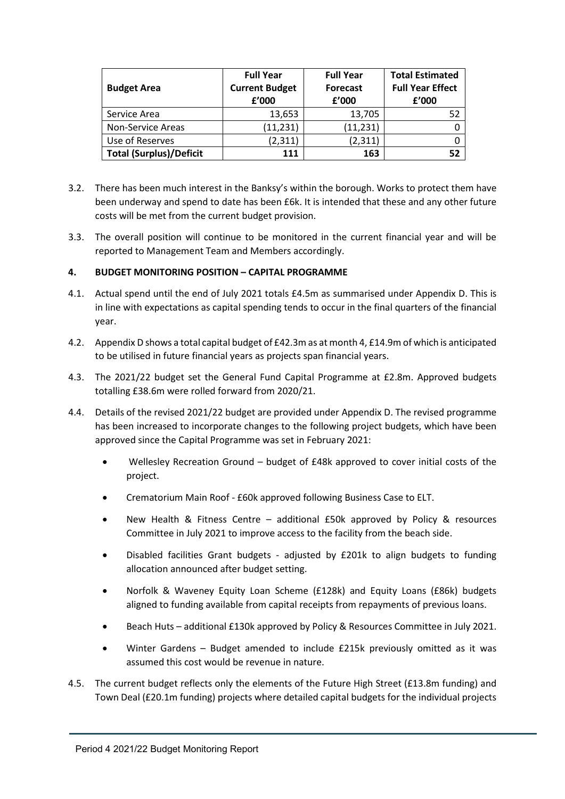| <b>Budget Area</b>             | <b>Full Year</b><br><b>Current Budget</b><br>f'000 | <b>Full Year</b><br><b>Forecast</b><br>f'000 | <b>Total Estimated</b><br><b>Full Year Effect</b><br>f'000 |  |
|--------------------------------|----------------------------------------------------|----------------------------------------------|------------------------------------------------------------|--|
| Service Area                   | 13,653                                             | 13,705                                       | 52                                                         |  |
| Non-Service Areas              | (11, 231)                                          | (11, 231)                                    |                                                            |  |
| Use of Reserves                | (2,311)                                            | (2,311)                                      |                                                            |  |
| <b>Total (Surplus)/Deficit</b> | 111                                                | 163                                          | 52                                                         |  |

- 3.2. There has been much interest in the Banksy's within the borough. Works to protect them have been underway and spend to date has been £6k. It is intended that these and any other future costs will be met from the current budget provision.
- 3.3. The overall position will continue to be monitored in the current financial year and will be reported to Management Team and Members accordingly.

# **4. BUDGET MONITORING POSITION – CAPITAL PROGRAMME**

- 4.1. Actual spend until the end of July 2021 totals £4.5m as summarised under Appendix D. This is in line with expectations as capital spending tends to occur in the final quarters of the financial year.
- 4.2. Appendix D shows a total capital budget of £42.3m as at month 4, £14.9m of which is anticipated to be utilised in future financial years as projects span financial years.
- 4.3. The 2021/22 budget set the General Fund Capital Programme at £2.8m. Approved budgets totalling £38.6m were rolled forward from 2020/21.
- 4.4. Details of the revised 2021/22 budget are provided under Appendix D. The revised programme has been increased to incorporate changes to the following project budgets, which have been approved since the Capital Programme was set in February 2021:
	- Wellesley Recreation Ground budget of £48k approved to cover initial costs of the project.
	- Crematorium Main Roof £60k approved following Business Case to ELT.
	- New Health & Fitness Centre additional £50k approved by Policy & resources Committee in July 2021 to improve access to the facility from the beach side.
	- Disabled facilities Grant budgets adjusted by £201k to align budgets to funding allocation announced after budget setting.
	- Norfolk & Waveney Equity Loan Scheme (£128k) and Equity Loans (£86k) budgets aligned to funding available from capital receipts from repayments of previous loans.
	- Beach Huts additional £130k approved by Policy & Resources Committee in July 2021.
	- Winter Gardens Budget amended to include £215k previously omitted as it was assumed this cost would be revenue in nature.
- 4.5. The current budget reflects only the elements of the Future High Street (£13.8m funding) and Town Deal (£20.1m funding) projects where detailed capital budgets for the individual projects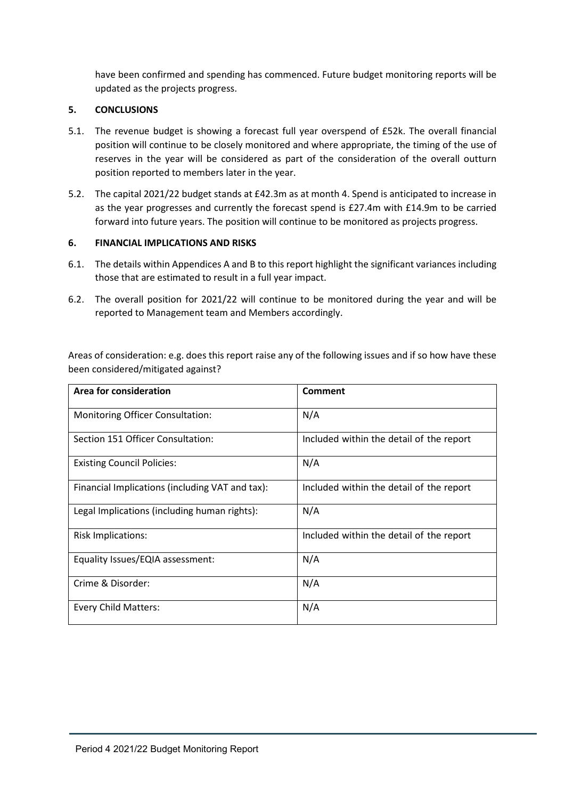have been confirmed and spending has commenced. Future budget monitoring reports will be updated as the projects progress.

# **5. CONCLUSIONS**

- 5.1. The revenue budget is showing a forecast full year overspend of £52k. The overall financial position will continue to be closely monitored and where appropriate, the timing of the use of reserves in the year will be considered as part of the consideration of the overall outturn position reported to members later in the year.
- 5.2. The capital 2021/22 budget stands at £42.3m as at month 4. Spend is anticipated to increase in as the year progresses and currently the forecast spend is £27.4m with £14.9m to be carried forward into future years. The position will continue to be monitored as projects progress.

# **6. FINANCIAL IMPLICATIONS AND RISKS**

- 6.1. The details within Appendices A and B to this report highlight the significant variances including those that are estimated to result in a full year impact.
- 6.2. The overall position for 2021/22 will continue to be monitored during the year and will be reported to Management team and Members accordingly.

Areas of consideration: e.g. does this report raise any of the following issues and if so how have these been considered/mitigated against?

| Area for consideration                          | Comment                                  |
|-------------------------------------------------|------------------------------------------|
| <b>Monitoring Officer Consultation:</b>         | N/A                                      |
| Section 151 Officer Consultation:               | Included within the detail of the report |
| <b>Existing Council Policies:</b>               | N/A                                      |
| Financial Implications (including VAT and tax): | Included within the detail of the report |
| Legal Implications (including human rights):    | N/A                                      |
| <b>Risk Implications:</b>                       | Included within the detail of the report |
| Equality Issues/EQIA assessment:                | N/A                                      |
| Crime & Disorder:                               | N/A                                      |
| Every Child Matters:                            | N/A                                      |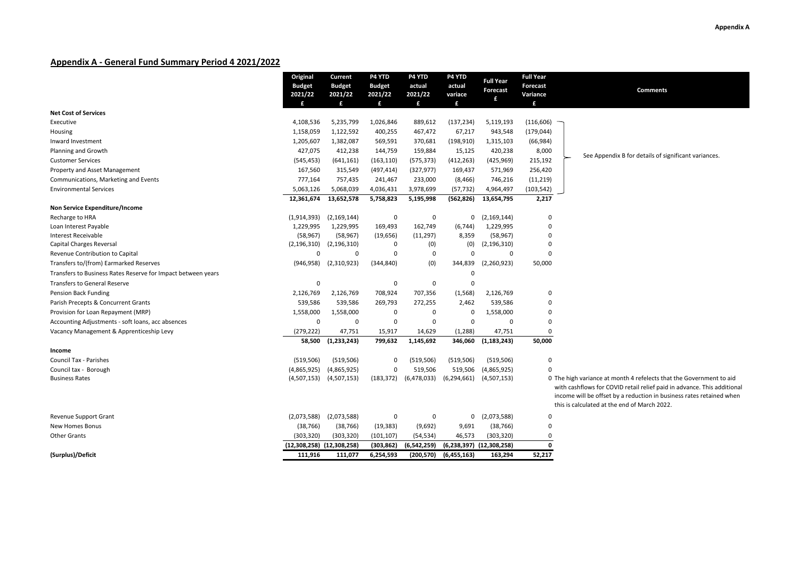## **Appendix A - General Fund Summary Period 4 2021/2022**

|                                                              | Original                  | Current                     | P4 YTD        | P4 YTD      | P4 YTD        | <b>Full Year</b>             | <b>Full Year</b> |                                                                         |
|--------------------------------------------------------------|---------------------------|-----------------------------|---------------|-------------|---------------|------------------------------|------------------|-------------------------------------------------------------------------|
|                                                              | <b>Budget</b>             | <b>Budget</b>               | <b>Budget</b> | actual      | actual        | Forecast                     | <b>Forecast</b>  | <b>Comments</b>                                                         |
|                                                              | 2021/22                   | 2021/22                     | 2021/22       | 2021/22     | variace       | £                            | Variance         |                                                                         |
|                                                              | £                         | £                           | £             | £           | £             |                              | £                |                                                                         |
| <b>Net Cost of Services</b>                                  |                           |                             |               |             |               |                              |                  |                                                                         |
| Executive                                                    | 4,108,536                 | 5,235,799                   | 1,026,846     | 889,612     | (137, 234)    | 5,119,193                    | (116, 606)       |                                                                         |
| Housing                                                      | 1,158,059                 | 1,122,592                   | 400,255       | 467,472     | 67,217        | 943,548                      | (179, 044)       |                                                                         |
| Inward Investment                                            | 1,205,607                 | 1,382,087                   | 569,591       | 370,681     | (198, 910)    | 1,315,103                    | (66, 984)        |                                                                         |
| <b>Planning and Growth</b>                                   | 427,075                   | 412,238                     | 144,759       | 159,884     | 15,125        | 420,238                      | 8,000            | See Appendix B for details of significant variances.                    |
| <b>Customer Services</b>                                     | (545, 453)                | (641, 161)                  | (163, 110)    | (575, 373)  | (412, 263)    | (425, 969)                   | 215,192          |                                                                         |
| <b>Property and Asset Management</b>                         | 167,560                   | 315,549                     | (497, 414)    | (327, 977)  | 169,437       | 571,969                      | 256,420          |                                                                         |
| Communications, Marketing and Events                         | 777,164                   | 757,435                     | 241,467       | 233,000     | (8, 466)      | 746,216                      | (11, 219)        |                                                                         |
| <b>Environmental Services</b>                                | 5,063,126                 | 5,068,039                   | 4,036,431     | 3,978,699   | (57, 732)     | 4,964,497                    | (103, 542)       |                                                                         |
|                                                              | 12,361,674                | 13,652,578                  | 5,758,823     | 5,195,998   | (562,826)     | 13,654,795                   | 2,217            |                                                                         |
| Non Service Expenditure/Income                               |                           |                             |               |             |               |                              |                  |                                                                         |
| Recharge to HRA                                              | (1,914,393)               | (2, 169, 144)               | 0             | 0           | 0             | (2, 169, 144)                | 0                |                                                                         |
| Loan Interest Payable                                        | 1,229,995                 | 1,229,995                   | 169,493       | 162,749     | (6, 744)      | 1,229,995                    | 0                |                                                                         |
| <b>Interest Receivable</b>                                   | (58, 967)                 | (58, 967)                   | (19, 656)     | (11, 297)   | 8,359         | (58, 967)                    | 0                |                                                                         |
| Capital Charges Reversal                                     | (2, 196, 310)             | (2, 196, 310)               | 0             | (0)         | (0)           | (2, 196, 310)                | $\Omega$         |                                                                         |
| Revenue Contribution to Capital                              | $\Omega$                  | 0                           | $\Omega$      | $\mathbf 0$ | $\Omega$      | $\Omega$                     | $\Omega$         |                                                                         |
| Transfers to/(from) Earmarked Reserves                       |                           | $(946,958)$ $(2,310,923)$   | (344, 840)    | (0)         | 344,839       | (2,260,923)                  | 50,000           |                                                                         |
| Transfers to Business Rates Reserve for Impact between years |                           |                             |               |             | 0             |                              |                  |                                                                         |
| <b>Transfers to General Reserve</b>                          | $\mathbf 0$               |                             | 0             | $\mathbf 0$ | 0             |                              |                  |                                                                         |
| Pension Back Funding                                         | 2,126,769                 | 2,126,769                   | 708,924       | 707,356     | (1, 568)      | 2,126,769                    | 0                |                                                                         |
| Parish Precepts & Concurrent Grants                          | 539,586                   | 539,586                     | 269,793       | 272,255     | 2,462         | 539,586                      | $\Omega$         |                                                                         |
| Provision for Loan Repayment (MRP)                           | 1,558,000                 | 1,558,000                   | 0             | 0           | 0             | 1,558,000                    | 0                |                                                                         |
| Accounting Adjustments - soft loans, acc absences            | $\mathbf 0$               | $\Omega$                    | 0             | $\mathbf 0$ | $\mathbf 0$   | $\Omega$                     | $\Omega$         |                                                                         |
| Vacancy Management & Apprenticeship Levy                     | (279, 222)                | 47,751                      | 15,917        | 14,629      | (1, 288)      | 47,751                       | 0                |                                                                         |
|                                                              | 58,500                    | (1, 233, 243)               | 799,632       | 1,145,692   | 346,060       | (1, 183, 243)                | 50,000           |                                                                         |
| Income                                                       |                           |                             |               |             |               |                              |                  |                                                                         |
| <b>Council Tax - Parishes</b>                                | (519, 506)                | (519, 506)                  | 0             | (519, 506)  | (519, 506)    | (519, 506)                   | 0                |                                                                         |
| Council tax - Borough                                        | (4,865,925)               | (4,865,925)                 | 0             | 519,506     | 519,506       | (4,865,925)                  | U                |                                                                         |
| <b>Business Rates</b>                                        |                           | $(4,507,153)$ $(4,507,153)$ | (183, 372)    | (6,478,033) | (6,294,661)   | (4,507,153)                  |                  | 0 The high variance at month 4 refelects that the Government to aid     |
|                                                              |                           |                             |               |             |               |                              |                  | with cashflows for COVID retail relief paid in advance. This additional |
|                                                              |                           |                             |               |             |               |                              |                  | income will be offset by a reduction in business rates retained when    |
|                                                              |                           |                             |               |             |               |                              |                  | this is calculated at the end of March 2022.                            |
| <b>Revenue Support Grant</b>                                 | (2,073,588)               | (2,073,588)                 | 0             | 0           | $\mathbf 0$   | (2,073,588)                  | $\Omega$         |                                                                         |
| <b>New Homes Bonus</b>                                       | (38, 766)                 | (38, 766)                   | (19, 383)     | (9,692)     | 9,691         | (38, 766)                    | $\Omega$         |                                                                         |
| <b>Other Grants</b>                                          | (303, 320)                | (303, 320)                  | (101, 107)    | (54, 534)   | 46,573        | (303, 320)                   | 0                |                                                                         |
|                                                              | (12,308,258) (12,308,258) |                             | (303, 862)    | (6,542,259) |               | $(6,238,397)$ $(12,308,258)$ | $\Omega$         |                                                                         |
| (Surplus)/Deficit                                            | 111,916                   | 111,077                     | 6,254,593     | (200, 570)  | (6, 455, 163) | 163,294                      | 52,217           |                                                                         |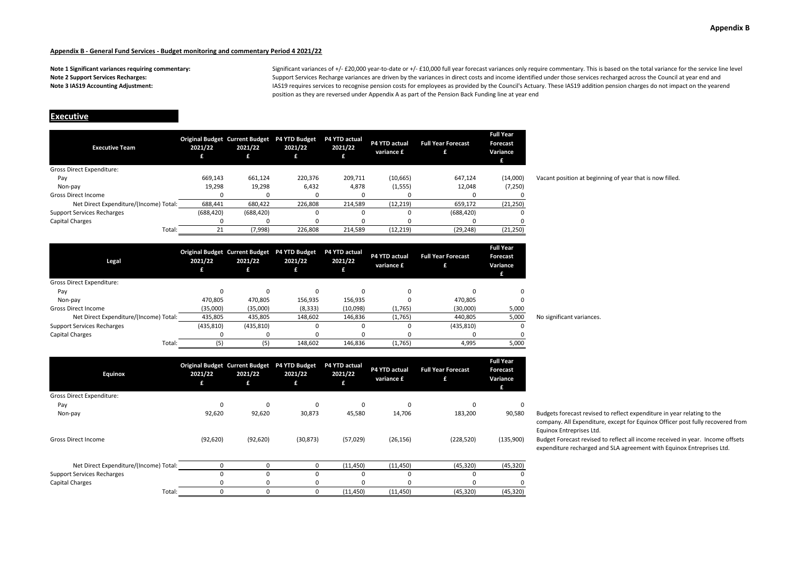**Note 1 Significant variances requiring commentary: Note 2 Support Services Recharges: Note 3 IAS19 Accounting Adjustment:**

Significant variances of +/- £20,000 year-to-date or +/- £10,000 full year forecast variances only require commentary. This is based on the total variance for the service line level Support Services Recharge variances are driven by the variances in direct costs and income identified under those services recharged across the Council at year end and IAS19 requires services to recognise pension costs for employees as provided by the Council's Actuary. These IAS19 addition pension charges do not impact on the yearend position as they are reversed under Appendix A as part of the Pension Back Funding line at year end

## **Executive**

| <b>Executive Team</b>                  | 2021/22<br>£ | <b>Original Budget Current Budget</b><br>2021/22<br>£ | P4 YTD Budget<br>2021/22 | <b>P4 YTD actual</b><br>2021/22 | P4 YTD actual<br>variance £ | <b>Full Year Forecast</b> | <b>Full Year</b><br>Forecast<br>Variance |
|----------------------------------------|--------------|-------------------------------------------------------|--------------------------|---------------------------------|-----------------------------|---------------------------|------------------------------------------|
| <b>Gross Direct Expenditure:</b>       |              |                                                       |                          |                                 |                             |                           |                                          |
| Pay                                    | 669.143      | 661.124                                               | 220.376                  | 209,711                         | (10, 665)                   | 647.124                   | (14,000)                                 |
| Non-pay                                | 19,298       | 19,298                                                | 6,432                    | 4,878                           | (1, 555)                    | 12,048                    | (7,250)                                  |
| <b>Gross Direct Income</b>             |              |                                                       |                          |                                 |                             |                           | 0                                        |
| Net Direct Expenditure/(Income) Total: | 688,441      | 680,422                                               | 226,808                  | 214,589                         | (12, 219)                   | 659,172                   | (21, 250)                                |
| <b>Support Services Recharges</b>      | (688, 420)   | (688, 420)                                            |                          |                                 |                             | (688, 420)                | 0                                        |
| <b>Capital Charges</b>                 | O            |                                                       |                          |                                 |                             |                           | 0                                        |
| Total:                                 | 21           | (7,998)                                               | 226.808                  | 214.589                         | (12, 219)                   | (29, 248)                 | (21, 250)                                |

Vacant position at beginning of year that is now filled.

| Legal                                  | 2021/22    | 2021/22    | Original Budget Current Budget P4 YTD Budget<br>2021/22<br>£ | P4 YTD actual<br>2021/22 | P4 YTD actual<br>variance £ | <b>Full Year Forecast</b> | <b>Full Year</b><br><b>Forecast</b><br>Variance<br>£ |                           |
|----------------------------------------|------------|------------|--------------------------------------------------------------|--------------------------|-----------------------------|---------------------------|------------------------------------------------------|---------------------------|
| Gross Direct Expenditure:              |            |            |                                                              |                          |                             |                           |                                                      |                           |
| Pay                                    |            | $\Omega$   |                                                              |                          |                             |                           |                                                      |                           |
| Non-pay                                | 470.805    | 470,805    | 156,935                                                      | 156,935                  |                             | 470,805                   |                                                      |                           |
| <b>Gross Direct Income</b>             | (35,000)   | (35,000)   | (8, 333)                                                     | (10,098)                 | (1,765)                     | (30,000)                  | 5,000                                                |                           |
| Net Direct Expenditure/(Income) Total: | 435,805    | 435,805    | 148,602                                                      | 146,836                  | (1,765)                     | 440,805                   | 5,000                                                | No significant variances. |
| <b>Support Services Recharges</b>      | (435, 810) | (435, 810) |                                                              |                          |                             | (435, 810)                | 0                                                    |                           |
| Capital Charges                        |            | $\Omega$   |                                                              |                          |                             |                           |                                                      |                           |
| Total:                                 | (5)        | (5)        | 148,602                                                      | 146,836                  | (1,765)                     | 4,995                     | 5,000                                                |                           |

| Equinox                                | 2021/22<br>£ | <b>Original Budget Current Budget</b><br>2021/22<br>£ | P4 YTD Budget<br>2021/22<br>£ | P4 YTD actual<br>2021/22<br>£ | P4 YTD actual<br>variance £ | <b>Full Year Forecast</b><br>£ | <b>Full Year</b><br><b>Forecast</b><br>Variance<br>£ |
|----------------------------------------|--------------|-------------------------------------------------------|-------------------------------|-------------------------------|-----------------------------|--------------------------------|------------------------------------------------------|
| Gross Direct Expenditure:              |              |                                                       |                               |                               |                             |                                |                                                      |
| Pay                                    | $\Omega$     | 0                                                     | 0                             | 0                             | 0                           | 0                              | 0                                                    |
| Non-pay                                | 92,620       | 92,620                                                | 30,873                        | 45,580                        | 14,706                      | 183,200                        | 90,580                                               |
| <b>Gross Direct Income</b>             | (92, 620)    | (92, 620)                                             | (30, 873)                     | (57, 029)                     | (26, 156)                   | (228, 520)                     | (135,900)                                            |
| Net Direct Expenditure/(Income) Total: | C            | $\Omega$                                              | 0                             | (11, 450)                     | (11, 450)                   | (45, 320)                      | (45, 320)                                            |
| <b>Support Services Recharges</b>      | C            | O                                                     | 0                             | <sup>0</sup>                  | $\Omega$                    | 0                              | 0                                                    |
| <b>Capital Charges</b>                 |              |                                                       | 0                             | n                             |                             | ŋ                              | 0                                                    |
| Total:                                 | $\Omega$     | 0                                                     | 0                             | (11, 450)                     | (11, 450)                   | (45, 320)                      | (45, 320)                                            |

Budgets forecast revised to reflect expenditure in year relating to the company. All Expenditure, except for Equinox Officer post fully recovered from Equinox Entreprises Ltd.

Budget Forecast revised to reflect all income received in year. Income offsets expenditure recharged and SLA agreement with Equinox Entreprises Ltd.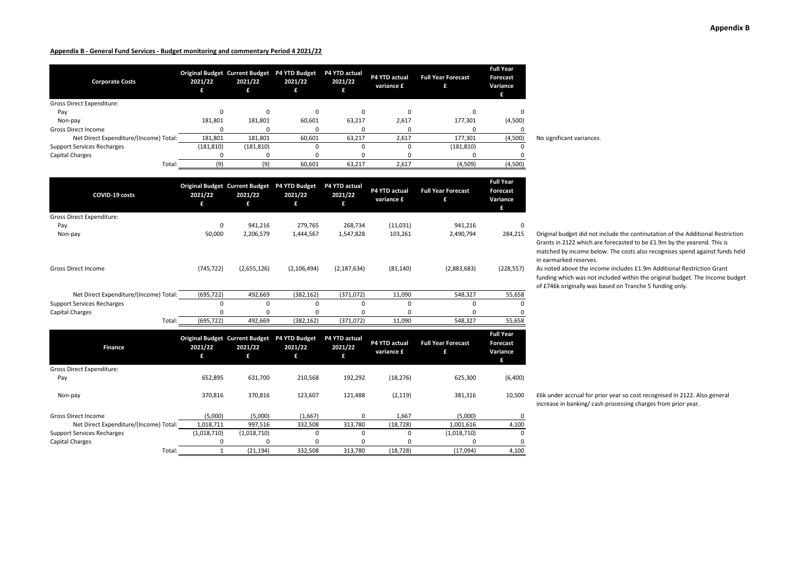| <b>Corporate Costs</b>                 | 2021/22    | <b>Original Budget Current Budget</b><br>2021/22 | <b>P4 YTD Budget</b><br>2021/22<br>£ | <b>P4 YTD actual</b><br>2021/22 | P4 YTD actual<br>variance £ | <b>Full Year Forecast</b> | <b>Full Year</b><br><b>Forecast</b><br>Variance<br>£ |                           |
|----------------------------------------|------------|--------------------------------------------------|--------------------------------------|---------------------------------|-----------------------------|---------------------------|------------------------------------------------------|---------------------------|
| Gross Direct Expenditure:              |            |                                                  |                                      |                                 |                             |                           |                                                      |                           |
| Pay                                    |            |                                                  |                                      |                                 |                             |                           |                                                      |                           |
| Non-pay                                | 181,801    | 181,801                                          | 60,601                               | 63,217                          | 2,617                       | 177,301                   | (4,500)                                              |                           |
| <b>Gross Direct Income</b>             |            |                                                  |                                      |                                 |                             |                           |                                                      |                           |
| Net Direct Expenditure/(Income) Total: | 181,801    | 181,801                                          | 60,601                               | 63,217                          | 2,617                       | 177,301                   | (4,500)                                              | No significant variances. |
| <b>Support Services Recharges</b>      | (181, 810) | (181, 810)                                       |                                      |                                 |                             | (181, 810)                |                                                      |                           |
| Capital Charges                        |            |                                                  |                                      |                                 |                             |                           |                                                      |                           |
| Total:                                 | (9)        |                                                  | 60,601                               | 63,217                          | 2,617                       | (4,509)                   | (4,500)                                              |                           |

| COVID-19 costs                         | 2021/22<br>£ | <b>Original Budget Current Budget</b><br>2021/22<br>£ | P4 YTD Budget<br>2021/22<br>£ | P4 YTD actual<br>2021/22<br>£ | P4 YTD actual<br>variance £ | <b>Full Year Forecast</b><br>£ | <b>Full Year</b><br><b>Forecast</b><br>Variance |
|----------------------------------------|--------------|-------------------------------------------------------|-------------------------------|-------------------------------|-----------------------------|--------------------------------|-------------------------------------------------|
| <b>Gross Direct Expenditure:</b>       |              |                                                       |                               |                               |                             |                                |                                                 |
| Pay                                    | 0            | 941,216                                               | 279,765                       | 268,734                       | (11,031)                    | 941,216                        | 0                                               |
| Non-pay                                | 50,000       | 2,206,579                                             | 1,444,567                     | 1,547,828                     | 103,261                     | 2,490,794                      | 284,215                                         |
| <b>Gross Direct Income</b>             | (745, 722)   | (2,655,126)                                           | (2, 106, 494)                 | (2, 187, 634)                 | (81, 140)                   | (2,883,683)                    | (228, 557)                                      |
| Net Direct Expenditure/(Income) Total: | (695, 722)   | 492,669                                               | (382, 162)                    | (371, 072)                    | 11,090                      | 548,327                        | 55,658                                          |
| <b>Support Services Recharges</b>      |              | 0                                                     | 0                             | 0                             | $\Omega$                    | $\Omega$                       | 0                                               |
| Capital Charges                        |              | <sup>0</sup>                                          |                               |                               | n                           |                                | 0                                               |
| Total:                                 | (695, 722)   | 492,669                                               | (382, 162)                    | (371,072)                     | 11,090                      | 548,327                        | 55,658                                          |

| <b>Finance</b>                         | 2021/22<br>£ | <b>Original Budget Current Budget</b><br>2021/22<br>£ | <b>P4 YTD Budget</b><br>2021/22<br>£. | P4 YTD actual<br>2021/22<br>£ | P4 YTD actual<br>variance £ | <b>Full Year Forecast</b><br>£ | <b>Full Year</b><br><b>Forecast</b><br>Variance |
|----------------------------------------|--------------|-------------------------------------------------------|---------------------------------------|-------------------------------|-----------------------------|--------------------------------|-------------------------------------------------|
| <b>Gross Direct Expenditure:</b>       |              |                                                       |                                       |                               |                             |                                |                                                 |
| Pay                                    | 652.895      | 631.700                                               | 210,568                               | 192,292                       | (18, 276)                   | 625,300                        | (6,400)                                         |
| Non-pay                                | 370.816      | 370.816                                               | 123,607                               | 121.488                       | (2, 119)                    | 381,316                        | 10,500                                          |
| <b>Gross Direct Income</b>             | (5,000)      | (5,000)                                               | (1,667)                               | 0                             | 1,667                       | (5,000)                        | 0                                               |
| Net Direct Expenditure/(Income) Total: | 1,018,711    | 997,516                                               | 332,508                               | 313.780                       | (18, 728)                   | 1,001,616                      | 4,100                                           |
| <b>Support Services Recharges</b>      | (1,018,710)  | (1,018,710)                                           | $\Omega$                              | 0                             | $\Omega$                    | (1,018,710)                    | 0                                               |
| <b>Capital Charges</b>                 | $\Omega$     | $\Omega$                                              | 0                                     | 0                             | <sup>0</sup>                |                                | 0                                               |
| Total:                                 |              | (21, 194)                                             | 332,508                               | 313.780                       | (18, 728)                   | (17,094)                       | 4,100                                           |

Original budget did not include the continutation of the Additional Restriction

Grants in 2122 which are forecasted to be £1.9m by the yearend. This is matched by income below. The costs also recognises spend against funds held in earmarked reserves.

As noted above the income includes £1.9m Additional Restriction Grant funding which was not included within the original budget. The Income budget of £746k originally was based on Tranche 5 funding only.

£6k under accrual for prior year so cost recognised in 2122. Also general increase in banking/ cash processing charges from prior year.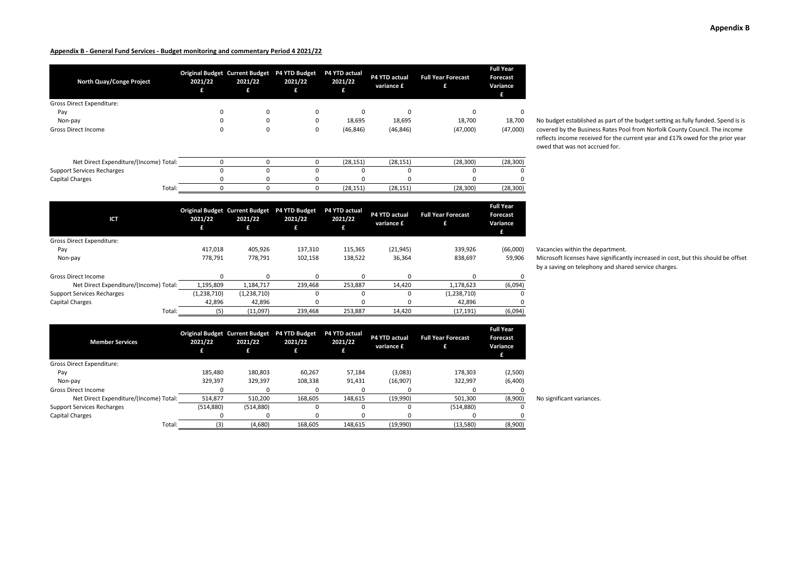# **Appendix B**

#### **Appendix B - General Fund Services - Budget monitoring and commentary Period 4 2021/22**

| North Quay/Conge Project               | 2021/22<br>£ | 2021/22<br>£  | Original Budget Current Budget P4 YTD Budget<br>2021/22<br>£ | P4 YTD actual<br>2021/22<br>£ | P4 YTD actual<br>variance £ | <b>Full Year Forecast</b><br>£ | Full Year<br>Forecast<br>Variance<br>£ |                                                                                                          |
|----------------------------------------|--------------|---------------|--------------------------------------------------------------|-------------------------------|-----------------------------|--------------------------------|----------------------------------------|----------------------------------------------------------------------------------------------------------|
| <b>Gross Direct Expenditure:</b>       |              |               |                                                              |                               |                             |                                |                                        |                                                                                                          |
| Pay                                    | $\Omega$     | 0             | 0                                                            | 0                             | 0                           | 0                              | 0                                      |                                                                                                          |
| Non-pay                                |              | 0             | 0                                                            | 18,695                        | 18,695                      | 18,700                         | 18,700                                 | No budget established as part of t                                                                       |
| <b>Gross Direct Income</b>             | 0            | $\mathbf 0$   | 0                                                            | (46, 846)                     | (46, 846)                   | (47,000)                       | (47,000)                               | covered by the Business Rates Po<br>reflects income received for the c<br>owed that was not accrued for. |
| Net Direct Expenditure/(Income) Total: | $\Omega$     | $\mathbf 0$   | 0                                                            | (28, 151)                     | (28, 151)                   | (28, 300)                      | (28, 300)                              |                                                                                                          |
| <b>Support Services Recharges</b>      | $\Omega$     | $\mathbf 0$   | $\mathbf 0$                                                  | 0                             | 0                           | 0                              |                                        |                                                                                                          |
| Capital Charges                        | $\Omega$     | 0             | 0                                                            | $\Omega$                      | 0                           | 0                              |                                        |                                                                                                          |
| Total:                                 | $\mathbf 0$  | $\mathbf 0$   | $\mathbf 0$                                                  | (28, 151)                     | (28, 151)                   | (28, 300)                      | (28, 300)                              |                                                                                                          |
|                                        |              |               |                                                              |                               |                             |                                | <b>Full Year</b>                       |                                                                                                          |
| <b>ICT</b>                             | 2021/22<br>£ | 2021/22<br>£  | Original Budget Current Budget P4 YTD Budget<br>2021/22<br>£ | P4 YTD actual<br>2021/22<br>£ | P4 YTD actual<br>variance £ | <b>Full Year Forecast</b><br>£ | Forecast<br>Variance<br>£              |                                                                                                          |
| Gross Direct Expenditure:              |              |               |                                                              |                               |                             |                                |                                        |                                                                                                          |
| Pay                                    | 417,018      | 405,926       | 137,310                                                      | 115,365                       | (21, 945)                   | 339,926                        | (66,000)                               | Vacancies within the department.                                                                         |
| Non-pay                                | 778,791      | 778,791       | 102,158                                                      | 138,522                       | 36,364                      | 838,697                        | 59,906                                 | Microsoft licenses have significan<br>by a saving on telephony and shar                                  |
| <b>Gross Direct Income</b>             | 0            | $\mathbf 0$   | 0                                                            | $\mathbf 0$                   | 0                           | 0                              | 0                                      |                                                                                                          |
| Net Direct Expenditure/(Income) Total: | 1,195,809    | 1,184,717     | 239,468                                                      | 253,887                       | 14,420                      | 1,178,623                      | (6,094)                                |                                                                                                          |
| <b>Support Services Recharges</b>      | (1,238,710)  | (1, 238, 710) | $\Omega$                                                     | $\Omega$                      | $\Omega$                    | (1,238,710)                    | $\Omega$                               |                                                                                                          |
| <b>Capital Charges</b>                 | 42,896       | 42,896        | 0                                                            | $\Omega$                      | 0                           | 42,896                         | O                                      |                                                                                                          |
| Total:                                 | (5)          | (11,097)      | 239,468                                                      | 253,887                       | 14,420                      | (17, 191)                      | (6,094)                                |                                                                                                          |
| <b>Member Services</b>                 | 2021/22      | 2021/22       | Original Budget Current Budget P4 YTD Budget<br>2021/22      | P4 YTD actual<br>2021/22      | P4 YTD actual               | <b>Full Year Forecast</b>      | <b>Full Year</b><br><b>Forecast</b>    |                                                                                                          |
|                                        | £            | £             | £                                                            | £                             | variance £                  | £                              | Variance<br>£                          |                                                                                                          |
| Gross Direct Expenditure:              |              |               |                                                              |                               |                             |                                |                                        |                                                                                                          |
| Pay                                    | 185,480      | 180,803       | 60,267                                                       | 57,184                        | (3,083)                     | 178,303                        | (2,500)                                |                                                                                                          |
| Non-pay                                | 329,397      | 329,397       | 108,338                                                      | 91,431                        | (16,907)                    | 322,997                        | (6,400)                                |                                                                                                          |
| <b>Gross Direct Income</b>             | $\Omega$     | $\Omega$      | 0                                                            | 0                             | 0                           | 0                              | $\Omega$                               |                                                                                                          |
| Net Direct Expenditure/(Income) Total: | 514,877      | 510,200       | 168,605                                                      | 148,615                       | (19,990)                    | 501,300                        | (8,900)                                | No significant variances.                                                                                |

Support Services Recharges (514,880) (514,880) (514,880) (514,880) (514,880) (514,880) (514,880) (514,880) (514,880) (514,880) (514,880) (514,880) (514,880) (514,880) (514,880) (514,880) (514,880) (514,880) (514,880) (514, Capital Charges 0 0 0 0 0 0 0

Total: (3) (4,680) 168,605 148,615 (19,990) (13,580) (8,900)

established as part of the budget setting as fully funded. Spend is is the Business Rates Pool from Norfolk County Council. The income ome received for the current year and £17k owed for the prior year was not accrued for.

icenses have significantly increased in cost, but this should be offset on telephony and shared service charges.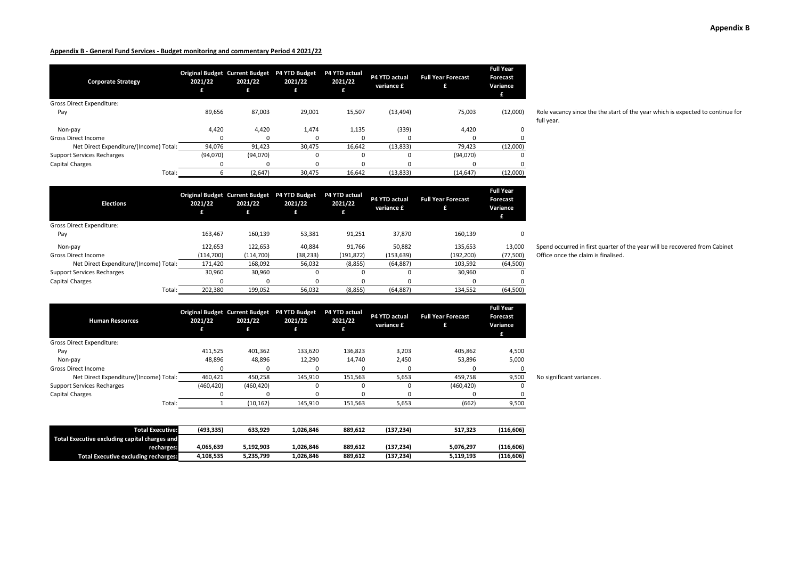**2021/22**

**Human Resources**

| <b>Corporate Strategy</b>              | 2021/22<br>£ | Original Budget Current Budget P4 YTD Budget<br>2021/22<br>£ | 2021/22<br>79, | P4 YTD actual<br>2021/22<br>£ | P4 YTD actual<br>variance £ | <b>Full Year Forecast</b><br>£ | <b>Full Year</b><br>Forecast<br>Variance<br>£ |
|----------------------------------------|--------------|--------------------------------------------------------------|----------------|-------------------------------|-----------------------------|--------------------------------|-----------------------------------------------|
| Gross Direct Expenditure:              |              |                                                              |                |                               |                             |                                |                                               |
| Pay                                    | 89,656       | 87,003                                                       | 29,001         | 15,507                        | (13, 494)                   | 75,003                         | (12,000)                                      |
| Non-pay                                | 4,420        | 4,420                                                        | 1,474          | 1,135                         | (339)                       | 4,420                          | 0                                             |
| <b>Gross Direct Income</b>             |              | 0                                                            |                |                               | 0                           |                                |                                               |
| Net Direct Expenditure/(Income) Total: | 94,076       | 91,423                                                       | 30.475         | 16,642                        | (13, 833)                   | 79,423                         | (12,000)                                      |
| <b>Support Services Recharges</b>      | (94.070)     | (94,070)                                                     |                |                               | $\Omega$                    | (94,070)                       | $\Omega$                                      |
| Capital Charges                        |              | $\Omega$                                                     |                |                               | 0                           |                                |                                               |
| Total:                                 |              | (2,647)                                                      | 30,475         | 16.642                        | (13, 833)                   | (14, 647)                      | (12,000)                                      |

| <b>Elections</b>                       | 2021/22    | <b>Original Budget Current Budget</b><br>2021/22<br>£ | <b>P4 YTD Budget</b><br>2021/22 | P4 YTD actual<br>2021/22<br>£ | P4 YTD actual<br>variance £ | <b>Full Year Forecast</b><br>£ | <b>Full Year</b><br>Forecast<br>Variance |
|----------------------------------------|------------|-------------------------------------------------------|---------------------------------|-------------------------------|-----------------------------|--------------------------------|------------------------------------------|
| <b>Gross Direct Expenditure:</b>       |            |                                                       |                                 |                               |                             |                                |                                          |
| Pay                                    | 163.467    | 160,139                                               | 53,381                          | 91,251                        | 37,870                      | 160,139                        | 0                                        |
| Non-pay                                | 122,653    | 122,653                                               | 40.884                          | 91.766                        | 50,882                      | 135,653                        | 13,000                                   |
| Gross Direct Income                    | (114, 700) | (114,700)                                             | (38, 233)                       | (191, 872)                    | (153, 639)                  | (192, 200)                     | (77, 500)                                |
| Net Direct Expenditure/(Income) Total: | 171.420    | 168.092                                               | 56,032                          | (8, 855)                      | (64, 887)                   | 103.592                        | (64, 500)                                |
| <b>Support Services Recharges</b>      | 30.960     | 30.960                                                | 0                               | 0                             | $\Omega$                    | 30.960                         | 0                                        |
| Capital Charges                        | $\Omega$   | $\Omega$                                              | $\Omega$                        |                               | $\Omega$                    |                                | 0                                        |
| Total:                                 | 202.380    | 199.052                                               | 56,032                          | (8, 855)                      | (64, 887)                   | 134.552                        | (64,500)                                 |

**Original Budget Current Budget P4 YTD Budget P4 YTD actual** 

**2021/22**

| Spend occurred in first quarter of the year will be recovered from Cabinet |
|----------------------------------------------------------------------------|
| Office once the claim is finalised.                                        |

| Human Resources                               | 2021/22    | ZUZ 1/22   | 2021/22   | 2021/22 | variance £ |            | Variance<br>£ |                           |
|-----------------------------------------------|------------|------------|-----------|---------|------------|------------|---------------|---------------------------|
| <b>Gross Direct Expenditure:</b>              |            |            |           |         |            |            |               |                           |
| Pay                                           | 411,525    | 401,362    | 133,620   | 136,823 | 3,203      | 405,862    | 4,500         |                           |
| Non-pay                                       | 48,896     | 48,896     | 12,290    | 14,740  | 2,450      | 53,896     | 5,000         |                           |
| <b>Gross Direct Income</b>                    |            |            |           |         |            |            |               |                           |
| Net Direct Expenditure/(Income) Total:        | 460,421    | 450,258    | 145,910   | 151,563 | 5,653      | 459,758    | 9,500         | No significant variances. |
| <b>Support Services Recharges</b>             | (460, 420) | (460, 420) |           |         |            | (460, 420) | O             |                           |
| Capital Charges                               |            |            | 0         |         |            |            |               |                           |
| Total:                                        |            | (10, 162)  | 145,910   | 151,563 | 5,653      | (662)      | 9,500         |                           |
|                                               |            |            |           |         |            |            |               |                           |
| <b>Total Executive:</b>                       | (493, 335) | 633,929    | 1,026,846 | 889,612 | (137, 234) | 517,323    | (116, 606)    |                           |
| Total Executive excluding capital charges and |            |            |           |         |            |            |               |                           |
| recharges:                                    | 4,065,639  | 5,192,903  | 1,026,846 | 889,612 | (137, 234) | 5,076,297  | (116, 606)    |                           |
| <b>Total Executive excluding recharges:</b>   | 4,108,535  | 5,235,799  | 1,026,846 | 889,612 | (137, 234) | 5,119,193  | (116, 606)    |                           |

**2021/22**

**2021/22**

**P4 YTD actual Full Year Forecast** 

**Full Year Forecast**  Role vacancy since the the start of the year which is expected to continue for full year.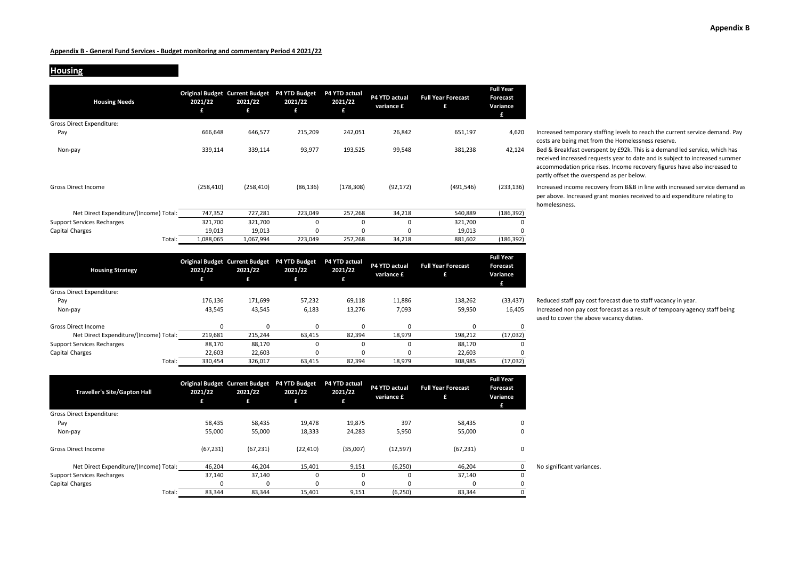## **Housing**

| <b>Housing Needs</b>                   | 2021/22<br>£ | <b>Original Budget Current Budget</b><br>2021/22<br>£ | P4 YTD Budget<br>2021/22<br>£ | P4 YTD actual<br>2021/22<br>£ | P4 YTD actual<br>variance £ | <b>Full Year Forecast</b><br>£ | <b>Full Year</b><br>Forecast<br>Variance<br>£ |
|----------------------------------------|--------------|-------------------------------------------------------|-------------------------------|-------------------------------|-----------------------------|--------------------------------|-----------------------------------------------|
| Gross Direct Expenditure:              |              |                                                       |                               |                               |                             |                                |                                               |
| Pay                                    | 666,648      | 646,577                                               | 215,209                       | 242,051                       | 26,842                      | 651,197                        | 4,620                                         |
| Non-pay                                | 339,114      | 339,114                                               | 93,977                        | 193,525                       | 99,548                      | 381,238                        | 42,124                                        |
| <b>Gross Direct Income</b>             | (258, 410)   | (258, 410)                                            | (86, 136)                     | (178, 308)                    | (92, 172)                   | (491, 546)                     | (233, 136)                                    |
| Net Direct Expenditure/(Income) Total: | 747,352      | 727,281                                               | 223,049                       | 257,268                       | 34,218                      | 540,889                        | (186, 392)                                    |
| <b>Support Services Recharges</b>      | 321,700      | 321,700                                               | $\Omega$                      | $\Omega$                      | 0                           | 321,700                        | 0                                             |
| Capital Charges                        | 19,013       | 19,013                                                | O                             | $\Omega$                      | 0                           | 19,013                         | 0                                             |
| Total:                                 | 1,088,065    | 1,067,994                                             | 223,049                       | 257,268                       | 34,218                      | 881,602                        | (186, 392)                                    |

| <b>Housing Strategy</b>                | 2021/22<br>£ | <b>Original Budget Current Budget</b><br>2021/22<br>£ | <b>P4 YTD Budget</b><br>2021/22<br>£ | P4 YTD actual<br>2021/22<br>£ | <b>P4 YTD actual</b><br>variance £ | <b>Full Year Forecast</b><br>£ | <b>Full Year</b><br>Forecast<br>Variance<br>£ |
|----------------------------------------|--------------|-------------------------------------------------------|--------------------------------------|-------------------------------|------------------------------------|--------------------------------|-----------------------------------------------|
| <b>Gross Direct Expenditure:</b>       |              |                                                       |                                      |                               |                                    |                                |                                               |
| Pay                                    | 176.136      | 171.699                                               | 57,232                               | 69.118                        | 11.886                             | 138,262                        | (33, 437)                                     |
| Non-pay                                | 43,545       | 43,545                                                | 6,183                                | 13,276                        | 7,093                              | 59,950                         | 16,405                                        |
| <b>Gross Direct Income</b>             |              |                                                       | ŋ                                    |                               | O                                  | $\Omega$                       | 0                                             |
| Net Direct Expenditure/(Income) Total: | 219,681      | 215,244                                               | 63,415                               | 82,394                        | 18,979                             | 198,212                        | (17,032)                                      |
| <b>Support Services Recharges</b>      | 88.170       | 88,170                                                | $\Omega$                             |                               | O                                  | 88,170                         | 0                                             |
| Capital Charges                        | 22,603       | 22,603                                                | ŋ                                    |                               |                                    | 22,603                         | 0                                             |
| Total:                                 | 330.454      | 326.017                                               | 63.415                               | 82.394                        | 18.979                             | 308.985                        | (17,032)                                      |

| <b>Traveller's Site/Gapton Hall</b>    | 2021/22   | <b>Original Budget Current Budget</b><br>2021/22 | <b>P4 YTD Budget</b><br>2021/22<br>£ | P4 YTD actual<br>2021/22 | P4 YTD actual<br>variance £ | <b>Full Year Forecast</b><br>£ | <b>Full Year</b><br><b>Forecast</b><br>Variance<br>£ |                           |
|----------------------------------------|-----------|--------------------------------------------------|--------------------------------------|--------------------------|-----------------------------|--------------------------------|------------------------------------------------------|---------------------------|
| <b>Gross Direct Expenditure:</b>       |           |                                                  |                                      |                          |                             |                                |                                                      |                           |
| Pay                                    | 58,435    | 58,435                                           | 19,478                               | 19,875                   | 397                         | 58,435                         | 0                                                    |                           |
| Non-pay                                | 55,000    | 55,000                                           | 18,333                               | 24,283                   | 5,950                       | 55,000                         | 0                                                    |                           |
| <b>Gross Direct Income</b>             | (67, 231) | (67, 231)                                        | (22, 410)                            | (35,007)                 | (12, 597)                   | (67, 231)                      | 0                                                    |                           |
| Net Direct Expenditure/(Income) Total: | 46,204    | 46,204                                           | 15,401                               | 9,151                    | (6, 250)                    | 46,204                         | 0                                                    | No significant variances. |
| <b>Support Services Recharges</b>      | 37,140    | 37,140                                           | $\Omega$                             | $\Omega$                 |                             | 37,140                         | 0                                                    |                           |
| Capital Charges                        |           | $\Omega$                                         |                                      |                          |                             | n                              |                                                      |                           |
| Total:                                 | 83,344    | 83,344                                           | 15,401                               | 9,151                    | (6, 250)                    | 83,344                         |                                                      |                           |

Increased temporary staffing levels to reach the current service demand. Pay costs are being met from the Homelessness reserve.

Bed & Breakfast overspent by £92k. This is a demand led service, which has received increased requests year to date and is subject to increased summer accommodation price rises. Income recovery figures have also increased to partly offset the overspend as per below.

Increased income recovery from B&B in line with increased service demand as per above. Increased grant monies received to aid expenditure relating to homelessness.

Reduced staff pay cost forecast due to staff vacancy in year. Increased non pay cost forecast as a result of tempoary agency staff being used to cover the above vacancy duties.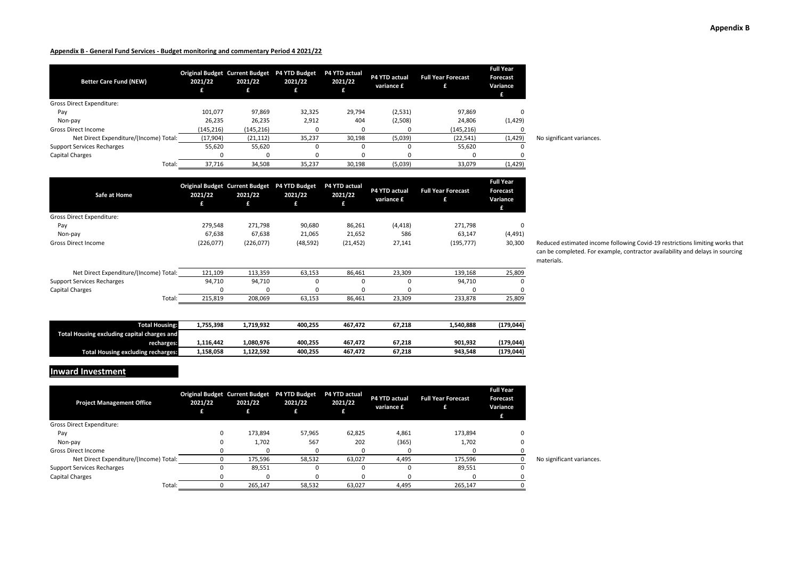| <b>Better Care Fund (NEW)</b>          | 2021/22   | <b>Original Budget Current Budget</b><br>2021/22 | <b>P4 YTD Budget</b><br>2021/22<br>£ | <b>P4 YTD actual</b><br>2021/22 | P4 YTD actual<br>variance £ | <b>Full Year Forecast</b> | <b>Full Year</b><br><b>Forecast</b><br>Variance<br>£ |                           |
|----------------------------------------|-----------|--------------------------------------------------|--------------------------------------|---------------------------------|-----------------------------|---------------------------|------------------------------------------------------|---------------------------|
| <b>Gross Direct Expenditure:</b>       |           |                                                  |                                      |                                 |                             |                           |                                                      |                           |
| Pay                                    | 101.077   | 97,869                                           | 32,325                               | 29,794                          | (2,531)                     | 97,869                    |                                                      |                           |
| Non-pay                                | 26,235    | 26,235                                           | 2,912                                | 404                             | (2,508)                     | 24,806                    | (1,429)                                              |                           |
| <b>Gross Direct Income</b>             | (145,216) | (145, 216)                                       |                                      |                                 |                             | (145, 216)                |                                                      |                           |
| Net Direct Expenditure/(Income) Total: | (17,904)  | (21, 112)                                        | 35,237                               | 30,198                          | (5,039)                     | (22, 541)                 | (1, 429)                                             | No significant variances. |
| <b>Support Services Recharges</b>      | 55,620    | 55,620                                           |                                      |                                 |                             | 55,620                    |                                                      |                           |
| <b>Capital Charges</b>                 |           | $\Omega$                                         |                                      |                                 |                             |                           |                                                      |                           |
| Total:                                 | 37,716    | 34,508                                           | 35,237                               | 30,198                          | (5,039)                     | 33,079                    | (1, 429)                                             |                           |

| Safe at Home                           | 2021/22   | <b>Original Budget Current Budget</b><br>2021/22<br>£ | P4 YTD Budget<br>2021/22<br>£ | P4 YTD actual<br>2021/22<br>£ | P4 YTD actual<br>variance £ | <b>Full Year Forecast</b><br>£ | <b>Full Year</b><br>Forecast<br>Variance |
|----------------------------------------|-----------|-------------------------------------------------------|-------------------------------|-------------------------------|-----------------------------|--------------------------------|------------------------------------------|
| <b>Gross Direct Expenditure:</b>       |           |                                                       |                               |                               |                             |                                |                                          |
| Pay                                    | 279.548   | 271.798                                               | 90.680                        | 86,261                        | (4, 418)                    | 271.798                        | 0                                        |
| Non-pay                                | 67,638    | 67,638                                                | 21,065                        | 21,652                        | 586                         | 63,147                         | (4, 491)                                 |
| <b>Gross Direct Income</b>             | (226,077) | (226,077)                                             | (48, 592)                     | (21, 452)                     | 27,141                      | (195, 777)                     | 30,300                                   |
| Net Direct Expenditure/(Income) Total: | 121,109   | 113,359                                               | 63,153                        | 86.461                        | 23,309                      | 139,168                        | 25,809                                   |
| <b>Support Services Recharges</b>      | 94,710    | 94,710                                                | $\Omega$                      |                               | $\Omega$                    | 94,710                         | 0                                        |
| <b>Capital Charges</b>                 | 0         | 0                                                     | 0                             |                               | 0                           | 0                              | 0                                        |

| <b>Total Housing:</b>                       | 1,755,398 | 1.719.932 | 400.255 | 467.472 | 67.218 | 1.540.888 | (179,044)  |
|---------------------------------------------|-----------|-----------|---------|---------|--------|-----------|------------|
| Total Housing excluding capital charges and |           |           |         |         |        |           |            |
| recharges:                                  | 1,116,442 | 1.080.976 | 400.255 | 467.472 | 67.218 | 901.932   | (179,044)  |
| <b>Total Housing excluding recharges:</b>   | 1,158,058 | 1,122,592 | 400,255 | 467,472 | 67,218 | 943,548   | (179, 044) |

Total: 215,819 208,069 63,153 86,461 23,309 233,878 25,809

**Inward Investment**

| <b>Project Management Office</b>       | 2021/22 | Original Budget Current Budget P4 YTD Budget<br>2021/22<br>£ | 2021/22<br>71. | <b>P4 YTD actual</b><br>2021/22 | P4 YTD actual<br>variance £ | <b>Full Year Forecast</b> | <b>Full Year</b><br><b>Forecast</b><br>Variance<br>£ |                           |
|----------------------------------------|---------|--------------------------------------------------------------|----------------|---------------------------------|-----------------------------|---------------------------|------------------------------------------------------|---------------------------|
| <b>Gross Direct Expenditure:</b>       |         |                                                              |                |                                 |                             |                           |                                                      |                           |
| Pay                                    |         | 173,894                                                      | 57,965         | 62,825                          | 4,861                       | 173.894                   |                                                      |                           |
| Non-pay                                |         | 1,702                                                        | 567            | 202                             | (365)                       | 1,702                     | U                                                    |                           |
| <b>Gross Direct Income</b>             |         |                                                              | 0              |                                 |                             |                           |                                                      |                           |
| Net Direct Expenditure/(Income) Total: |         | 175,596                                                      | 58,532         | 63,027                          | 4,495                       | 175,596                   |                                                      | No significant variances. |
| <b>Support Services Recharges</b>      |         | 89,551                                                       | 0              | O                               |                             | 89,551                    | 0                                                    |                           |
| <b>Capital Charges</b>                 |         |                                                              | o              |                                 |                             |                           |                                                      |                           |
| Total:                                 |         | 265,147                                                      | 58,532         | 63,027                          | 4,495                       | 265.147                   |                                                      |                           |

Reduced estimated income following Covid-19 restrictions limiting works that can be completed. For example, contractor availability and delays in sourcing materials.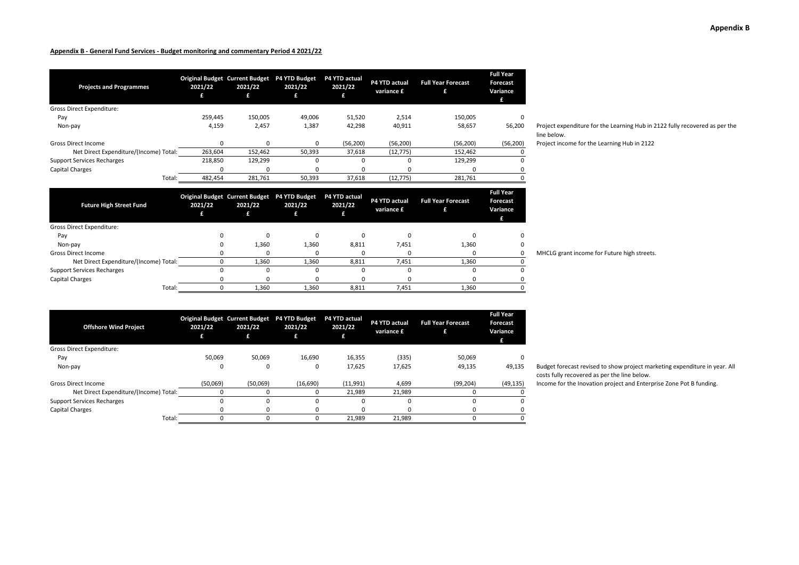| <b>Projects and Programmes</b>         | 2021/22<br>£ | <b>Original Budget Current Budget</b><br>2021/22<br>£ | <b>P4 YTD Budget</b><br>2021/22 | P4 YTD actual<br>2021/22<br>£ | P4 YTD actual<br>variance £ | <b>Full Year Forecast</b><br>£ | <b>Full Year</b><br><b>Forecast</b><br>Variance |
|----------------------------------------|--------------|-------------------------------------------------------|---------------------------------|-------------------------------|-----------------------------|--------------------------------|-------------------------------------------------|
| <b>Gross Direct Expenditure:</b>       |              |                                                       |                                 |                               |                             |                                |                                                 |
| Pay                                    | 259,445      | 150,005                                               | 49,006                          | 51,520                        | 2,514                       | 150,005                        | 0                                               |
| Non-pay                                | 4,159        | 2,457                                                 | 1,387                           | 42,298                        | 40,911                      | 58,657                         | 56,200                                          |
| <b>Gross Direct Income</b>             |              | $\Omega$                                              | 0                               | (56, 200)                     | (56, 200)                   | (56, 200)                      | (56, 200)                                       |
| Net Direct Expenditure/(Income) Total: | 263,604      | 152,462                                               | 50,393                          | 37,618                        | (12, 775)                   | 152,462                        |                                                 |
| <b>Support Services Recharges</b>      | 218,850      | 129,299                                               | $\Omega$                        | $\Omega$                      | ŋ                           | 129,299                        | 0                                               |
| Capital Charges                        |              | 0                                                     | 0                               | $\Omega$                      |                             | 0                              | 0                                               |
| Total:                                 | 482,454      | 281,761                                               | 50,393                          | 37,618                        | (12, 775)                   | 281,761                        |                                                 |
|                                        |              |                                                       |                                 |                               |                             |                                | <b>Full Mage</b>                                |

line below. Project income for the Learning Hub in 2122

Project expenditure for the Learning Hub in 2122 fully recovered as per the

| <b>Future High Street Fund</b>         | 2021/22 | Original Budget Current Budget P4 YTD Budget<br>2021/22<br>£ | 2021/22 | <b>P4 YTD actual</b><br>2021/22 | P4 YTD actual<br>variance £ | <b>Full Year Forecast</b><br>£ | <b>Full Year</b><br>Forecast<br>Variance |
|----------------------------------------|---------|--------------------------------------------------------------|---------|---------------------------------|-----------------------------|--------------------------------|------------------------------------------|
| Gross Direct Expenditure:              |         |                                                              |         |                                 |                             |                                |                                          |
| Pay                                    |         |                                                              |         |                                 |                             |                                |                                          |
| Non-pay                                |         | 1,360                                                        | 1,360   | 8,811                           | 7.451                       | 1,360                          |                                          |
| Gross Direct Income                    |         |                                                              |         |                                 |                             |                                |                                          |
| Net Direct Expenditure/(Income) Total: |         | 1,360                                                        | 1,360   | 8,811                           | 7,451                       | 1,360                          |                                          |
| <b>Support Services Recharges</b>      |         |                                                              | O       |                                 |                             |                                |                                          |
| <b>Capital Charges</b>                 |         |                                                              |         |                                 |                             |                                |                                          |
| Total:                                 |         | 1,360                                                        | 1,360   | 8,811                           | 7,451                       | 1.360                          |                                          |

| <b>Offshore Wind Project</b>           | 2021/22<br>£ | <b>Original Budget Current Budget</b><br>2021/22<br>£ | <b>P4 YTD Budget</b><br>2021/22 | P4 YTD actual<br>2021/22<br>£ | P4 YTD actual<br>variance £ | <b>Full Year Forecast</b><br>£ | <b>Full Year</b><br>Forecast<br>Variance<br>£ |
|----------------------------------------|--------------|-------------------------------------------------------|---------------------------------|-------------------------------|-----------------------------|--------------------------------|-----------------------------------------------|
| <b>Gross Direct Expenditure:</b>       |              |                                                       |                                 |                               |                             |                                |                                               |
| Pay                                    | 50,069       | 50,069                                                | 16,690                          | 16,355                        | (335)                       | 50,069                         |                                               |
| Non-pay                                | 0            | 0                                                     | 0                               | 17,625                        | 17.625                      | 49,135                         | 49,135                                        |
| <b>Gross Direct Income</b>             | (50,069)     | (50,069)                                              | (16, 690)                       | (11,991)                      | 4.699                       | (99, 204)                      | (49, 135)                                     |
| Net Direct Expenditure/(Income) Total: |              |                                                       | 0                               | 21,989                        | 21,989                      |                                |                                               |
| <b>Support Services Recharges</b>      |              |                                                       | 0                               |                               |                             |                                |                                               |
| Capital Charges                        | <sup>0</sup> | 0                                                     | <sup>0</sup>                    | <sup>0</sup>                  |                             |                                |                                               |
| Total:                                 |              |                                                       | 0                               | 21.989                        | 21.989                      |                                |                                               |

MHCLG grant income for Future high streets.

15 Budget forecast revised to show project marketing expenditure in year. All costs fully recovered as per the line below.

 $\overline{50}$  Income for the Inovation project and Enterprise Zone Pot B funding.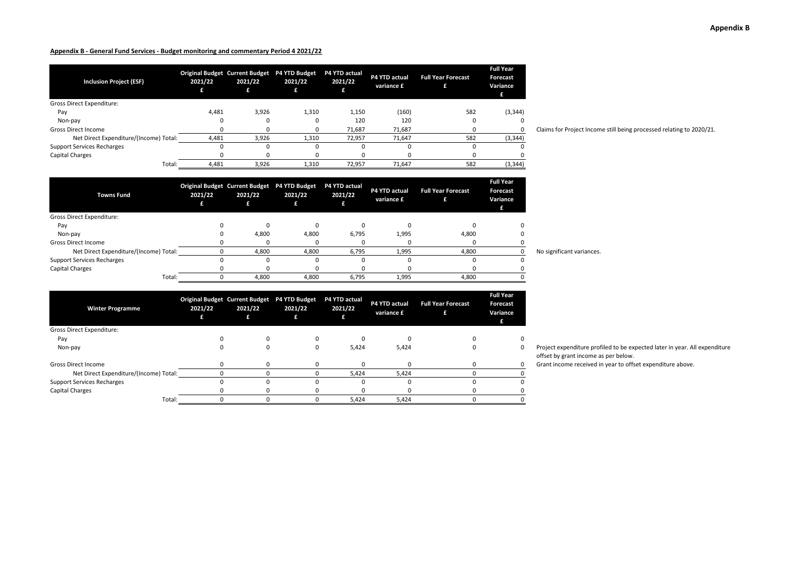| <b>Inclusion Project (ESF)</b>         | 2021/22 | <b>Original Budget Current Budget</b><br>2021/22 | <b>P4 YTD Budget</b><br>2021/22<br>£ | P4 YTD actual<br>2021/22 | P4 YTD actual<br>variance £ | <b>Full Year Forecast</b> | <b>Full Year</b><br><b>Forecast</b><br>Variance<br>£ |
|----------------------------------------|---------|--------------------------------------------------|--------------------------------------|--------------------------|-----------------------------|---------------------------|------------------------------------------------------|
| <b>Gross Direct Expenditure:</b>       |         |                                                  |                                      |                          |                             |                           |                                                      |
| Pay                                    | 4,481   | 3,926                                            | 1,310                                | 1,150                    | (160)                       | 582                       | (3, 344)                                             |
| Non-pay                                |         | 0                                                |                                      | 120                      | 120                         |                           |                                                      |
| <b>Gross Direct Income</b>             |         | 0                                                |                                      | 71.687                   | 71,687                      |                           |                                                      |
| Net Direct Expenditure/(Income) Total: | 4,481   | 3,926                                            | 1,310                                | 72,957                   | 71,647                      | 582                       | (3, 344)                                             |
| <b>Support Services Recharges</b>      |         | 0                                                |                                      |                          |                             |                           |                                                      |
| Capital Charges                        |         |                                                  |                                      |                          |                             |                           |                                                      |
| Total:                                 | 4,481   | 3,926                                            | 1,310                                | 72,957                   | 71,647                      | 582                       | (3, 344)                                             |

Claims for Project Income still being processed relating to 2020/21.

| <b>Towns Fund</b>                      | 2021/22 | Original Budget Current Budget P4 YTD Budget<br>2021/22 | 2021/22<br>£. | P4 YTD actual<br>2021/22 | P4 YTD actual<br>variance £ | <b>Full Year Forecast</b><br>£ | <b>Full Year</b><br>Forecast<br>Variance<br>Æ |
|----------------------------------------|---------|---------------------------------------------------------|---------------|--------------------------|-----------------------------|--------------------------------|-----------------------------------------------|
| Gross Direct Expenditure:              |         |                                                         |               |                          |                             |                                |                                               |
| Pay                                    |         |                                                         |               |                          |                             |                                |                                               |
| Non-pay                                |         | 4,800                                                   | 4.800         | 6.795                    | 1,995                       | 4,800                          |                                               |
| <b>Gross Direct Income</b>             |         |                                                         |               |                          |                             |                                |                                               |
| Net Direct Expenditure/(Income) Total: |         | 4,800                                                   | 4.800         | 6,795                    | 1,995                       | 4,800                          |                                               |
| <b>Support Services Recharges</b>      |         |                                                         |               |                          |                             |                                |                                               |
| <b>Capital Charges</b>                 |         |                                                         |               |                          |                             |                                |                                               |
| Total:                                 |         | 4,800                                                   | 4.800         | 6.795                    | 1,995                       | 4,800                          |                                               |

| <b>Winter Programme</b>                | 2021/22 | Original Budget Current Budget P4 YTD Budget<br>2021/22 | 2021/22<br>£ | P4 YTD actual<br>2021/22 | P4 YTD actual<br>variance £ | <b>Full Year Forecast</b> | <b>Full Year</b><br>Forecast<br>Variance |
|----------------------------------------|---------|---------------------------------------------------------|--------------|--------------------------|-----------------------------|---------------------------|------------------------------------------|
| <b>Gross Direct Expenditure:</b>       |         |                                                         |              |                          |                             |                           |                                          |
| Pay                                    |         |                                                         |              |                          |                             |                           | 0                                        |
| Non-pay                                |         |                                                         |              | 5,424                    | 5,424                       |                           | 0                                        |
| <b>Gross Direct Income</b>             |         |                                                         |              |                          |                             |                           | 0                                        |
| Net Direct Expenditure/(Income) Total: |         |                                                         |              | 5,424                    | 5,424                       |                           |                                          |
| <b>Support Services Recharges</b>      |         |                                                         |              |                          |                             |                           | 0                                        |
| Capital Charges                        |         |                                                         |              |                          |                             |                           |                                          |
| Total:                                 |         |                                                         |              | 5,424                    | 5,424                       |                           |                                          |

No significant variances.

Project expenditure profiled to be expected later in year. All expenditure offset by grant income as per below.

Grant income received in year to offset expenditure above.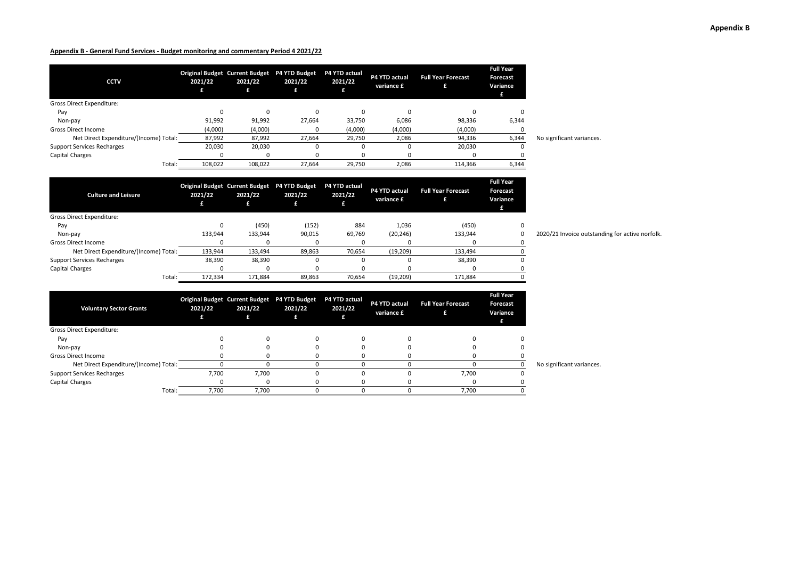| <b>CCTV</b>                            | 2021/22 | 2021/22  | Original Budget Current Budget P4 YTD Budget<br>2021/22<br>£ | P4 YTD actual<br>2021/22 | P4 YTD actual<br>variance £ | <b>Full Year Forecast</b> | <b>Full Year</b><br><b>Forecast</b><br>Variance<br>£ |                           |
|----------------------------------------|---------|----------|--------------------------------------------------------------|--------------------------|-----------------------------|---------------------------|------------------------------------------------------|---------------------------|
| <b>Gross Direct Expenditure:</b>       |         |          |                                                              |                          |                             |                           |                                                      |                           |
| Pay                                    |         | $\Omega$ |                                                              |                          |                             |                           | $\Omega$                                             |                           |
| Non-pay                                | 91,992  | 91,992   | 27,664                                                       | 33,750                   | 6,086                       | 98,336                    | 6,344                                                |                           |
| <b>Gross Direct Income</b>             | (4,000) | (4,000)  |                                                              | (4,000)                  | (4,000)                     | (4,000)                   |                                                      |                           |
| Net Direct Expenditure/(Income) Total: | 87,992  | 87,992   | 27.664                                                       | 29,750                   | 2,086                       | 94,336                    | 6,344                                                | No significant variances. |
| <b>Support Services Recharges</b>      | 20,030  | 20,030   |                                                              |                          |                             | 20,030                    |                                                      |                           |
| Capital Charges                        |         | $\Omega$ |                                                              |                          |                             |                           |                                                      |                           |
| Total:                                 | 108,022 | 108,022  | 27,664                                                       | 29,750                   | 2,086                       | 114,366                   | 6,344                                                |                           |

| <b>Culture and Leisure</b>             | 2021/22 | Original Budget Current Budget P4 YTD Budget<br>2021/22 | 2021/22 | <b>P4 YTD actual</b><br>2021/22 | P4 YTD actual<br>variance £ | <b>Full Year Forecast</b><br>£ | <b>Full Year</b><br>Forecast<br>Variance |
|----------------------------------------|---------|---------------------------------------------------------|---------|---------------------------------|-----------------------------|--------------------------------|------------------------------------------|
| <b>Gross Direct Expenditure:</b>       |         |                                                         |         |                                 |                             |                                |                                          |
| Pay                                    |         | (450)                                                   | (152)   | 884                             | 1.036                       | (450)                          | $\Omega$                                 |
| Non-pay                                | 133.944 | 133,944                                                 | 90.015  | 69.769                          | (20, 246)                   | 133,944                        | 0                                        |
| <b>Gross Direct Income</b>             |         |                                                         |         |                                 |                             |                                | 0                                        |
| Net Direct Expenditure/(Income) Total: | 133,944 | 133,494                                                 | 89,863  | 70.654                          | (19,209)                    | 133,494                        |                                          |
| <b>Support Services Recharges</b>      | 38,390  | 38,390                                                  |         |                                 | 0                           | 38,390                         | $\Omega$                                 |
| Capital Charges                        |         |                                                         | o       |                                 | 0                           |                                | 0                                        |
| Total:                                 | 172.334 | 171,884                                                 | 89.863  | 70.654                          | (19, 209)                   | 171,884                        | 0                                        |

**Voluntary Sector Grants Original Budget Current Budget P4 YTD Budget P4 YTD actual 2021/22 £ 2021/22 £ 2021/22 £ 2021/22 £ P4 YTD actual variance £ Full Year Forecast £ Full Year Forecast Variance £** Gross Direct Expenditure: Pay 0 0 0 0 0 0 0 Non-pay 0 0 0 0 0 0 0 Gross Direct Income 0 0 0 0 0 0 0 Net Direct Expenditure/(Income) Total: 0 0 0 0 0 0 0 No significant variances. Support Services Recharges 7,700 7,700 0 0 0 7,700 0 Capital Charges 0 0 0 0 0 0 0 Total: 7,700 7,700 0 0 0 7,700 0

2020/21 Invoice outstanding for active norfolk.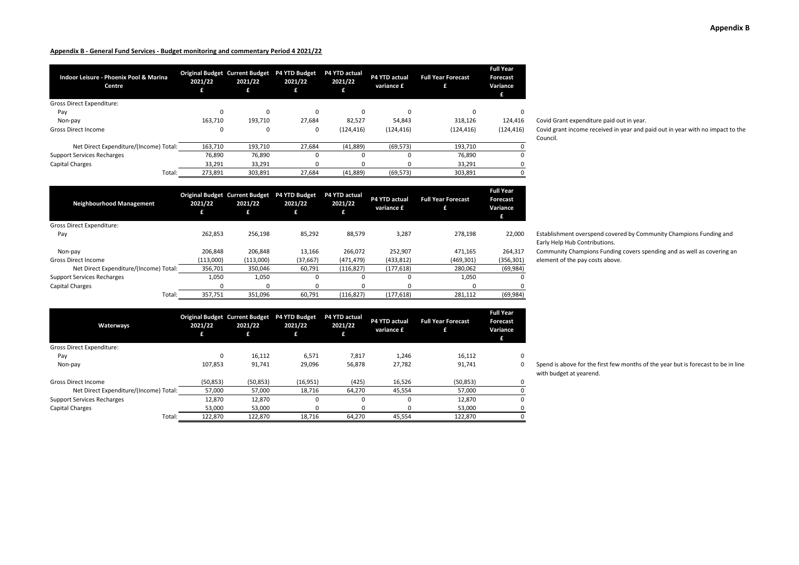| Indoor Leisure - Phoenix Pool & Marina<br><b>Centre</b> | 2021/22 | <b>Original Budget Current Budget</b><br>2021/22<br>£ | <b>P4 YTD Budget</b><br>2021/22<br>£ | P4 YTD actual<br>2021/22 | P4 YTD actual<br>variance £ | <b>Full Year Forecast</b><br>£ | <b>Full Year</b><br>Forecast<br>Variance<br>£ |
|---------------------------------------------------------|---------|-------------------------------------------------------|--------------------------------------|--------------------------|-----------------------------|--------------------------------|-----------------------------------------------|
| <b>Gross Direct Expenditure:</b>                        |         |                                                       |                                      |                          |                             |                                |                                               |
| Pay                                                     | 0       | $\Omega$                                              | 0                                    | $\Omega$                 | $\Omega$                    | 0                              | $\Omega$                                      |
| Non-pay                                                 | 163.710 | 193.710                                               | 27.684                               | 82.527                   | 54.843                      | 318.126                        | 124.416                                       |
| Gross Direct Income                                     | 0       | 0                                                     | 0                                    | (124, 416)               | (124, 416)                  | (124, 416)                     | (124, 416)                                    |
| Net Direct Expenditure/(Income) Total:                  | 163,710 | 193,710                                               | 27,684                               | (41, 889)                | (69, 573)                   | 193.710                        |                                               |
| <b>Support Services Recharges</b>                       | 76.890  | 76.890                                                | $\Omega$                             |                          |                             | 76,890                         | $\Omega$                                      |
| <b>Capital Charges</b>                                  | 33,291  | 33,291                                                | U                                    |                          |                             | 33,291                         |                                               |
| Total:                                                  | 273.891 | 303.891                                               | 27.684                               | (41, 889)                | (69, 573)                   | 303,891                        |                                               |

Covid Grant expenditure paid out in year.

Covid grant income received in year and paid out in year with no impact to the Council.

| <b>Neighbourhood Management</b>        | 2021/22<br>£ | <b>Original Budget Current Budget</b><br>2021/22<br>£ | <b>P4 YTD Budget</b><br>2021/22 | P4 YTD actual<br>2021/22<br>£ | P4 YTD actual<br>variance £ | <b>Full Year Forecast</b><br>£ | <b>Full Year</b><br><b>Forecast</b><br>Variance<br>£ |
|----------------------------------------|--------------|-------------------------------------------------------|---------------------------------|-------------------------------|-----------------------------|--------------------------------|------------------------------------------------------|
| <b>Gross Direct Expenditure:</b>       |              |                                                       |                                 |                               |                             |                                |                                                      |
| Pay                                    | 262.853      | 256.198                                               | 85,292                          | 88,579                        | 3.287                       | 278.198                        | 22,000                                               |
| Non-pay                                | 206.848      | 206.848                                               | 13.166                          | 266.072                       | 252.907                     | 471.165                        | 264,317                                              |
| <b>Gross Direct Income</b>             | (113,000)    | (113,000)                                             | (37, 667)                       | (471, 479)                    | (433, 812)                  | (469, 301)                     | (356, 301)                                           |
| Net Direct Expenditure/(Income) Total: | 356,701      | 350,046                                               | 60,791                          | (116, 827)                    | (177, 618)                  | 280,062                        | (69, 984)                                            |
| <b>Support Services Recharges</b>      | 1,050        | 1,050                                                 | 0                               | $\Omega$                      | $\Omega$                    | 1,050                          | O                                                    |
| <b>Capital Charges</b>                 | 0            | 0                                                     | 0                               | 0                             |                             |                                | 0                                                    |
| Total:                                 | 357,751      | 351,096                                               | 60,791                          | (116, 827)                    | (177, 618)                  | 281,112                        | (69, 984)                                            |

| Waterways                              | 2021/22<br>£ | <b>Original Budget Current Budget</b><br>2021/22<br>£ | P4 YTD Budget<br>2021/22 | P4 YTD actual<br>2021/22<br>£ | P4 YTD actual<br>variance £ | <b>Full Year Forecast</b><br>£ | <b>Full Year</b><br>Forecast<br>Variance<br>£ |
|----------------------------------------|--------------|-------------------------------------------------------|--------------------------|-------------------------------|-----------------------------|--------------------------------|-----------------------------------------------|
| <b>Gross Direct Expenditure:</b>       |              |                                                       |                          |                               |                             |                                |                                               |
| Pay                                    | 0            | 16,112                                                | 6,571                    | 7,817                         | 1.246                       | 16,112                         | 0                                             |
| Non-pay                                | 107,853      | 91,741                                                | 29,096                   | 56,878                        | 27,782                      | 91,741                         | 0                                             |
| <b>Gross Direct Income</b>             | (50, 853)    | (50, 853)                                             | (16, 951)                | (425)                         | 16,526                      | (50, 853)                      | 0                                             |
| Net Direct Expenditure/(Income) Total: | 57,000       | 57,000                                                | 18,716                   | 64,270                        | 45,554                      | 57,000                         | 0                                             |
| <b>Support Services Recharges</b>      | 12,870       | 12.870                                                | 0                        | $\Omega$                      | $\Omega$                    | 12.870                         | 0                                             |
| <b>Capital Charges</b>                 | 53,000       | 53,000                                                | 0                        | $\Omega$                      | $\Omega$                    | 53,000                         | 0                                             |
| Total:                                 | 122.870      | 122.870                                               | 18,716                   | 64.270                        | 45,554                      | 122.870                        | O                                             |

Establishment overspend covered by Community Champions Funding and Early Help Hub Contributions.

Community Champions Funding covers spending and as well as covering an element of the pay costs above.

Spend is above for the first few months of the year but is forecast to be in line with budget at yearend.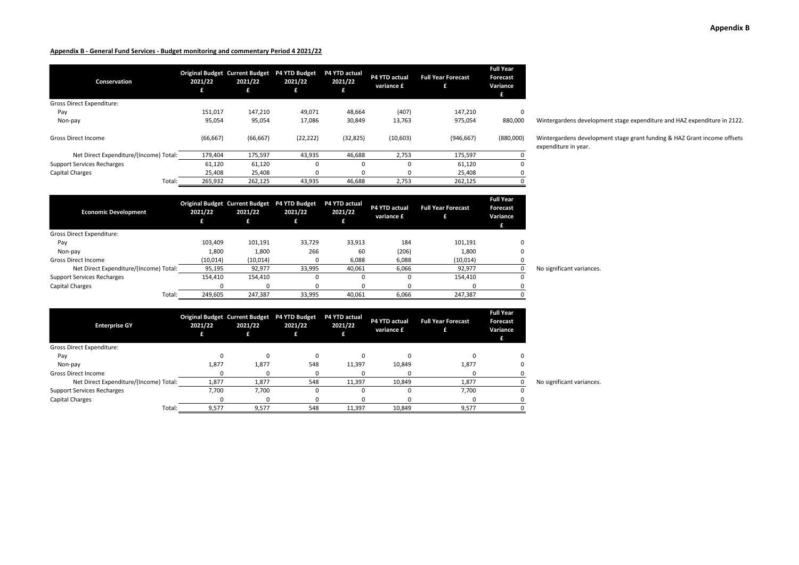| <b>Conservation</b>                    | 2021/22<br>£ | <b>Original Budget Current Budget</b><br>2021/22<br>£ | P4 YTD Budget<br>2021/22<br>£ | P4 YTD actual<br>2021/22<br>£ | P4 YTD actual<br>variance £ | <b>Full Year Forecast</b><br>£ | <b>Full Year</b><br><b>Forecast</b><br>Variance |
|----------------------------------------|--------------|-------------------------------------------------------|-------------------------------|-------------------------------|-----------------------------|--------------------------------|-------------------------------------------------|
| <b>Gross Direct Expenditure:</b>       |              |                                                       |                               |                               |                             |                                |                                                 |
| Pay                                    | 151.017      | 147.210                                               | 49.071                        | 48.664                        | (407)                       | 147.210                        | 0                                               |
| Non-pay                                | 95,054       | 95,054                                                | 17,086                        | 30,849                        | 13,763                      | 975,054                        | 880,000                                         |
| <b>Gross Direct Income</b>             | (66, 667)    | (66, 667)                                             | (22, 222)                     | (32, 825)                     | (10, 603)                   | (946, 667)                     | (880,000)                                       |
| Net Direct Expenditure/(Income) Total: | 179.404      | 175,597                                               | 43,935                        | 46.688                        | 2,753                       | 175,597                        |                                                 |
| <b>Support Services Recharges</b>      | 61,120       | 61,120                                                | 0                             | $\Omega$                      | 0                           | 61,120                         | 0                                               |
| <b>Capital Charges</b>                 | 25,408       | 25,408                                                | 0                             | $\Omega$                      |                             | 25,408                         | 0                                               |
| Total:                                 | 265,932      | 262,125                                               | 43,935                        | 46.688                        | 2,753                       | 262,125                        | 0                                               |

Wintergardens development stage expenditure and HAZ expenditure in 2122.

Wintergardens development stage grant funding & HAZ Grant income offsets expenditure in year.

| <b>Economic Development</b>            | 2021/22  | <b>Original Budget Current Budget</b><br>2021/22 | P4 YTD Budget<br>2021/22 | P4 YTD actual<br>2021/22 | <b>P4 YTD actual</b><br>variance £ | <b>Full Year Forecast</b> | <b>Full Year</b><br><b>Forecast</b><br>Variance<br>£ |                           |
|----------------------------------------|----------|--------------------------------------------------|--------------------------|--------------------------|------------------------------------|---------------------------|------------------------------------------------------|---------------------------|
| <b>Gross Direct Expenditure:</b>       |          |                                                  |                          |                          |                                    |                           |                                                      |                           |
| Pay                                    | 103,409  | 101,191                                          | 33,729                   | 33,913                   | 184                                | 101,191                   | 0                                                    |                           |
| Non-pay                                | 1,800    | 1,800                                            | 266                      | 60                       | (206)                              | 1,800                     | 0                                                    |                           |
| <b>Gross Direct Income</b>             | (10,014) | (10, 014)                                        | 0                        | 6,088                    | 6,088                              | (10,014)                  |                                                      |                           |
| Net Direct Expenditure/(Income) Total: | 95,195   | 92,977                                           | 33,995                   | 40,061                   | 6,066                              | 92,977                    |                                                      | No significant variances. |
| <b>Support Services Recharges</b>      | 154,410  | 154,410                                          | 0                        | 0                        |                                    | 154,410                   | 0                                                    |                           |
| Capital Charges                        |          |                                                  | 0                        | O                        |                                    |                           |                                                      |                           |
| Total:                                 | 249,605  | 247,387                                          | 33,995                   | 40,061                   | 6,066                              | 247,387                   |                                                      |                           |

| <b>Enterprise GY</b>                   | 2021/22 | 2021/22<br>£ | Original Budget Current Budget P4 YTD Budget<br>2021/22<br>£ | P4 YTD actual<br>2021/22 | P4 YTD actual<br>variance £ | <b>Full Year Forecast</b> | <b>Full Year</b><br><b>Forecast</b><br>Variance<br>£ |                           |
|----------------------------------------|---------|--------------|--------------------------------------------------------------|--------------------------|-----------------------------|---------------------------|------------------------------------------------------|---------------------------|
| Gross Direct Expenditure:              |         |              |                                                              |                          |                             |                           |                                                      |                           |
| Pay                                    |         |              | 0                                                            | $\Omega$                 |                             | $\Omega$                  |                                                      |                           |
| Non-pay                                | 1,877   | 1,877        | 548                                                          | 11,397                   | 10,849                      | 1,877                     |                                                      |                           |
| <b>Gross Direct Income</b>             |         |              |                                                              |                          |                             |                           |                                                      |                           |
| Net Direct Expenditure/(Income) Total: | 1,877   | 1,877        | 548                                                          | 11,397                   | 10,849                      | 1,877                     |                                                      | No significant variances. |
| <b>Support Services Recharges</b>      | 7,700   | 7,700        |                                                              | 0                        |                             | 7,700                     |                                                      |                           |
| <b>Capital Charges</b>                 |         |              |                                                              |                          |                             |                           |                                                      |                           |
| Total:                                 | 9,577   | 9,577        | 548                                                          | 11,397                   | 10,849                      | 9,577                     |                                                      |                           |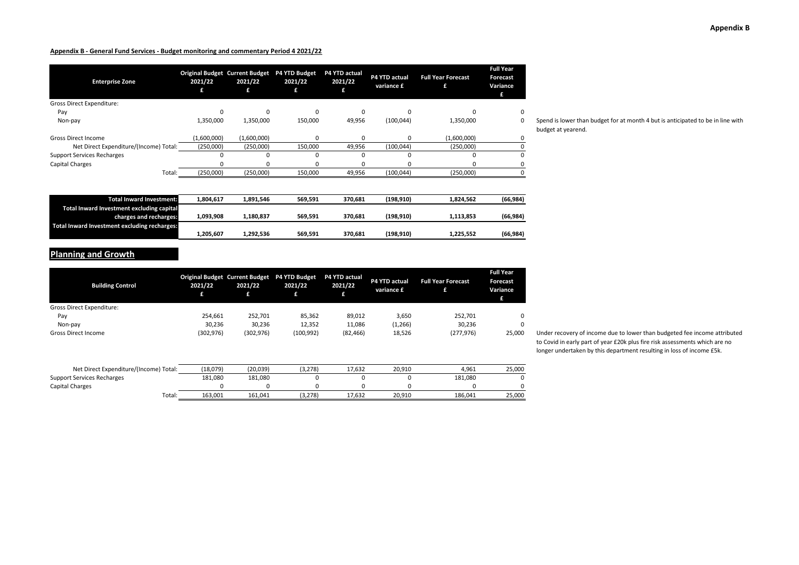| <b>Enterprise Zone</b>                 | 2021/22<br>£ | <b>Original Budget Current Budget</b><br>2021/22<br>£ | <b>P4 YTD Budget</b><br>2021/22 | P4 YTD actual<br>2021/22 | P4 YTD actual<br>variance £ | <b>Full Year Forecast</b> | <b>Full Year</b><br>Forecast<br>Variance |
|----------------------------------------|--------------|-------------------------------------------------------|---------------------------------|--------------------------|-----------------------------|---------------------------|------------------------------------------|
| Gross Direct Expenditure:              |              |                                                       |                                 |                          |                             |                           |                                          |
| Pay                                    | 0            |                                                       | 0                               | $\Omega$                 |                             | ŋ                         | 0                                        |
| Non-pay                                | 1,350,000    | 1,350,000                                             | 150,000                         | 49,956                   | (100, 044)                  | 1,350,000                 | 0                                        |
| <b>Gross Direct Income</b>             | (1,600,000)  | (1,600,000)                                           | 0                               | $\Omega$                 | $\Omega$                    | (1,600,000)               | 0                                        |
| Net Direct Expenditure/(Income) Total: | (250,000)    | (250,000)                                             | 150,000                         | 49,956                   | (100, 044)                  | (250,000)                 |                                          |
| <b>Support Services Recharges</b>      | O            |                                                       | 0                               | $\Omega$                 |                             |                           | 0                                        |
| Capital Charges                        | 0            |                                                       | 0                               |                          |                             | 0                         | 0                                        |
| Total:                                 | (250,000)    | (250,000)                                             | 150,000                         | 49,956                   | (100, 044)                  | (250,000)                 |                                          |
| <b>Total Inward Investment:</b>        | 1,804,617    | 1,891,546                                             | 569,591                         | 370,681                  | (198, 910)                  | 1,824,562                 | (66, 984)                                |

Spend is lower than budget for at month 4 but is anticipated to be in line with budget at yearend.

| Total Inward Investment:                     | 1.804.617 | 1.891.546 | 569.591 | 370.681 | (198.910) | 1.824.562 | (66.984)  |
|----------------------------------------------|-----------|-----------|---------|---------|-----------|-----------|-----------|
| Total Inward Investment excluding capital    |           |           |         |         |           |           |           |
| charges and recharges:                       | 1.093.908 | 1.180.837 | 569.591 | 370.681 | (198.910) | 1.113.853 | (66.984)  |
| Total Inward Investment excluding recharges: |           |           |         |         |           |           |           |
|                                              | 1,205,607 | 1.292.536 | 569.591 | 370.681 | (198.910) | 1.225.552 | (66, 984) |

# **Planning and Growth**

| <b>Building Control</b>          | <b>Original Budget Current Budget</b><br>2021/22<br>£ | 2021/22<br>£ | <b>P4 YTD Budget</b><br>2021/22<br>Æ | P4 YTD actual<br>2021/22<br>£ | P4 YTD actual<br>variance £ | <b>Full Year Forecast</b><br>£ | <b>Full Year</b><br><b>Forecast</b><br>Variance<br>Æ |
|----------------------------------|-------------------------------------------------------|--------------|--------------------------------------|-------------------------------|-----------------------------|--------------------------------|------------------------------------------------------|
| <b>Gross Direct Expenditure:</b> |                                                       |              |                                      |                               |                             |                                |                                                      |
| Pay                              | 254,661                                               | 252,701      | 85,362                               | 89,012                        | 3,650                       | 252,701                        | $\Omega$                                             |
| Non-pay                          | 30.236                                                | 30,236       | 12,352                               | 11.086                        | (1,266)                     | 30,236                         | $\Omega$                                             |
| <b>Gross Direct Income</b>       | (302, 976)                                            | (302, 976)   | (100, 992)                           | (82, 466)                     | 18,526                      | (277, 976)                     | 25,000                                               |
|                                  |                                                       |              |                                      |                               |                             |                                |                                                      |

| Net Direct Expenditure/(Income) Total: | (18,079) | (20, 039) | (3,278) | 17.632 | 20.910 | 4,961   | 25,000 |
|----------------------------------------|----------|-----------|---------|--------|--------|---------|--------|
| <b>Support Services Recharges</b>      | 181.080  | 181.080   |         |        |        | 181.080 |        |
| Capital Charges                        |          |           |         |        |        |         |        |
| Total:                                 | 163.001  | 161,041   | (3,278) | 17.632 | 20.910 | 186.041 | 25,000 |

Under recovery of income due to lower than budgeted fee income attributed to Covid in early part of year £20k plus fire risk assessments which are no longer undertaken by this department resulting in loss of income £5k.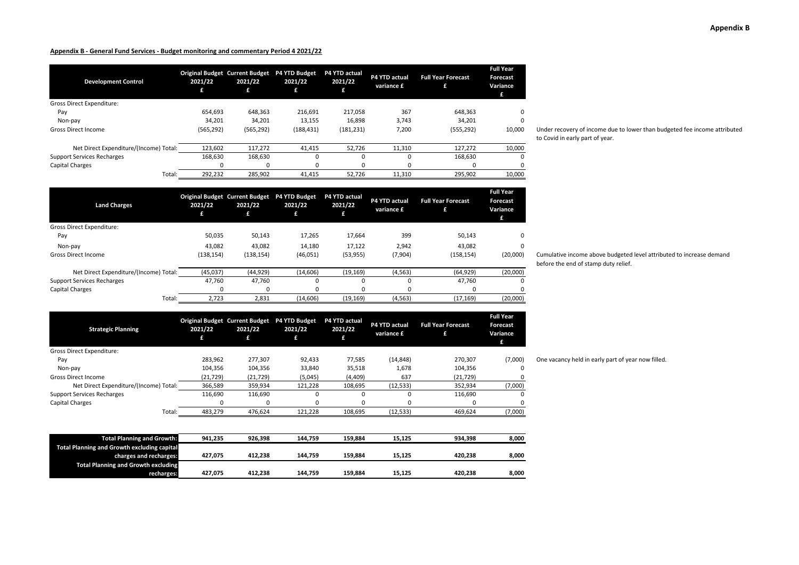**2021/22 £**

**Land Charges**

| <b>Development Control</b>             | 2021/22<br>£ | <b>Original Budget Current Budget</b><br>2021/22<br>£ | <b>P4 YTD Budget</b><br>2021/22<br>£ | P4 YTD actual<br>2021/22<br>£ | P4 YTD actual<br>variance £ | <b>Full Year Forecast</b><br>£ | <b>Full Year</b><br>Forecast<br>Variance<br>£ |
|----------------------------------------|--------------|-------------------------------------------------------|--------------------------------------|-------------------------------|-----------------------------|--------------------------------|-----------------------------------------------|
| Gross Direct Expenditure:              |              |                                                       |                                      |                               |                             |                                |                                               |
| Pay                                    | 654.693      | 648.363                                               | 216.691                              | 217.058                       | 367                         | 648,363                        | $\Omega$                                      |
| Non-pay                                | 34,201       | 34,201                                                | 13,155                               | 16,898                        | 3.743                       | 34,201                         | $\Omega$                                      |
| <b>Gross Direct Income</b>             | (565, 292)   | (565, 292)                                            | (188, 431)                           | (181, 231)                    | 7,200                       | (555, 292)                     | 10,000                                        |
| Net Direct Expenditure/(Income) Total: | 123.602      | 117,272                                               | 41,415                               | 52,726                        | 11,310                      | 127,272                        | 10,000                                        |
| <b>Support Services Recharges</b>      | 168.630      | 168,630                                               | $\Omega$                             |                               | $\Omega$                    | 168,630                        | $\Omega$                                      |
| Capital Charges                        | 0            | $\Omega$                                              |                                      |                               | 0                           | 0                              | $\Omega$                                      |
| Total:                                 | 292,232      | 285,902                                               | 41.415                               | 52,726                        | 11,310                      | 295,902                        | 10,000                                        |

Under recovery of income due to lower than budgeted fee income attributed to Covid in early part of year.

| Gross Direct Expenditure:              |            |            |           |           |          |            |          |               |
|----------------------------------------|------------|------------|-----------|-----------|----------|------------|----------|---------------|
| Pay                                    | 50,035     | 50,143     | 17.265    | 17,664    | 399      | 50,143     |          |               |
| Non-pay                                | 43.082     | 43,082     | 14,180    | 17,122    | 2,942    | 43.082     |          |               |
| <b>Gross Direct Income</b>             | (138, 154) | (138, 154) | (46, 051) | (53, 955) | (7,904)  | (158, 154) | (20,000) | Cumu<br>befor |
| Net Direct Expenditure/(Income) Total: | (45,037)   | (44, 929)  | (14, 606) | (19, 169) | (4, 563) | (64, 929)  | (20,000) |               |
| <b>Support Services Recharges</b>      | 47.760     | 47.760     |           |           |          | 47.760     |          |               |
| Capital Charges                        |            | $\Omega$   |           |           |          |            |          |               |
| Total:                                 | 2.723      | 2,831      | (14, 606) | (19, 169) | (4, 563) | (17, 169)  | (20,000) |               |

**2021/22 £**

**2021/22 £**

**P4 YTD actual variance £**

**Full Year Forecast £**

**Full Year Forecast Variance £**

**Original Budget Current Budget P4 YTD Budget P4 YTD actual** 

**2021/22 £**

| <b>Strategic Planning</b>              | 2021/22   | <b>Original Budget Current Budget</b><br>2021/22<br>£ | <b>P4 YTD Budget</b><br>2021/22<br>£ | <b>P4 YTD actual</b><br>2021/22 | P4 YTD actual<br>variance £ | <b>Full Year Forecast</b> | <b>Full Year</b><br>Forecast<br>Variance<br>£ |
|----------------------------------------|-----------|-------------------------------------------------------|--------------------------------------|---------------------------------|-----------------------------|---------------------------|-----------------------------------------------|
| Gross Direct Expenditure:              |           |                                                       |                                      |                                 |                             |                           |                                               |
| Pay                                    | 283.962   | 277.307                                               | 92.433                               | 77.585                          | (14, 848)                   | 270.307                   | (7,000)                                       |
| Non-pay                                | 104.356   | 104.356                                               | 33.840                               | 35,518                          | 1,678                       | 104.356                   | 0                                             |
| <b>Gross Direct Income</b>             | (21, 729) | (21, 729)                                             | (5,045)                              | (4,409)                         | 637                         | (21, 729)                 |                                               |
| Net Direct Expenditure/(Income) Total: | 366,589   | 359,934                                               | 121,228                              | 108,695                         | (12, 533)                   | 352,934                   | (7,000)                                       |
| <b>Support Services Recharges</b>      | 116.690   | 116,690                                               |                                      | 0                               | $\Omega$                    | 116,690                   |                                               |
| Capital Charges                        | 0         | $\Omega$                                              |                                      |                                 | $\Omega$                    | 0                         |                                               |
| Total:                                 | 483,279   | 476,624                                               | 121,228                              | 108,695                         | (12, 533)                   | 469,624                   | (7,000)                                       |

| <b>Total Planning and Growth:</b>           | 941.235 | 926.398 | 144.759 | 159.884 | 15.125 | 934.398 | 8,000 |
|---------------------------------------------|---------|---------|---------|---------|--------|---------|-------|
| Total Planning and Growth excluding capital |         |         |         |         |        |         |       |
| charges and recharges:                      | 427.075 | 412.238 | 144.759 | 159.884 | 15.125 | 420.238 | 8.000 |
| <b>Total Planning and Growth excluding</b>  |         |         |         |         |        |         |       |
| recharges:                                  | 427.075 | 412.238 | 144.759 | 159.884 | 15,125 | 420,238 | 8,000 |

ulative income above budgeted level attributed to increase demand re the end of stamp duty relief.

One vacancy held in early part of year now filled.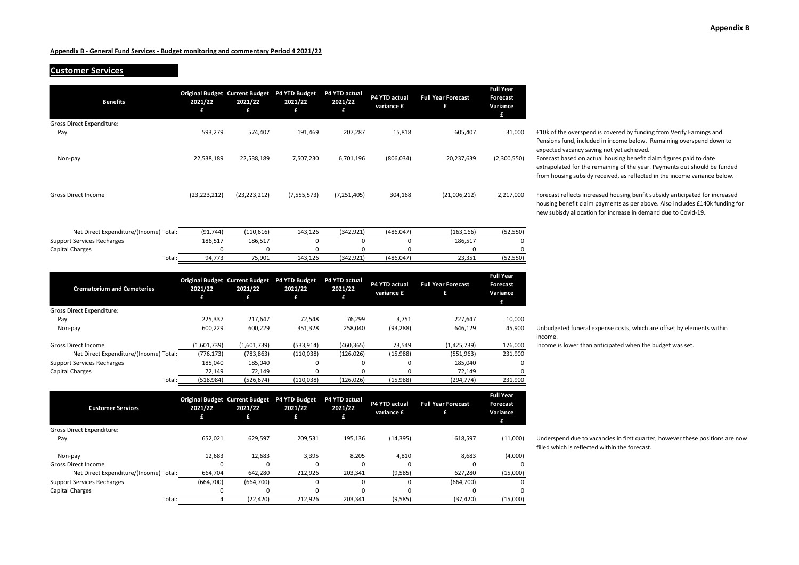# **Customer Services**

| <b>Benefits</b>                        | 2021/22<br>£   | <b>Original Budget Current Budget</b><br>2021/22<br>£ | P4 YTD Budget<br>2021/22<br>£ | P4 YTD actual<br>2021/22<br>£ | <b>P4 YTD actual</b><br>variance £ | <b>Full Year Forecast</b><br>£ | <b>Full Year</b><br>Forecast<br>Variance<br>£ |
|----------------------------------------|----------------|-------------------------------------------------------|-------------------------------|-------------------------------|------------------------------------|--------------------------------|-----------------------------------------------|
| <b>Gross Direct Expenditure:</b>       |                |                                                       |                               |                               |                                    |                                |                                               |
| Pay                                    | 593,279        | 574,407                                               | 191,469                       | 207,287                       | 15,818                             | 605,407                        | 31,000                                        |
| Non-pay                                | 22,538,189     | 22,538,189                                            | 7,507,230                     | 6,701,196                     | (806, 034)                         | 20,237,639                     | (2,300,550)                                   |
| <b>Gross Direct Income</b>             | (23, 223, 212) | (23, 223, 212)                                        | (7, 555, 573)                 | (7, 251, 405)                 | 304,168                            | (21,006,212)                   | 2,217,000                                     |
| Net Direct Expenditure/(Income) Total: | (91, 744)      | (110, 616)                                            | 143,126                       | (342, 921)                    | (486, 047)                         | (163, 166)                     | (52, 550)                                     |
| <b>Support Services Recharges</b>      | 186,517        | 186,517                                               | 0                             | $\mathbf 0$                   | 0                                  | 186,517                        | $\Omega$                                      |
| <b>Capital Charges</b>                 | 0              | 0                                                     | 0                             | 0                             | 0                                  | 0                              | 0                                             |
| Total:                                 | 94,773         | 75,901                                                | 143,126                       | (342, 921)                    | (486, 047)                         | 23,351                         | (52, 550)                                     |
| <b>Crematorium and Cemeteries</b>      | 2021/22<br>£   | <b>Original Budget Current Budget</b><br>2021/22<br>£ | P4 YTD Budget<br>2021/22<br>£ | P4 YTD actual<br>2021/22<br>£ | <b>P4 YTD actual</b><br>variance £ | <b>Full Year Forecast</b><br>£ | <b>Full Year</b><br>Forecast<br>Variance<br>£ |
| Gross Direct Expenditure:              |                |                                                       |                               |                               |                                    |                                |                                               |

£10k of the overspend is covered by funding from Verify Earnings and Pensions fund, included in income below. Remaining overspend down to expected vacancy saving not yet achieved.

Forecast based on actual housing benefit claim figures paid to date extrapolated for the remaining of the year. Payments out should be funded from housing subsidy received, as reflected in the income variance below.

Forecast reflects increased housing benfit subsidy anticipated for increased housing benefit claim payments as per above. Also includes £140k funding for new subisdy allocation for increase in demand due to Covid-19.

 Non-pay 600,229 600,229 351,328 258,040 (93,288) 646,129 45,900 Unbudgeted funeral expense costs, which are offset by elements within income.

Gross Direct Income<br>
Net Direct Expenditure/(Income) Total: (776,173) (783,863) (110,038) (126,026) (15,988) (551,963) 231,900 Income is lower than anticipated when the budget was set.

Underspend due to vacancies in first quarter, however these positions are now filled which is reflected within the forecast.

| <b>Customer Services</b>               | 2021/22   | <b>Original Budget Current Budget</b><br>2021/22<br>£ | <b>P4 YTD Budget</b><br>2021/22 | P4 YTD actual<br>2021/22 | P4 YTD actual<br>variance £ | <b>Full Year Forecast</b><br>£ | <b>Full Year</b><br>Forecast<br>Variance |
|----------------------------------------|-----------|-------------------------------------------------------|---------------------------------|--------------------------|-----------------------------|--------------------------------|------------------------------------------|
| Gross Direct Expenditure:              |           |                                                       |                                 |                          |                             |                                |                                          |
| Pay                                    | 652,021   | 629,597                                               | 209,531                         | 195,136                  | (14, 395)                   | 618,597                        | (11,000)                                 |
| Non-pay                                | 12,683    | 12,683                                                | 3,395                           | 8,205                    | 4,810                       | 8,683                          | (4,000)                                  |
| Gross Direct Income                    |           | n                                                     | 0                               |                          |                             |                                | O                                        |
| Net Direct Expenditure/(Income) Total: | 664.704   | 642,280                                               | 212,926                         | 203.341                  | (9,585)                     | 627.280                        | (15,000)                                 |
| <b>Support Services Recharges</b>      | (664,700) | (664, 700)                                            | 0                               |                          |                             | (664,700)                      |                                          |
| Capital Charges                        |           | $\Omega$                                              | 0                               | 0                        |                             |                                |                                          |
| Total:                                 |           | (22, 420)                                             | 212,926                         | 203.341                  | (9,585)                     | (37, 420)                      | (15,000)                                 |

Total: (518,984) (526,674) (110,038) (126,026) (15,988) (294,774) 231,900

Pay 225,337 217,647 72,548 76,299 3,751 227,647 10,000

Net Direct Expenditure/(Income) Total: (776,173) (783,863) (110,038) (126,026) (15,988) (551,963) (551,963)<br>Services Recharges 185,040 185,040 0 0 0 185,040 Support Services Recharges **185,040** 185,040 185,040 0 0 0 0 185,040 0 0 0 185,040 Capital Charges 72,149 72,149 0 0 0 72,149 0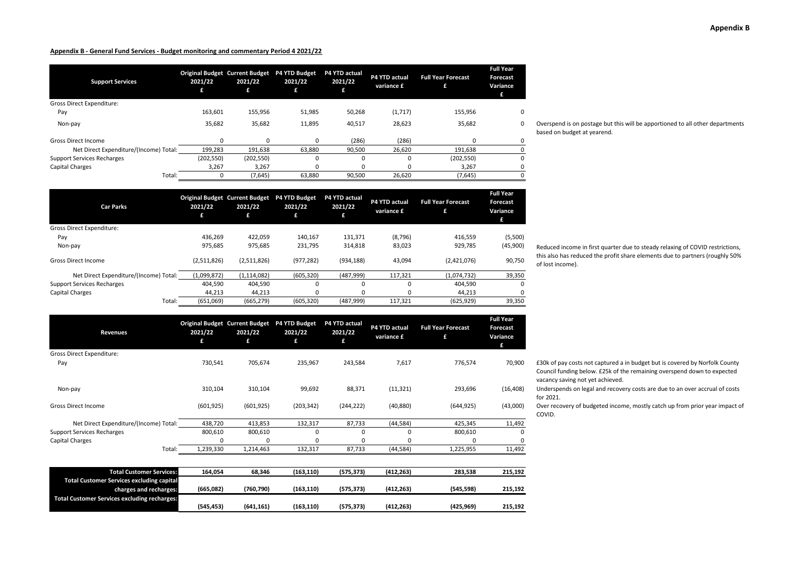| <b>Support Services</b>                | 2021/22<br>£ | Original Budget Current Budget P4 YTD Budget<br>2021/22<br>£ | 2021/22<br>£ | P4 YTD actual<br>2021/22 | P4 YTD actual<br>variance £ | <b>Full Year Forecast</b><br>£ | <b>Full Year</b><br>Forecast<br>Variance<br>£ |
|----------------------------------------|--------------|--------------------------------------------------------------|--------------|--------------------------|-----------------------------|--------------------------------|-----------------------------------------------|
| <b>Gross Direct Expenditure:</b>       |              |                                                              |              |                          |                             |                                |                                               |
| Pay                                    | 163.601      | 155,956                                                      | 51,985       | 50,268                   | (1,717)                     | 155,956                        | $\Omega$                                      |
| Non-pay                                | 35,682       | 35,682                                                       | 11,895       | 40,517                   | 28,623                      | 35,682                         | 0                                             |
| <b>Gross Direct Income</b>             | <sup>0</sup> | 0                                                            | 0            | (286)                    | (286)                       | $\Omega$                       | 0                                             |
| Net Direct Expenditure/(Income) Total: | 199,283      | 191,638                                                      | 63,880       | 90.500                   | 26.620                      | 191,638                        |                                               |
| <b>Support Services Recharges</b>      | (202, 550)   | (202, 550)                                                   | 0            |                          | 0                           | (202, 550)                     | $\Omega$                                      |
| Capital Charges                        | 3,267        | 3,267                                                        | 0            |                          | 0                           | 3,267                          | 0                                             |
| Total:                                 |              | (7,645)                                                      | 63,880       | 90,500                   | 26,620                      | (7,645)                        |                                               |

**Car Parks Original Budget Current Budget P4 YTD Budget P4 YTD actual 2021/22 £ 2021/22 £ 2021/22 £ 2021/22 £ P4 YTD actual variance £ Full Year Forecast £ Full Year Forecast Variance £** Gross Direct Expenditure: Pay 436,269 422,059 140,167 131,371 (8,796) 416,559 (5,500) Non-pay 975,685 975,685 231,795 314,818 83,023 929,785 (45,900) Gross Direct Income (2,511,826) (2,511,826) (977,282) (934,188) 43,094 (2,421,076) 90,750 Net Direct Expenditure/(Income) Total: (1,099,872) (1,114,082) (605,320) (487,999) 117,321 (1,074,732) 39,350<br>Services Recharges (1,074,732) 404,590 404,590 0 0 404,590 0 Support Services Recharges 404,590 404,590 0 0 0 404,590 0 Capital Charges 44,213 44,213 0 0 0 44,213 0 Total: (651,069) (665,279) (605,320) (487,999) 117,321 (625,929) 39,350

| <b>Revenues</b>                                                            | 2021/22<br>£ | <b>Original Budget Current Budget</b><br>2021/22<br>£ | P4 YTD Budget<br>2021/22<br>£ | P4 YTD actual<br>2021/22<br>£ | P4 YTD actual<br>variance £ | <b>Full Year Forecast</b><br>£ | <b>Full Year</b><br>Forecast<br>Variance<br>£ |
|----------------------------------------------------------------------------|--------------|-------------------------------------------------------|-------------------------------|-------------------------------|-----------------------------|--------------------------------|-----------------------------------------------|
| Gross Direct Expenditure:                                                  |              |                                                       |                               |                               |                             |                                |                                               |
| Pay                                                                        | 730,541      | 705,674                                               | 235,967                       | 243,584                       | 7,617                       | 776,574                        | 70,900                                        |
| Non-pay                                                                    | 310,104      | 310,104                                               | 99,692                        | 88,371                        | (11, 321)                   | 293,696                        | (16, 408)                                     |
| <b>Gross Direct Income</b>                                                 | (601, 925)   | (601, 925)                                            | (203, 342)                    | (244, 222)                    | (40, 880)                   | (644, 925)                     | (43,000)                                      |
| Net Direct Expenditure/(Income) Total:                                     | 438,720      | 413,853                                               | 132,317                       | 87,733                        | (44, 584)                   | 425,345                        | 11,492                                        |
| <b>Support Services Recharges</b>                                          | 800,610      | 800,610                                               | 0                             | 0                             | 0                           | 800,610                        | 0                                             |
| Capital Charges                                                            | $\Omega$     | $\Omega$                                              | 0                             | 0                             | $\Omega$                    | 0                              | 0                                             |
| Total:                                                                     | 1,239,330    | 1,214,463                                             | 132,317                       | 87,733                        | (44,584)                    | 1,225,955                      | 11,492                                        |
| <b>Total Customer Services:</b>                                            | 164,054      | 68,346                                                | (163, 110)                    | (575, 373)                    | (412, 263)                  | 283,538                        | 215,192                                       |
| <b>Total Customer Services excluding capital</b><br>charges and recharges: | (665,082)    | (760, 790)                                            | (163, 110)                    | (575, 373)                    | (412, 263)                  | (545, 598)                     | 215,192                                       |
| <b>Total Customer Services excluding recharges:</b>                        | (545,453)    | (641, 161)                                            | (163, 110)                    | (575, 373)                    | (412, 263)                  | (425, 969)                     | 215,192                                       |

#### Overspend is on postage but this will be apportioned to all other departments based on budget at yearend.

Reduced income in first quarter due to steady relaxing of COVID restrictions, this also has reduced the profit share elements due to partners (roughly 50% of lost income).

£30k of pay costs not captured a in budget but is covered by Norfolk County Council funding below. £25k of the remaining overspend down to expected vacancy saving not yet achieved.

Underspends on legal and recovery costs are due to an over accrual of costs for 2021.

Gross Direct Income, mostly catch up from prior year impact of COVID.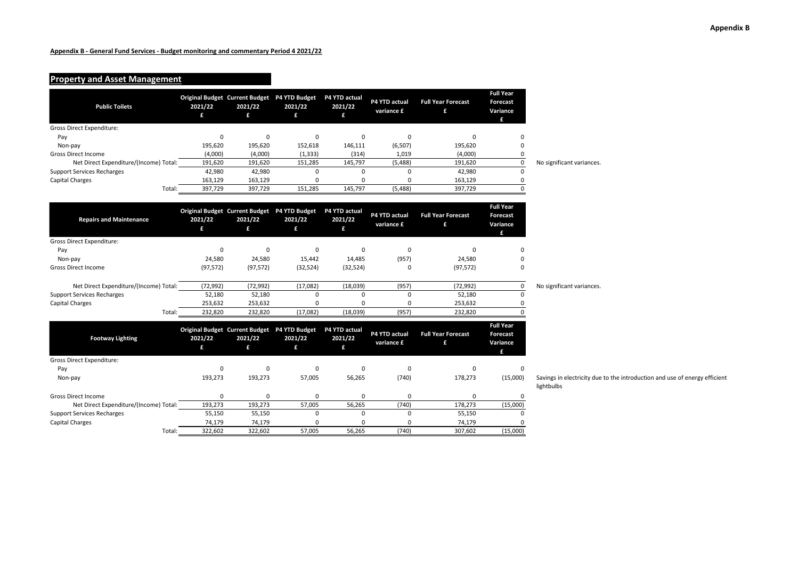# **Property and Asset Management**

| <b>Public Toilets</b>                  | 2021/22<br>£ | Original Budget Current Budget P4 YTD Budget<br>2021/22<br>£ | 2021/22<br>£                                                 | P4 YTD actual<br>2021/22<br>£ | P4 YTD actual<br>variance £ | <b>Full Year Forecast</b><br>£ | <b>Full Year</b><br>Forecast<br>Variance<br>£        |                            |
|----------------------------------------|--------------|--------------------------------------------------------------|--------------------------------------------------------------|-------------------------------|-----------------------------|--------------------------------|------------------------------------------------------|----------------------------|
| Gross Direct Expenditure:              |              |                                                              |                                                              |                               |                             |                                |                                                      |                            |
| Pay                                    | 0            | 0                                                            | $\mathbf 0$                                                  | $\mathbf 0$                   | $\Omega$                    | $\mathbf 0$                    | n                                                    |                            |
| Non-pay                                | 195,620      | 195,620                                                      | 152,618                                                      | 146,111                       | (6, 507)                    | 195,620                        | $\Omega$                                             |                            |
| <b>Gross Direct Income</b>             | (4,000)      | (4,000)                                                      | (1, 333)                                                     | (314)                         | 1,019                       | (4,000)                        | 0                                                    |                            |
| Net Direct Expenditure/(Income) Total: | 191,620      | 191,620                                                      | 151,285                                                      | 145,797                       | (5, 488)                    | 191,620                        | $\pmb{0}$                                            | No significant variances.  |
| <b>Support Services Recharges</b>      | 42,980       | 42,980                                                       | 0                                                            | 0                             | $\Omega$                    | 42,980                         | $\mathbf 0$                                          |                            |
| <b>Capital Charges</b>                 | 163,129      | 163,129                                                      | 0                                                            | $\mathbf 0$                   | 0                           | 163,129                        | $\mathbf 0$                                          |                            |
| Total:                                 | 397,729      | 397,729                                                      | 151,285                                                      | 145,797                       | (5, 488)                    | 397,729                        | $\mathbf 0$                                          |                            |
|                                        |              |                                                              |                                                              |                               |                             |                                |                                                      |                            |
| <b>Repairs and Maintenance</b>         | 2021/22<br>£ | Original Budget Current Budget P4 YTD Budget<br>2021/22<br>£ | 2021/22<br>£                                                 | P4 YTD actual<br>2021/22<br>£ | P4 YTD actual<br>variance £ | <b>Full Year Forecast</b><br>£ | <b>Full Year</b><br><b>Forecast</b><br>Variance<br>£ |                            |
| <b>Gross Direct Expenditure:</b>       |              |                                                              |                                                              |                               |                             |                                |                                                      |                            |
| Pay                                    | $\mathbf 0$  | 0                                                            | 0                                                            | $\Omega$                      | 0                           | $\Omega$                       | $\Omega$                                             |                            |
| Non-pay                                | 24,580       | 24,580                                                       | 15,442                                                       | 14,485                        | (957)                       | 24,580                         | $\Omega$                                             |                            |
| <b>Gross Direct Income</b>             | (97, 572)    | (97, 572)                                                    | (32, 524)                                                    | (32, 524)                     | $\Omega$                    | (97, 572)                      | $\mathbf 0$                                          |                            |
|                                        |              |                                                              |                                                              |                               |                             |                                |                                                      |                            |
| Net Direct Expenditure/(Income) Total: | (72, 992)    | (72, 992)                                                    | (17,082)                                                     | (18,039)                      | (957)                       | (72, 992)                      | 0                                                    | No significant variances.  |
| <b>Support Services Recharges</b>      | 52,180       | 52,180                                                       | $\mathbf 0$                                                  | $\mathbf 0$                   | $\mathbf 0$                 | 52,180                         | $\Omega$                                             |                            |
| <b>Capital Charges</b>                 | 253,632      | 253,632                                                      | 0                                                            | 0                             | 0                           | 253,632                        | 0                                                    |                            |
| Total:                                 | 232,820      | 232,820                                                      | (17,082)                                                     | (18,039)                      | (957)                       | 232,820                        | $\Omega$                                             |                            |
| <b>Footway Lighting</b>                | 2021/22<br>£ | 2021/22<br>£                                                 | Original Budget Current Budget P4 YTD Budget<br>2021/22<br>£ | P4 YTD actual<br>2021/22<br>£ | P4 YTD actual<br>variance £ | <b>Full Year Forecast</b><br>£ | <b>Full Year</b><br><b>Forecast</b><br>Variance<br>£ |                            |
| Gross Direct Expenditure:              |              |                                                              |                                                              |                               |                             |                                |                                                      |                            |
| Pay                                    | 0            | 0                                                            | 0                                                            | $\mathbf 0$                   | $\mathbf 0$                 | $\mathbf 0$                    | 0                                                    |                            |
| Non-pay                                | 193,273      | 193,273                                                      | 57,005                                                       | 56,265                        | (740)                       | 178,273                        | (15,000)                                             | Savings in electricity due |
|                                        |              |                                                              |                                                              |                               |                             |                                |                                                      | lightbulbs                 |
| <b>Gross Direct Income</b>             | 0            | 0                                                            | 0                                                            | 0                             | 0                           | $\mathbf 0$                    | 0                                                    |                            |
| Net Direct Expenditure/(Income) Total: | 193,273      | 193,273                                                      | 57,005                                                       | 56,265                        | (740)                       | 178,273                        | (15,000)                                             |                            |
| <b>Support Services Recharges</b>      | 55,150       | 55,150                                                       | 0                                                            | $\mathbf 0$                   | $\mathbf 0$                 | 55,150                         | 0                                                    |                            |
| <b>Capital Charges</b>                 | 74,179       | 74,179                                                       | 0                                                            | $\mathbf 0$                   | $\Omega$                    | 74,179                         |                                                      |                            |
| Total:                                 | 322,602      | 322,602                                                      | 57,005                                                       | 56,265                        | (740)                       | 307,602                        | (15,000)                                             |                            |

wings in electricity due to the introduction and use of energy efficient htbulbs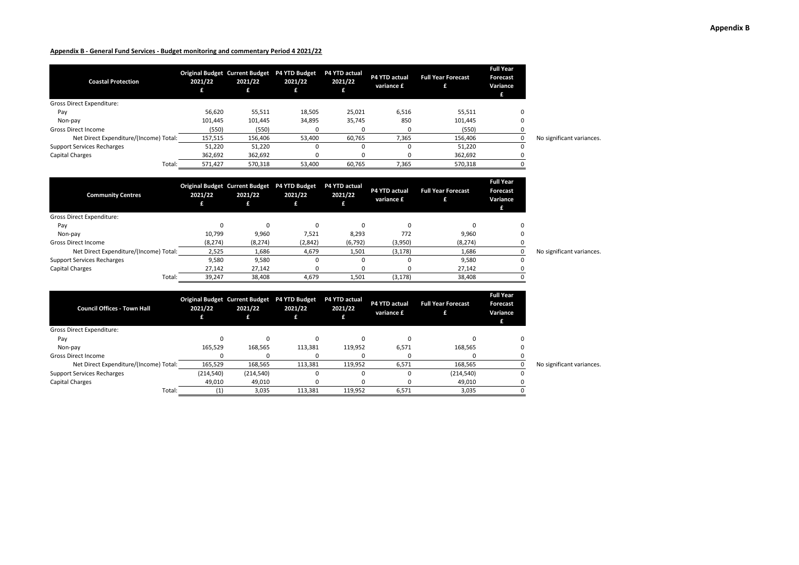| <b>Coastal Protection</b>              | 2021/22 | 2021/22 | Original Budget Current Budget P4 YTD Budget<br>2021/22<br>£ | <b>P4 YTD actual</b><br>2021/22 | P4 YTD actual<br>variance £ | <b>Full Year Forecast</b> | <b>Full Year</b><br>Forecast<br>Variance<br>£ |                           |
|----------------------------------------|---------|---------|--------------------------------------------------------------|---------------------------------|-----------------------------|---------------------------|-----------------------------------------------|---------------------------|
| <b>Gross Direct Expenditure:</b>       |         |         |                                                              |                                 |                             |                           |                                               |                           |
| Pay                                    | 56,620  | 55,511  | 18,505                                                       | 25,021                          | 6,516                       | 55,511                    | 0                                             |                           |
| Non-pay                                | 101,445 | 101,445 | 34,895                                                       | 35,745                          | 850                         | 101,445                   | 0                                             |                           |
| <b>Gross Direct Income</b>             | (550)   | (550)   |                                                              |                                 |                             | (550)                     |                                               |                           |
| Net Direct Expenditure/(Income) Total: | 157,515 | 156,406 | 53,400                                                       | 60,765                          | 7,365                       | 156.406                   |                                               | No significant variances. |
| <b>Support Services Recharges</b>      | 51,220  | 51,220  |                                                              |                                 |                             | 51,220                    | 0                                             |                           |
| Capital Charges                        | 362,692 | 362,692 |                                                              |                                 |                             | 362,692                   |                                               |                           |
| Total:                                 | 571,427 | 570,318 | 53,400                                                       | 60,765                          | 7,365                       | 570,318                   |                                               |                           |

| <b>Community Centres</b>               | 2021/22  | 2021/22  | Original Budget Current Budget P4 YTD Budget<br>2021/22<br>£ | <b>P4 YTD actual</b><br>2021/22 | P4 YTD actual<br>variance £ | <b>Full Year Forecast</b> | <b>Full Year</b><br>Forecast<br>Variance<br>£ |                           |
|----------------------------------------|----------|----------|--------------------------------------------------------------|---------------------------------|-----------------------------|---------------------------|-----------------------------------------------|---------------------------|
| Gross Direct Expenditure:              |          |          |                                                              |                                 |                             |                           |                                               |                           |
| Pay                                    |          | $\Omega$ |                                                              |                                 |                             |                           | $\Omega$                                      |                           |
| Non-pay                                | 10,799   | 9,960    | 7,521                                                        | 8,293                           | 772                         | 9,960                     |                                               |                           |
| <b>Gross Direct Income</b>             | (8, 274) | (8, 274) | (2,842)                                                      | (6, 792)                        | (3,950)                     | (8, 274)                  |                                               |                           |
| Net Direct Expenditure/(Income) Total: | 2,525    | 1,686    | 4,679                                                        | 1,501                           | (3, 178)                    | 1,686                     |                                               | No significant variances. |
| <b>Support Services Recharges</b>      | 9,580    | 9,580    |                                                              |                                 |                             | 9,580                     | 0                                             |                           |
| Capital Charges                        | 27,142   | 27,142   |                                                              |                                 |                             | 27,142                    |                                               |                           |
| Total:                                 | 39,247   | 38,408   | 4.679                                                        | 1,501                           | (3, 178)                    | 38,408                    |                                               |                           |

| <b>Council Offices - Town Hall</b>     | 2021/22   | <b>Original Budget Current Budget</b><br>2021/22 | <b>P4 YTD Budget</b><br>2021/22<br>£ | <b>P4 YTD actual</b><br>2021/22 | P4 YTD actual<br>variance £ | <b>Full Year Forecast</b> | <b>Full Year</b><br><b>Forecast</b><br>Variance<br>£ |                           |
|----------------------------------------|-----------|--------------------------------------------------|--------------------------------------|---------------------------------|-----------------------------|---------------------------|------------------------------------------------------|---------------------------|
| <b>Gross Direct Expenditure:</b>       |           |                                                  |                                      |                                 |                             |                           |                                                      |                           |
| Pay                                    |           |                                                  |                                      |                                 |                             |                           |                                                      |                           |
| Non-pay                                | 165,529   | 168,565                                          | 113,381                              | 119,952                         | 6,571                       | 168,565                   |                                                      |                           |
| <b>Gross Direct Income</b>             |           |                                                  |                                      |                                 |                             |                           |                                                      |                           |
| Net Direct Expenditure/(Income) Total: | 165,529   | 168,565                                          | 113,381                              | 119,952                         | 6,571                       | 168,565                   |                                                      | No significant variances. |
| <b>Support Services Recharges</b>      | (214,540) | (214, 540)                                       |                                      |                                 |                             | (214, 540)                | 0                                                    |                           |
| <b>Capital Charges</b>                 | 49,010    | 49,010                                           |                                      |                                 |                             | 49,010                    |                                                      |                           |
| Total:                                 |           | 3,035                                            | 113,381                              | 119,952                         | 6,571                       | 3,035                     |                                                      |                           |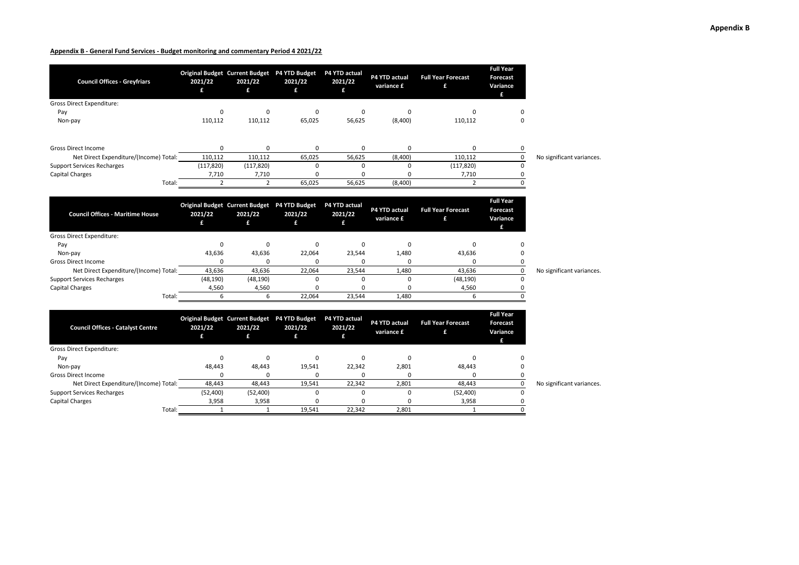| <b>Council Offices - Greyfriars</b>      | 2021/22<br>£   | Original Budget Current Budget P4 YTD Budget<br>2021/22<br>£ | 2021/22<br>£ | P4 YTD actual<br>2021/22<br>£ | P4 YTD actual<br>variance £ | <b>Full Year Forecast</b><br>£ | <b>Full Year</b><br><b>Forecast</b><br>Variance<br>£ |                           |
|------------------------------------------|----------------|--------------------------------------------------------------|--------------|-------------------------------|-----------------------------|--------------------------------|------------------------------------------------------|---------------------------|
| <b>Gross Direct Expenditure:</b>         |                |                                                              |              |                               |                             |                                |                                                      |                           |
| Pay                                      | 0              | 0                                                            | 0            | 0                             | 0                           | $\Omega$                       | $\Omega$                                             |                           |
| Non-pay                                  | 110,112        | 110,112                                                      | 65,025       | 56,625                        | (8,400)                     | 110,112                        | $\Omega$                                             |                           |
| <b>Gross Direct Income</b>               | 0              | $\mathbf 0$                                                  | 0            | 0                             | 0                           | 0                              | 0                                                    |                           |
| Net Direct Expenditure/(Income) Total:   | 110,112        | 110,112                                                      | 65,025       | 56,625                        | (8,400)                     | 110,112                        | $\pmb{0}$                                            | No significant variances. |
| <b>Support Services Recharges</b>        | (117, 820)     | (117, 820)                                                   | 0            | $\mathbf 0$                   | 0                           | (117, 820)                     | $\mathbf 0$                                          |                           |
| <b>Capital Charges</b>                   | 7,710          | 7,710                                                        | $\Omega$     | $\Omega$                      | 0                           | 7,710                          | 0                                                    |                           |
| Total:                                   | $\overline{2}$ | $\overline{2}$                                               | 65,025       | 56,625                        | (8,400)                     | $\overline{2}$                 | $\mathbf 0$                                          |                           |
| <b>Council Offices - Maritime House</b>  | 2021/22<br>£   | Original Budget Current Budget P4 YTD Budget<br>2021/22<br>£ | 2021/22<br>£ | P4 YTD actual<br>2021/22<br>£ | P4 YTD actual<br>variance £ | <b>Full Year Forecast</b><br>£ | <b>Full Year</b><br><b>Forecast</b><br>Variance<br>£ |                           |
| Gross Direct Expenditure:                |                |                                                              |              |                               |                             |                                |                                                      |                           |
| Pay                                      | 0              | $\Omega$                                                     | 0            | 0                             | 0                           | $\Omega$                       |                                                      |                           |
| Non-pay                                  | 43,636         | 43,636                                                       | 22,064       | 23,544                        | 1,480                       | 43,636                         | $\mathbf 0$                                          |                           |
| <b>Gross Direct Income</b>               | $\Omega$       | $\Omega$                                                     | $\Omega$     | $\Omega$                      | $\Omega$                    | $\Omega$                       | 0                                                    |                           |
| Net Direct Expenditure/(Income) Total:   | 43,636         | 43,636                                                       | 22,064       | 23,544                        | 1,480                       | 43,636                         | $\mathsf 0$                                          | No significant variances. |
| <b>Support Services Recharges</b>        | (48, 190)      | (48, 190)                                                    | $\Omega$     | $\Omega$                      | $\Omega$                    | (48, 190)                      | $\Omega$                                             |                           |
| <b>Capital Charges</b>                   | 4,560          | 4,560                                                        | 0            | $\Omega$                      | 0                           | 4,560                          | 0                                                    |                           |
| Total:                                   | 6              | 6                                                            | 22,064       | 23,544                        | 1,480                       | 6                              | $\Omega$                                             |                           |
| <b>Council Offices - Catalyst Centre</b> | 2021/22<br>£   | Original Budget Current Budget P4 YTD Budget<br>2021/22<br>£ | 2021/22<br>£ | P4 YTD actual<br>2021/22<br>£ | P4 YTD actual<br>variance £ | <b>Full Year Forecast</b><br>£ | <b>Full Year</b><br>Forecast<br>Variance<br>£.       |                           |
| <b>Gross Direct Expenditure:</b>         |                |                                                              |              |                               |                             |                                |                                                      |                           |
| Pay                                      | 0              | 0                                                            | 0            | 0                             | 0                           | 0                              | $\Omega$                                             |                           |
| Non-pay                                  | 48,443         | 48,443                                                       | 19,541       | 22,342                        | 2,801                       | 48,443                         | 0                                                    |                           |
| <b>Gross Direct Income</b>               | 0              | 0                                                            | 0            | 0                             | 0                           | 0                              | 0                                                    |                           |
| Net Direct Expenditure/(Income) Total:   | 48,443         | 48,443                                                       | 19,541       | 22,342                        | 2,801                       | 48,443                         | $\mathsf 0$                                          | No significant variances. |
| <b>Support Services Recharges</b>        | (52, 400)      | (52, 400)                                                    | 0            | $\mathbf 0$                   | 0                           | (52, 400)                      | 0                                                    |                           |
| <b>Capital Charges</b>                   | 3,958          | 3,958                                                        | 0            | 0                             | 0                           | 3,958                          | $\mathbf 0$                                          |                           |

Total: 1 1 19,541 22,342 2,801 1 0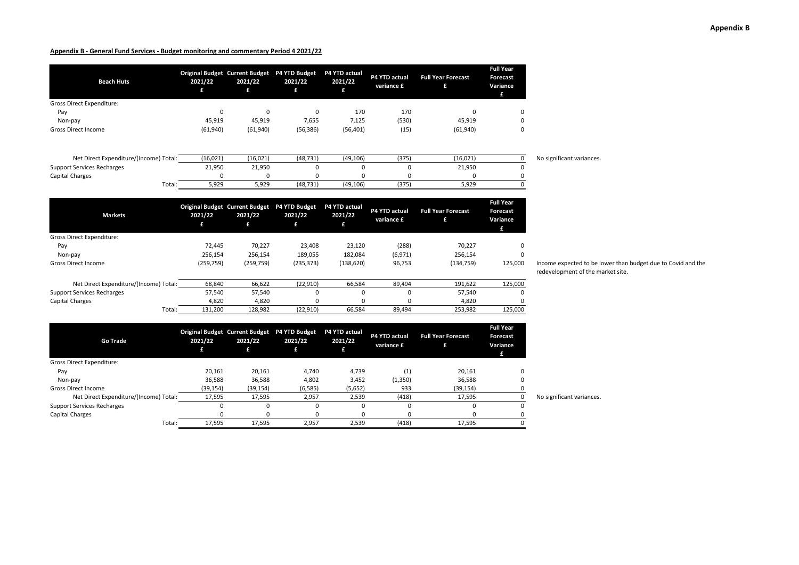| <b>Beach Huts</b>                      | 2021/22<br>£       | <b>Original Budget Current Budget</b><br>2021/22<br>£ | P4 YTD Budget<br>2021/22<br>£ | P4 YTD actual<br>2021/22<br>£ | P4 YTD actual<br>variance £ | <b>Full Year Forecast</b><br>£ | <b>Full Year</b><br><b>Forecast</b><br>Variance<br>£ |                           |
|----------------------------------------|--------------------|-------------------------------------------------------|-------------------------------|-------------------------------|-----------------------------|--------------------------------|------------------------------------------------------|---------------------------|
| <b>Gross Direct Expenditure:</b>       |                    |                                                       |                               |                               |                             |                                |                                                      |                           |
| Pay                                    | 0                  | $\mathbf 0$                                           | 0                             | 170                           | 170                         | 0                              | 0                                                    |                           |
| Non-pay                                | 45,919             | 45,919                                                | 7,655                         | 7,125                         | (530)                       | 45,919                         | 0                                                    |                           |
| <b>Gross Direct Income</b>             | (61,940)           | (61, 940)                                             | (56, 386)                     | (56, 401)                     | (15)                        | (61, 940)                      | 0                                                    |                           |
| Net Direct Expenditure/(Income) Total: |                    |                                                       |                               |                               |                             |                                | 0                                                    |                           |
| <b>Support Services Recharges</b>      | (16, 021)          | (16, 021)                                             | (48, 731)<br>0                | (49, 106)<br>0                | (375)<br>$\mathbf 0$        | (16, 021)                      | 0                                                    | No significant variances. |
| <b>Capital Charges</b>                 | 21,950<br>$\Omega$ | 21,950<br>$\Omega$                                    | 0                             | 0                             | $\Omega$                    | 21,950<br>$\Omega$             |                                                      |                           |
|                                        |                    |                                                       |                               |                               |                             |                                | O                                                    |                           |
| Total:                                 | 5,929              | 5,929                                                 | (48, 731)                     | (49, 106)                     | (375)                       | 5,929                          |                                                      |                           |
| <b>Markets</b>                         | 2021/22            | <b>Original Budget Current Budget</b><br>2021/22      | P4 YTD Budget<br>2021/22      | P4 YTD actual<br>2021/22      | P4 YTD actual<br>variance £ | <b>Full Year Forecast</b><br>£ | <b>Full Year</b><br>Forecast<br>Variance             |                           |
|                                        | £                  | £                                                     | £                             | £                             |                             |                                | £                                                    |                           |
| Gross Direct Expenditure:              |                    |                                                       |                               |                               |                             |                                |                                                      |                           |
| Pay                                    | 72,445             | 70,227                                                | 23,408                        | 23,120                        | (288)                       | 70,227                         | 0                                                    |                           |
| Non-pay                                | 256,154            | 256,154                                               | 189,055                       | 182,084                       | (6,971)                     | 256,154                        | 0                                                    |                           |
| <b>Gross Direct Income</b>             | (259, 759)         | (259, 759)                                            | (235, 373)                    | (138, 620)                    | 96,753                      | (134, 759)                     | 125,000                                              | Income expected to be lo  |
|                                        |                    |                                                       |                               |                               |                             |                                |                                                      | redevelopment of the m    |
| Net Direct Expenditure/(Income) Total: | 68,840             | 66,622                                                | (22, 910)                     | 66,584                        | 89,494                      | 191,622                        | 125,000                                              |                           |
| <b>Support Services Recharges</b>      | 57,540             | 57,540                                                | 0                             | 0                             | 0                           | 57,540                         | n                                                    |                           |
| <b>Capital Charges</b>                 | 4,820              | 4,820                                                 | O                             | O                             | $\Omega$                    | 4,820                          |                                                      |                           |
| Total:                                 | 131,200            | 128,982                                               | (22, 910)                     | 66,584                        | 89,494                      | 253,982                        | 125,000                                              |                           |

| <b>Go Trade</b>                        | 2021/22   | Original Budget Current Budget P4 YTD Budget<br>2021/22 | 2021/22<br>£ | <b>P4 YTD actual</b><br>2021/22 | P4 YTD actual<br>variance £ | <b>Full Year Forecast</b> | <b>Full Year</b><br>Forecast<br>Variance<br>£ |                           |
|----------------------------------------|-----------|---------------------------------------------------------|--------------|---------------------------------|-----------------------------|---------------------------|-----------------------------------------------|---------------------------|
| Gross Direct Expenditure:              |           |                                                         |              |                                 |                             |                           |                                               |                           |
| Pay                                    | 20,161    | 20,161                                                  | 4,740        | 4,739                           | (1)                         | 20,161                    | $\Omega$                                      |                           |
| Non-pay                                | 36,588    | 36,588                                                  | 4,802        | 3,452                           | (1,350)                     | 36,588                    | 0                                             |                           |
| <b>Gross Direct Income</b>             | (39, 154) | (39, 154)                                               | (6, 585)     | (5,652)                         | 933                         | (39, 154)                 |                                               |                           |
| Net Direct Expenditure/(Income) Total: | 17,595    | 17,595                                                  | 2,957        | 2,539                           | (418)                       | 17,595                    |                                               | No significant variances. |
| <b>Support Services Recharges</b>      |           | 0                                                       | 0            |                                 |                             |                           | 0                                             |                           |
| Capital Charges                        |           | <sup>0</sup>                                            |              |                                 |                             |                           |                                               |                           |
| Total:                                 | 17,595    | 17,595                                                  | 2,957        | 2,539                           | (418)                       | 17,595                    |                                               |                           |

Income expected to be lower than budget due to Covid and the redevelopment of the market site.

**Appendix B**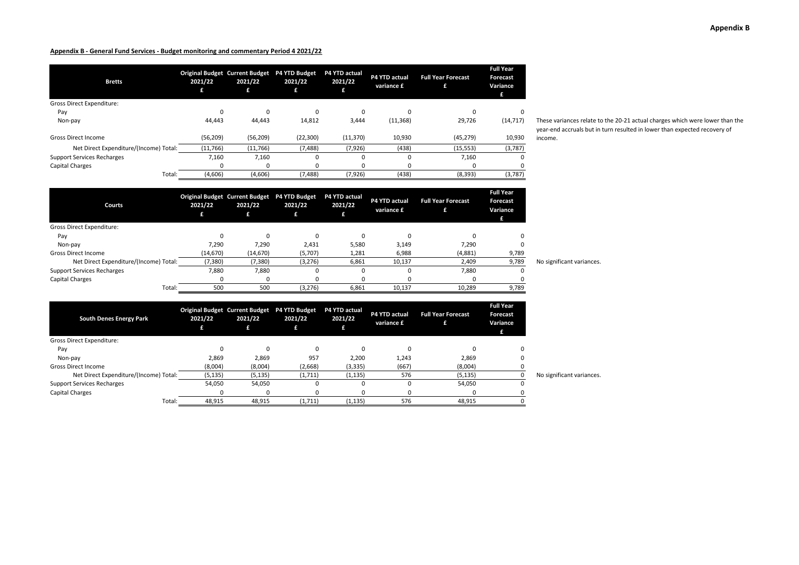| <b>Bretts</b>                          | 2021/22<br>£ | Original Budget Current Budget P4 YTD Budget<br>2021/22<br>£ | 2021/22<br>£ | P4 YTD actual<br>2021/22 | <b>P4 YTD actual</b><br>variance £ | <b>Full Year Forecast</b><br>£ | <b>Full Year</b><br>Forecast<br>Variance<br>£ |
|----------------------------------------|--------------|--------------------------------------------------------------|--------------|--------------------------|------------------------------------|--------------------------------|-----------------------------------------------|
| <b>Gross Direct Expenditure:</b>       |              |                                                              |              |                          |                                    |                                |                                               |
| Pay                                    | ŋ            | 0                                                            |              | 0                        | $\Omega$                           | $\Omega$                       | 0                                             |
| Non-pay                                | 44.443       | 44,443                                                       | 14,812       | 3,444                    | (11, 368)                          | 29,726                         | (14, 717)                                     |
| <b>Gross Direct Income</b>             | (56, 209)    | (56, 209)                                                    | (22, 300)    | (11, 370)                | 10,930                             | (45, 279)                      | 10,930                                        |
| Net Direct Expenditure/(Income) Total: | (11,766)     | (11,766)                                                     | (7, 488)     | (7, 926)                 | (438)                              | (15, 553)                      | (3,787)                                       |
| <b>Support Services Recharges</b>      | 7,160        | 7,160                                                        |              | ŋ                        | $\Omega$                           | 7,160                          | 0                                             |
| Capital Charges                        |              | 0                                                            |              |                          | 0                                  | 0                              |                                               |
| Total:                                 | (4,606)      | (4,606)                                                      | (7, 488)     | (7, 926)                 | (438)                              | (8, 393)                       | (3,787)                                       |

These variances relate to the 20-21 actual charges which were lower than the year-end accruals but in turn resulted in lower than expected recovery of income.

| Courts                                 | 2021/22   | 2021/22   | Original Budget Current Budget P4 YTD Budget<br>2021/22<br>£ | P4 YTD actual<br>2021/22 | <b>P4 YTD actual</b><br>variance £ | <b>Full Year Forecast</b> | <b>Full Year</b><br><b>Forecast</b><br>Variance<br>£ |                           |
|----------------------------------------|-----------|-----------|--------------------------------------------------------------|--------------------------|------------------------------------|---------------------------|------------------------------------------------------|---------------------------|
| Gross Direct Expenditure:              |           |           |                                                              |                          |                                    |                           |                                                      |                           |
| Pay                                    | ŋ         | $\Omega$  |                                                              | O                        | n                                  | $\Omega$                  | $\Omega$                                             |                           |
| Non-pay                                | 7,290     | 7,290     | 2,431                                                        | 5,580                    | 3,149                              | 7,290                     |                                                      |                           |
| <b>Gross Direct Income</b>             | (14, 670) | (14, 670) | (5,707)                                                      | 1,281                    | 6,988                              | (4,881)                   | 9,789                                                |                           |
| Net Direct Expenditure/(Income) Total: | (7,380)   | (7, 380)  | (3, 276)                                                     | 6,861                    | 10,137                             | 2,409                     | 9,789                                                | No significant variances. |
| <b>Support Services Recharges</b>      | 7,880     | 7,880     |                                                              |                          |                                    | 7,880                     | 0                                                    |                           |
| Capital Charges                        | o         |           |                                                              |                          |                                    | $\Omega$                  |                                                      |                           |
| Total:                                 | 500       | 500       | (3, 276)                                                     | 6,861                    | 10,137                             | 10,289                    | 9,789                                                |                           |

| <b>South Denes Energy Park</b>         | 2021/22  | 2021/22<br>£ | Original Budget Current Budget P4 YTD Budget<br>2021/22<br>£ | P4 YTD actual<br>2021/22 | P4 YTD actual<br>variance £ | <b>Full Year Forecast</b> | <b>Full Year</b><br><b>Forecast</b><br>Variance<br>£ |                           |
|----------------------------------------|----------|--------------|--------------------------------------------------------------|--------------------------|-----------------------------|---------------------------|------------------------------------------------------|---------------------------|
| <b>Gross Direct Expenditure:</b>       |          |              |                                                              |                          |                             |                           |                                                      |                           |
| Pay                                    |          | $\Omega$     | $\Omega$                                                     | $\Omega$                 |                             |                           |                                                      |                           |
| Non-pay                                | 2,869    | 2,869        | 957                                                          | 2,200                    | 1,243                       | 2,869                     |                                                      |                           |
| <b>Gross Direct Income</b>             | (8,004)  | (8,004)      | (2,668)                                                      | (3, 335)                 | (667)                       | (8,004)                   |                                                      |                           |
| Net Direct Expenditure/(Income) Total: | (5, 135) | (5, 135)     | (1,711)                                                      | (1, 135)                 | 576                         | (5, 135)                  |                                                      | No significant variances. |
| <b>Support Services Recharges</b>      | 54,050   | 54,050       | 0                                                            | 0                        |                             | 54,050                    | 0                                                    |                           |
| Capital Charges                        | Ω        | <sup>0</sup> |                                                              |                          |                             | 0                         |                                                      |                           |
| Total:                                 | 48,915   | 48,915       | (1,711)                                                      | (1, 135)                 | 576                         | 48,915                    |                                                      |                           |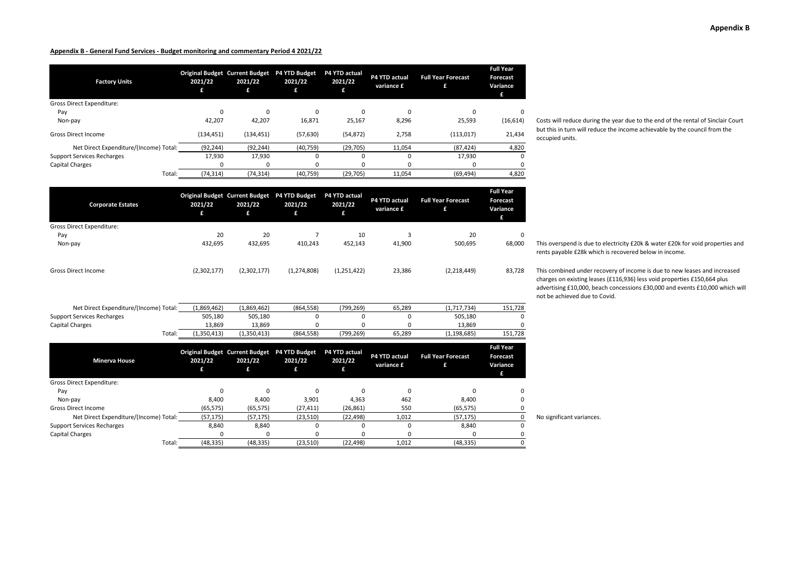| <b>Factory Units</b>                   | 2021/22<br>£ | Original Budget Current Budget P4 YTD Budget<br>2021/22<br>£ | 2021/22<br>£ | P4 YTD actual<br>2021/22<br>£ | P4 YTD actual<br>variance £ | <b>Full Year Forecast</b><br>£ | <b>Full Year</b><br>Forecast<br>Variance<br>£ |
|----------------------------------------|--------------|--------------------------------------------------------------|--------------|-------------------------------|-----------------------------|--------------------------------|-----------------------------------------------|
| Gross Direct Expenditure:              |              |                                                              |              |                               |                             |                                |                                               |
| Pay                                    | $\Omega$     | 0                                                            | $\Omega$     |                               | 0                           | C                              | $\Omega$                                      |
| Non-pay                                | 42,207       | 42,207                                                       | 16,871       | 25,167                        | 8,296                       | 25,593                         | (16, 614)                                     |
| <b>Gross Direct Income</b>             | (134, 451)   | (134, 451)                                                   | (57, 630)    | (54, 872)                     | 2,758                       | (113,017)                      | 21,434                                        |
| Net Direct Expenditure/(Income) Total: | (92, 244)    | (92, 244)                                                    | (40, 759)    | (29, 705)                     | 11,054                      | (87, 424)                      | 4,820                                         |
| <b>Support Services Recharges</b>      | 17,930       | 17,930                                                       |              |                               | $\Omega$                    | 17,930                         | $\Omega$                                      |
| <b>Capital Charges</b>                 |              | 0                                                            |              |                               | 0                           | C                              |                                               |
| Total:                                 | (74, 314)    | (74, 314)                                                    | (40, 759)    | (29, 705)                     | 11,054                      | (69, 494)                      | 4,820                                         |

Costs will reduce during the year due to the end of the rental of Sinclair Court but this in turn will reduce the income achievable by the council from the occupied units.

| Total:                                 | (74, 314)    | (74, 314)    | (40, 759)                                                    | (29, 705)                     | 11,054                             | (69, 494)                      | 4,820                                                |                                                                                                                                                                                                                                                                     |
|----------------------------------------|--------------|--------------|--------------------------------------------------------------|-------------------------------|------------------------------------|--------------------------------|------------------------------------------------------|---------------------------------------------------------------------------------------------------------------------------------------------------------------------------------------------------------------------------------------------------------------------|
| <b>Corporate Estates</b>               | 2021/22<br>£ | 2021/22<br>£ | Original Budget Current Budget P4 YTD Budget<br>2021/22<br>£ | P4 YTD actual<br>2021/22<br>£ | P4 YTD actual<br>variance £        | <b>Full Year Forecast</b><br>£ | <b>Full Year</b><br><b>Forecast</b><br>Variance<br>£ |                                                                                                                                                                                                                                                                     |
| <b>Gross Direct Expenditure:</b>       |              |              |                                                              |                               |                                    |                                |                                                      |                                                                                                                                                                                                                                                                     |
| Pay                                    | 20           | 20           | $\overline{7}$                                               | 10                            | 3                                  | 20                             | $\Omega$                                             |                                                                                                                                                                                                                                                                     |
| Non-pay                                | 432,695      | 432,695      | 410,243                                                      | 452,143                       | 41,900                             | 500,695                        | 68,000                                               | This overspend is due to electricity £20k & water £20k for void properties and<br>rents payable £28k which is recovered below in income.                                                                                                                            |
| <b>Gross Direct Income</b>             | (2,302,177)  | (2,302,177)  | (1, 274, 808)                                                | (1, 251, 422)                 | 23,386                             | (2,218,449)                    | 83,728                                               | This combined under recovery of income is due to new leases and increased<br>charges on existing leases (£116,936) less void properties £150,664 plus<br>advertising £10,000, beach concessions £30,000 and events £10,000 which w<br>not be achieved due to Covid. |
| Net Direct Expenditure/(Income) Total: | (1,869,462)  | (1,869,462)  | (864, 558)                                                   | (799, 269)                    | 65,289                             | (1,717,734)                    | 151,728                                              |                                                                                                                                                                                                                                                                     |
| <b>Support Services Recharges</b>      | 505,180      | 505,180      | 0                                                            | U                             | 0                                  | 505,180                        |                                                      |                                                                                                                                                                                                                                                                     |
| Capital Charges                        | 13,869       | 13,869       | U                                                            |                               |                                    | 13,869                         |                                                      |                                                                                                                                                                                                                                                                     |
| Total:                                 | (1,350,413)  | (1,350,413)  | (864, 558)                                                   | (799, 269)                    | 65,289                             | (1, 198, 685)                  | 151,728                                              |                                                                                                                                                                                                                                                                     |
| <b>Minerva House</b>                   | 2021/22<br>£ | 2021/22<br>£ | Original Budget Current Budget P4 YTD Budget<br>2021/22<br>£ | P4 YTD actual<br>2021/22<br>£ | <b>P4 YTD actual</b><br>variance £ | <b>Full Year Forecast</b><br>£ | <b>Full Year</b><br><b>Forecast</b><br>Variance<br>£ |                                                                                                                                                                                                                                                                     |
| <b>Gross Direct Expenditure:</b>       |              |              |                                                              |                               |                                    |                                |                                                      |                                                                                                                                                                                                                                                                     |
| Pay                                    | $\mathbf 0$  | $\mathbf 0$  | $\Omega$                                                     | $\Omega$                      | 0                                  | $\Omega$                       |                                                      |                                                                                                                                                                                                                                                                     |
| Non-pay                                | 8,400        | 8,400        | 3,901                                                        | 4,363                         | 462                                | 8,400                          |                                                      |                                                                                                                                                                                                                                                                     |
| <b>Gross Direct Income</b>             | (65, 575)    | (65, 575)    | (27, 411)                                                    | (26, 861)                     | 550                                | (65, 575)                      |                                                      |                                                                                                                                                                                                                                                                     |
| Net Direct Expenditure/(Income) Total: | (57, 175)    | (57, 175)    | (23, 510)                                                    | (22, 498)                     | 1,012                              | (57, 175)                      |                                                      | No significant variances.                                                                                                                                                                                                                                           |
| <b>Support Services Recharges</b>      | 8,840        | 8,840        | $\Omega$                                                     | U                             | 0                                  | 8,840                          |                                                      |                                                                                                                                                                                                                                                                     |
| Capital Charges                        | $\Omega$     | $\Omega$     |                                                              |                               | $\Omega$                           |                                |                                                      |                                                                                                                                                                                                                                                                     |
| Total:                                 | (48, 335)    | (48, 335)    | (23, 510)                                                    | (22, 498)                     | 1,012                              | (48, 335)                      |                                                      |                                                                                                                                                                                                                                                                     |
|                                        |              |              |                                                              |                               |                                    |                                |                                                      |                                                                                                                                                                                                                                                                     |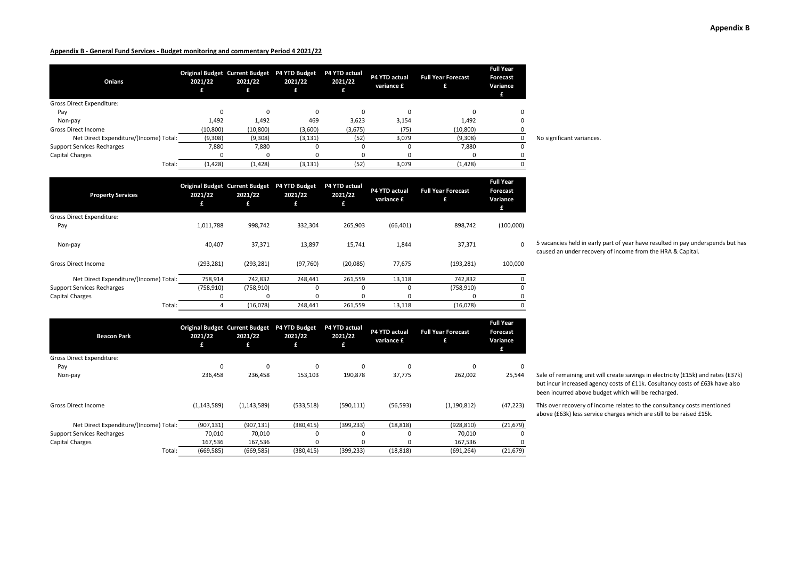| Onians                                 | 2021/22   | 2021/22   | Original Budget Current Budget P4 YTD Budget<br>2021/22<br>£ | <b>P4 YTD actual</b><br>2021/22 | P4 YTD actual<br>variance £ | <b>Full Year Forecast</b> | <b>Full Year</b><br><b>Forecast</b><br>Variance<br>£ |                           |
|----------------------------------------|-----------|-----------|--------------------------------------------------------------|---------------------------------|-----------------------------|---------------------------|------------------------------------------------------|---------------------------|
| <b>Gross Direct Expenditure:</b>       |           |           |                                                              |                                 |                             |                           |                                                      |                           |
| Pay                                    |           |           |                                                              |                                 |                             | $\Omega$                  |                                                      |                           |
| Non-pay                                | 1,492     | 1,492     | 469                                                          | 3,623                           | 3,154                       | 1,492                     |                                                      |                           |
| <b>Gross Direct Income</b>             | (10, 800) | (10, 800) | (3,600)                                                      | (3,675)                         | (75)                        | (10, 800)                 |                                                      |                           |
| Net Direct Expenditure/(Income) Total: | (9,308)   | (9,308)   | (3, 131)                                                     | (52)                            | 3,079                       | (9,308)                   |                                                      | No significant variances. |
| <b>Support Services Recharges</b>      | 7,880     | 7,880     |                                                              |                                 |                             | 7,880                     |                                                      |                           |
| Capital Charges                        |           |           |                                                              |                                 |                             | 0                         |                                                      |                           |
| Total:                                 | (1, 428)  | (1, 428)  | (3, 131)                                                     | (52)                            | 3,079                       | (1,428)                   |                                                      |                           |

| <b>Property Services</b>               | 2021/22<br>£ | <b>Original Budget Current Budget</b><br>2021/22<br>£ | P4 YTD Budget<br>2021/22<br>£ | P4 YTD actual<br>2021/22<br>£ | P4 YTD actual<br>variance £ | <b>Full Year Forecast</b><br>£ | <b>Full Year</b><br>Forecast<br>Variance<br>£ |
|----------------------------------------|--------------|-------------------------------------------------------|-------------------------------|-------------------------------|-----------------------------|--------------------------------|-----------------------------------------------|
| <b>Gross Direct Expenditure:</b>       |              |                                                       |                               |                               |                             |                                |                                               |
| Pay                                    | 1,011,788    | 998,742                                               | 332,304                       | 265,903                       | (66, 401)                   | 898,742                        | (100,000)                                     |
| Non-pay                                | 40,407       | 37,371                                                | 13,897                        | 15,741                        | 1,844                       | 37,371                         | 0                                             |
| <b>Gross Direct Income</b>             | (293, 281)   | (293, 281)                                            | (97, 760)                     | (20,085)                      | 77,675                      | (193, 281)                     | 100,000                                       |
| Net Direct Expenditure/(Income) Total: | 758,914      | 742,832                                               | 248,441                       | 261,559                       | 13,118                      | 742,832                        | 0                                             |
| <b>Support Services Recharges</b>      | (758, 910)   | (758, 910)                                            | $\Omega$                      | $\Omega$                      | 0                           | (758, 910)                     | $\Omega$                                      |
| <b>Capital Charges</b>                 |              |                                                       | ŋ                             | ŋ                             | 0                           | 0                              | 0                                             |
| Total:                                 |              | (16,078)                                              | 248,441                       | 261,559                       | 13,118                      | (16,078)                       | 0                                             |

| <b>Beacon Park</b>                     | 2021/22<br>£  | <b>Original Budget Current Budget</b><br>2021/22<br>£ | <b>P4 YTD Budget</b><br>2021/22<br>£ | P4 YTD actual<br>2021/22<br>£ | P4 YTD actual<br>variance £ | <b>Full Year Forecast</b><br>£ | <b>Full Year</b><br>Forecast<br>Variance<br>£ |
|----------------------------------------|---------------|-------------------------------------------------------|--------------------------------------|-------------------------------|-----------------------------|--------------------------------|-----------------------------------------------|
| <b>Gross Direct Expenditure:</b>       |               |                                                       |                                      |                               |                             |                                |                                               |
| Pay                                    | $\Omega$      | 0                                                     | 0                                    | $\Omega$                      | $\Omega$                    | $\Omega$                       | $\Omega$                                      |
| Non-pay                                | 236,458       | 236,458                                               | 153,103                              | 190,878                       | 37,775                      | 262,002                        | 25,544                                        |
| <b>Gross Direct Income</b>             | (1, 143, 589) | (1, 143, 589)                                         | (533, 518)                           | (590, 111)                    | (56, 593)                   | (1, 190, 812)                  | (47, 223)                                     |
| Net Direct Expenditure/(Income) Total: | (907, 131)    | (907, 131)                                            | (380, 415)                           | (399, 233)                    | (18, 818)                   | (928, 810)                     | (21, 679)                                     |
| <b>Support Services Recharges</b>      | 70,010        | 70,010                                                | 0                                    | $\Omega$                      | 0                           | 70,010                         | $\Omega$                                      |
| Capital Charges                        | 167,536       | 167,536                                               | $\Omega$                             | $\Omega$                      | 0                           | 167,536                        | $\Omega$                                      |
| Total:                                 | (669, 585)    | (669, 585)                                            | (380,415)                            | (399, 233)                    | (18, 818)                   | (691, 264)                     | (21, 679)                                     |

5 vacancies held in early part of year have resulted in pay underspends but has caused an under recovery of income from the HRA & Capital.

Sale of remaining unit will create savings in electricity (£15k) and rates (£37k) but incur increased agency costs of £11k. Cosultancy costs of £63k have also been incurred above budget which will be recharged.

This over recovery of income relates to the consultancy costs mentioned above (£63k) less service charges which are still to be raised £15k.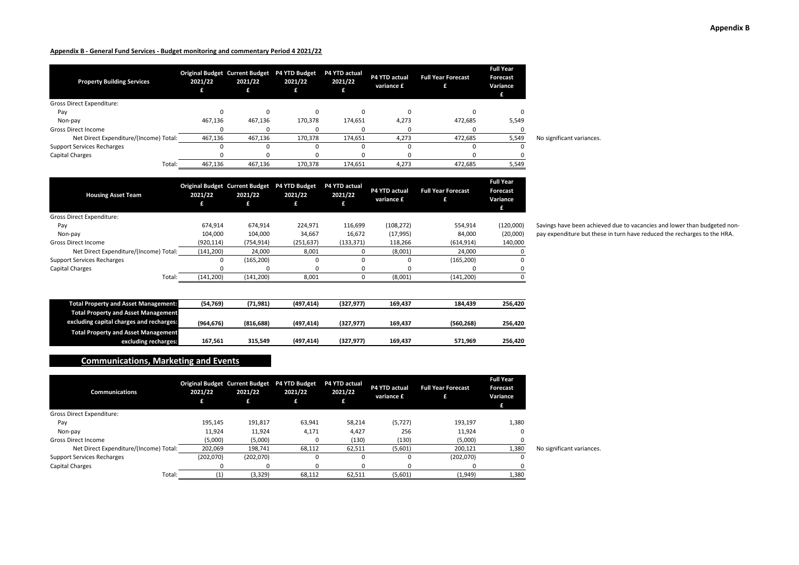| <b>Property Building Services</b>      | 2021/22 | <b>Original Budget Current Budget</b><br>2021/22 | P4 YTD Budget<br>2021/22 | <b>P4 YTD actual</b><br>2021/22 | P4 YTD actual<br>variance £ | <b>Full Year Forecast</b> | <b>Full Year</b><br><b>Forecast</b><br>Variance<br>£ |                           |
|----------------------------------------|---------|--------------------------------------------------|--------------------------|---------------------------------|-----------------------------|---------------------------|------------------------------------------------------|---------------------------|
| <b>Gross Direct Expenditure:</b>       |         |                                                  |                          |                                 |                             |                           |                                                      |                           |
| Pay                                    |         |                                                  |                          |                                 |                             |                           |                                                      |                           |
| Non-pay                                | 467,136 | 467,136                                          | 170,378                  | 174,651                         | 4,273                       | 472,685                   | 5,549                                                |                           |
| <b>Gross Direct Income</b>             |         |                                                  |                          |                                 |                             |                           |                                                      |                           |
| Net Direct Expenditure/(Income) Total: | 467,136 | 467,136                                          | 170,378                  | 174.651                         | 4,273                       | 472,685                   | 5,549                                                | No significant variances. |
| <b>Support Services Recharges</b>      |         |                                                  |                          |                                 |                             |                           |                                                      |                           |
| <b>Capital Charges</b>                 |         |                                                  |                          |                                 |                             |                           |                                                      |                           |
| Total:                                 | 467,136 | 467,136                                          | 170,378                  | 174,651                         | 4,273                       | 472,685                   | 5,549                                                |                           |

| <b>Housing Asset Team</b>              | 2021/22<br>£ | <b>Original Budget Current Budget</b><br>2021/22<br>£ | P4 YTD Budget<br>2021/22 | P4 YTD actual<br>2021/22<br>£ | P4 YTD actual<br>variance £ | <b>Full Year Forecast</b> | <b>Full Year</b><br>Forecast<br>Variance |
|----------------------------------------|--------------|-------------------------------------------------------|--------------------------|-------------------------------|-----------------------------|---------------------------|------------------------------------------|
| Gross Direct Expenditure:              |              |                                                       |                          |                               |                             |                           |                                          |
| Pay                                    | 674.914      | 674.914                                               | 224.971                  | 116.699                       | (108, 272)                  | 554.914                   | (120,000)                                |
| Non-pay                                | 104.000      | 104.000                                               | 34.667                   | 16.672                        | (17, 995)                   | 84.000                    | (20,000)                                 |
| <b>Gross Direct Income</b>             | (920, 114)   | (754, 914)                                            | (251, 637)               | (133, 371)                    | 118,266                     | (614, 914)                | 140,000                                  |
| Net Direct Expenditure/(Income) Total: | (141, 200)   | 24.000                                                | 8.001                    |                               | (8,001)                     | 24.000                    | O                                        |
| <b>Support Services Recharges</b>      |              | (165, 200)                                            | 0                        | 0                             | $\Omega$                    | (165, 200)                | U                                        |
| Capital Charges                        |              | 0                                                     | $\Omega$                 | 0                             |                             |                           |                                          |
| Total:                                 | (141, 200)   | (141, 200)                                            | 8,001                    |                               | (8,001)                     | (141, 200)                |                                          |

Savings have been achieved due to vacancies and lower than budgeted nonpay expenditure but these in turn have reduced the recharges to the HRA.

| <b>Total Property and Asset Management:</b> | (54, 769) | (71,981)  | (497.414) | (327, 977) | 169.437 | 184.439   | 256.420 |
|---------------------------------------------|-----------|-----------|-----------|------------|---------|-----------|---------|
| <b>Total Property and Asset Management</b>  |           |           |           |            |         |           |         |
| excluding capital charges and recharges:    | (964.676) | (816.688) | (497.414) | (327.977)  | 169.437 | (560.268) | 256.420 |
| <b>Total Property and Asset Management</b>  |           |           |           |            |         |           |         |
| excluding recharges:                        | 167.561   | 315.549   | (497.414) | (327.977)  | 169.437 | 571.969   | 256.420 |

# **Communications, Marketing and Events**

| <b>Communications</b>                  | 2021/22   | 2021/22   | Original Budget Current Budget P4 YTD Budget<br>2021/22<br>£ | <b>P4 YTD actual</b><br>2021/22 | P4 YTD actual<br>variance £ | <b>Full Year Forecast</b> | <b>Full Year</b><br>Forecast<br>Variance<br>£ |                           |
|----------------------------------------|-----------|-----------|--------------------------------------------------------------|---------------------------------|-----------------------------|---------------------------|-----------------------------------------------|---------------------------|
| Gross Direct Expenditure:              |           |           |                                                              |                                 |                             |                           |                                               |                           |
| Pay                                    | 195,145   | 191,817   | 63,941                                                       | 58,214                          | (5, 727)                    | 193,197                   | 1,380                                         |                           |
| Non-pay                                | 11,924    | 11,924    | 4,171                                                        | 4,427                           | 256                         | 11,924                    | 0                                             |                           |
| <b>Gross Direct Income</b>             | (5,000)   | (5,000)   |                                                              | (130)                           | (130)                       | (5,000)                   |                                               |                           |
| Net Direct Expenditure/(Income) Total: | 202,069   | 198,741   | 68,112                                                       | 62,511                          | (5,601)                     | 200,121                   | 1,380                                         | No significant variances. |
| <b>Support Services Recharges</b>      | (202,070) | (202,070) | 0                                                            | 0                               |                             | (202,070)                 | $\Omega$                                      |                           |
| Capital Charges                        |           | $\Omega$  |                                                              |                                 |                             |                           |                                               |                           |
| Total:                                 |           | (3, 329)  | 68,112                                                       | 62,511                          | (5,601)                     | (1,949)                   | 1,380                                         |                           |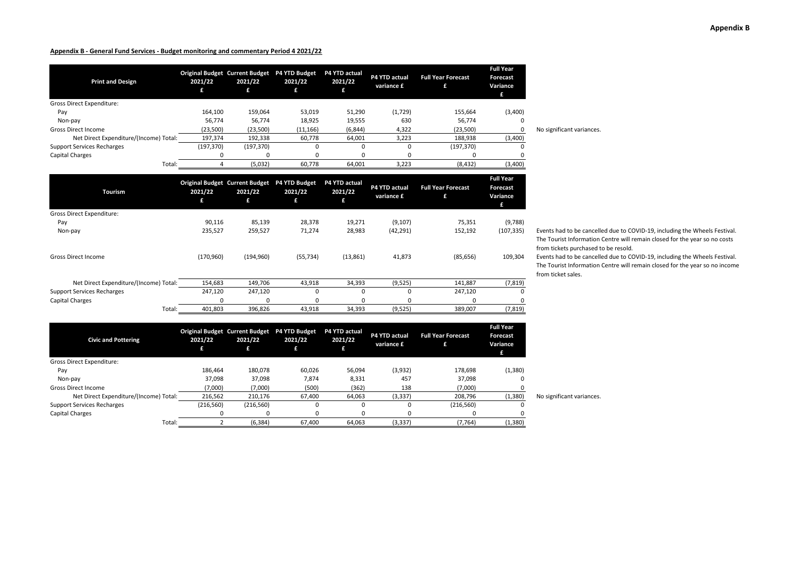| <b>Print and Design</b>                | 2021/22    | <b>Original Budget Current Budget</b><br>2021/22<br>£ | <b>P4 YTD Budget</b><br>2021/22<br>£ | <b>P4 YTD actual</b><br>2021/22 | P4 YTD actual<br>variance £ | <b>Full Year Forecast</b> | <b>Full Year</b><br>Forecast<br>Variance<br>£ |                           |
|----------------------------------------|------------|-------------------------------------------------------|--------------------------------------|---------------------------------|-----------------------------|---------------------------|-----------------------------------------------|---------------------------|
| <b>Gross Direct Expenditure:</b>       |            |                                                       |                                      |                                 |                             |                           |                                               |                           |
| Pay                                    | 164,100    | 159,064                                               | 53,019                               | 51,290                          | (1,729)                     | 155,664                   | (3,400)                                       |                           |
| Non-pay                                | 56,774     | 56,774                                                | 18,925                               | 19,555                          | 630                         | 56,774                    | 0                                             |                           |
| <b>Gross Direct Income</b>             | (23,500)   | (23,500)                                              | (11, 166)                            | (6, 844)                        | 4,322                       | (23,500)                  | $\Omega$                                      | No significant variances. |
| Net Direct Expenditure/(Income) Total: | 197,374    | 192,338                                               | 60,778                               | 64,001                          | 3,223                       | 188,938                   | (3,400)                                       |                           |
| <b>Support Services Recharges</b>      | (197, 370) | (197, 370)                                            | 0                                    | $\Omega$                        |                             | (197, 370)                | 0                                             |                           |
| <b>Capital Charges</b>                 |            |                                                       |                                      |                                 |                             |                           |                                               |                           |
| Total:                                 |            | (5,032)                                               | 60,778                               | 64,001                          | 3,223                       | (8, 432)                  | (3,400)                                       |                           |

| Tourism                                | 2021/22           | 2021/22    | Original Budget Current Budget P4 YTD Budget<br>2021/22 | P4 YTD actual<br>2021/22 | P4 YTD actual<br>variance £ | <b>Full Year Forecast</b> | <b>Full Year</b><br><b>Forecast</b><br>Variance |                                                                                                                                                                                                  |
|----------------------------------------|-------------------|------------|---------------------------------------------------------|--------------------------|-----------------------------|---------------------------|-------------------------------------------------|--------------------------------------------------------------------------------------------------------------------------------------------------------------------------------------------------|
| <b>Gross Direct Expenditure:</b>       |                   |            |                                                         |                          |                             |                           |                                                 |                                                                                                                                                                                                  |
| Pay                                    | 90,116            | 85,139     | 28,378                                                  | 19,271                   | (9, 107)                    | 75,351                    | (9,788)                                         |                                                                                                                                                                                                  |
| Non-pay                                | 235,527           | 259,527    | 71,274                                                  | 28,983                   | (42, 291)                   | 152,192                   | (107, 335)                                      | Events had to be cancelled due to COVID-19, including the Wheels Festival.<br>The Tourist Information Centre will remain closed for the year so no costs<br>from tickets purchased to be resold. |
| <b>Gross Direct Income</b>             | (170, 960)        | (194, 960) | (55, 734)                                               | (13, 861)                | 41,873                      | (85, 656)                 | 109,304                                         | Events had to be cancelled due to COVID-19, including the Wheels Festival.<br>The Tourist Information Centre will remain closed for the year so no income<br>from ticket sales.                  |
| Net Direct Expenditure/(Income) Total: | 154,683           | 149,706    | 43,918                                                  | 34,393                   | (9,525)                     | 141,887                   | (7, 819)                                        |                                                                                                                                                                                                  |
| <b>Support Services Recharges</b>      | 247,120           | 247,120    | 0                                                       | $\Omega$                 |                             | 247,120                   |                                                 |                                                                                                                                                                                                  |
| <b>Capital Charges</b>                 |                   |            | n                                                       | n                        | n                           | $\Omega$                  |                                                 |                                                                                                                                                                                                  |
|                                        | 401,803<br>Total: | 396,826    | 43,918                                                  | 34,393                   | (9,525)                     | 389,007                   | (7, 819)                                        |                                                                                                                                                                                                  |

| Events had to be cancelled due to COVID-19, including the Wheels Festival. |
|----------------------------------------------------------------------------|
| The Tourist Information Centre will remain closed for the year so no costs |
| from tickets purchased to be resold.                                       |

| <b>Civic and Pottering</b>             | 2021/22    | 2021/22<br>£ | Original Budget Current Budget P4 YTD Budget<br>2021/22<br>£ | P4 YTD actual<br>2021/22 | P4 YTD actual<br>variance £ | <b>Full Year Forecast</b> | <b>Full Year</b><br><b>Forecast</b><br>Variance<br>£ |                           |
|----------------------------------------|------------|--------------|--------------------------------------------------------------|--------------------------|-----------------------------|---------------------------|------------------------------------------------------|---------------------------|
| Gross Direct Expenditure:              |            |              |                                                              |                          |                             |                           |                                                      |                           |
| Pay                                    | 186.464    | 180,078      | 60,026                                                       | 56,094                   | (3,932)                     | 178,698                   | (1,380)                                              |                           |
| Non-pay                                | 37,098     | 37,098       | 7,874                                                        | 8,331                    | 457                         | 37,098                    |                                                      |                           |
| <b>Gross Direct Income</b>             | (7,000)    | (7,000)      | (500)                                                        | (362)                    | 138                         | (7,000)                   |                                                      |                           |
| Net Direct Expenditure/(Income) Total: | 216,562    | 210,176      | 67.400                                                       | 64,063                   | (3, 337)                    | 208,796                   | (1,380)                                              | No significant variances. |
| <b>Support Services Recharges</b>      | (216, 560) | (216, 560)   | 0                                                            | 0                        |                             | (216, 560)                | 0                                                    |                           |
| Capital Charges                        | $\Omega$   | 0            | O                                                            | $\Omega$                 |                             | 0                         |                                                      |                           |
| Total:                                 |            | (6, 384)     | 67,400                                                       | 64,063                   | (3, 337)                    | (7, 764)                  | (1,380)                                              |                           |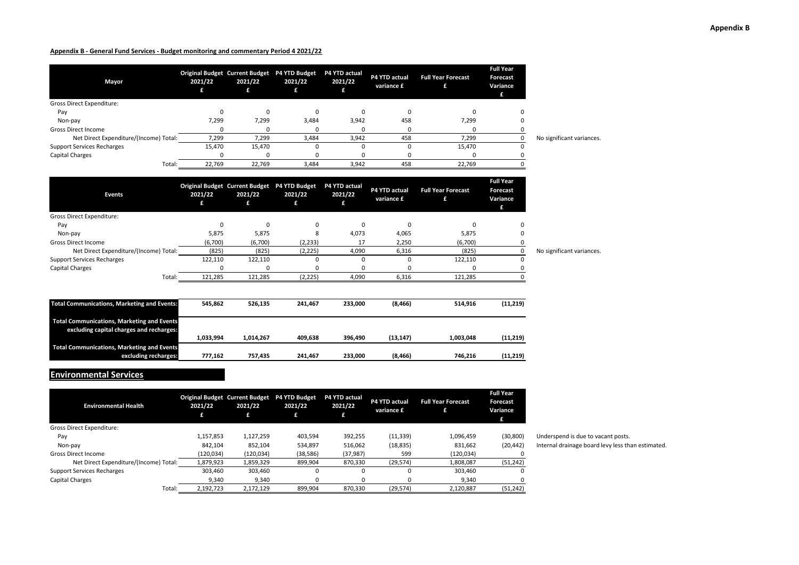| Mayor                                  | 2021/22 | 2021/22<br>£ | Original Budget Current Budget P4 YTD Budget P4 YTD actual<br>2021/22 | 2021/22  | P4 YTD actual<br>variance £ | <b>Full Year Forecast</b> | <b>Full Year</b><br><b>Forecast</b><br>Variance<br>£ |                           |
|----------------------------------------|---------|--------------|-----------------------------------------------------------------------|----------|-----------------------------|---------------------------|------------------------------------------------------|---------------------------|
| <b>Gross Direct Expenditure:</b>       |         |              |                                                                       |          |                             |                           |                                                      |                           |
| Pay                                    |         | 0            | 0                                                                     | $\Omega$ |                             |                           |                                                      |                           |
| Non-pay                                | 7,299   | 7,299        | 3,484                                                                 | 3,942    | 458                         | 7,299                     |                                                      |                           |
| <b>Gross Direct Income</b>             |         | <sup>0</sup> |                                                                       |          |                             |                           |                                                      |                           |
| Net Direct Expenditure/(Income) Total: | 7,299   | 7,299        | 3,484                                                                 | 3,942    | 458                         | 7,299                     |                                                      | No significant variances. |
| <b>Support Services Recharges</b>      | 15,470  | 15,470       | 0                                                                     | 0        |                             | 15,470                    | 0                                                    |                           |
| Capital Charges                        |         |              |                                                                       |          |                             |                           |                                                      |                           |
| Total:                                 | 22,769  | 22.769       | 3,484                                                                 | 3,942    | 458                         | 22,769                    |                                                      |                           |

| <b>Events</b>                                                                                 | <b>Original Budget Current Budget</b><br>2021/22<br>£ | 2021/22<br>£ | <b>P4 YTD Budget</b><br>2021/22<br>£ | P4 YTD actual<br>2021/22<br>ŧ. | P4 YTD actual<br>variance £ | <b>Full Year Forecast</b><br>£ | <b>Full Year</b><br>Forecast<br>Variance<br>Æ |                           |
|-----------------------------------------------------------------------------------------------|-------------------------------------------------------|--------------|--------------------------------------|--------------------------------|-----------------------------|--------------------------------|-----------------------------------------------|---------------------------|
| <b>Gross Direct Expenditure:</b>                                                              |                                                       |              |                                      |                                |                             |                                |                                               |                           |
| Pay                                                                                           | 0                                                     | 0            | 0                                    | $\mathbf 0$                    | $\Omega$                    | $\Omega$                       | 0                                             |                           |
| Non-pay                                                                                       | 5,875                                                 | 5,875        | 8                                    | 4,073                          | 4,065                       | 5,875                          | 0                                             |                           |
| <b>Gross Direct Income</b>                                                                    | (6,700)                                               | (6,700)      | (2, 233)                             | 17                             | 2,250                       | (6,700)                        |                                               |                           |
| Net Direct Expenditure/(Income) Total:                                                        | (825)                                                 | (825)        | (2, 225)                             | 4,090                          | 6,316                       | (825)                          | 0                                             | No significant variances. |
| <b>Support Services Recharges</b>                                                             | 122,110                                               | 122,110      | $\Omega$                             | $\Omega$                       | n                           | 122,110                        |                                               |                           |
| Capital Charges                                                                               | $\Omega$                                              | 0            | 0                                    | $\Omega$                       |                             | $\Omega$                       |                                               |                           |
| Total:                                                                                        | 121,285                                               | 121,285      | (2, 225)                             | 4,090                          | 6,316                       | 121,285                        |                                               |                           |
| <b>Total Communications, Marketing and Events:</b>                                            | 545,862                                               | 526,135      | 241,467                              | 233,000                        | (8, 466)                    | 514,916                        | (11, 219)                                     |                           |
| <b>Total Communications, Marketing and Events</b><br>excluding capital charges and recharges: | 1,033,994                                             | 1,014,267    | 409,638                              | 396,490                        | (13, 147)                   | 1,003,048                      | (11, 219)                                     |                           |
| <b>Total Communications, Marketing and Events</b>                                             |                                                       |              |                                      |                                |                             |                                |                                               |                           |

**excluding recharges: 777,162 757,435 241,467 233,000 (8,466) 746,216 (11,219)**

# **Environmental Services**

| <b>Environmental Health</b>            | 2021/22<br>£ | <b>Original Budget Current Budget</b><br>2021/22<br>£ | <b>P4 YTD Budget</b><br>2021/22<br>79. | P4 YTD actual<br>2021/22 | P4 YTD actual<br>variance £ | <b>Full Year Forecast</b><br>£ | <b>Full Year</b><br>Forecast<br>Variance |
|----------------------------------------|--------------|-------------------------------------------------------|----------------------------------------|--------------------------|-----------------------------|--------------------------------|------------------------------------------|
| Gross Direct Expenditure:              |              |                                                       |                                        |                          |                             |                                |                                          |
| Pay                                    | 1,157,853    | 1,127,259                                             | 403,594                                | 392,255                  | (11, 339)                   | 1,096,459                      | (30, 800)                                |
| Non-pay                                | 842.104      | 852.104                                               | 534.897                                | 516,062                  | (18, 835)                   | 831.662                        | (20, 442)                                |
| <b>Gross Direct Income</b>             | (120, 034)   | (120, 034)                                            | (38, 586)                              | (37, 987)                | 599                         | (120, 034)                     |                                          |
| Net Direct Expenditure/(Income) Total: | 1,879,923    | 1.859.329                                             | 899,904                                | 870.330                  | (29, 574)                   | 1,808,087                      | (51, 242)                                |
| <b>Support Services Recharges</b>      | 303.460      | 303,460                                               | 0                                      | ŋ                        |                             | 303.460                        | <sup>0</sup>                             |
| Capital Charges                        | 9,340        | 9,340                                                 | 0                                      |                          |                             | 9,340                          |                                          |
| Total:                                 | 2,192,723    | 2,172,129                                             | 899,904                                | 870.330                  | (29, 574)                   | 2,120,887                      | (51, 242)                                |

Underspend is due to vacant posts. Internal drainage board levy less than estimated.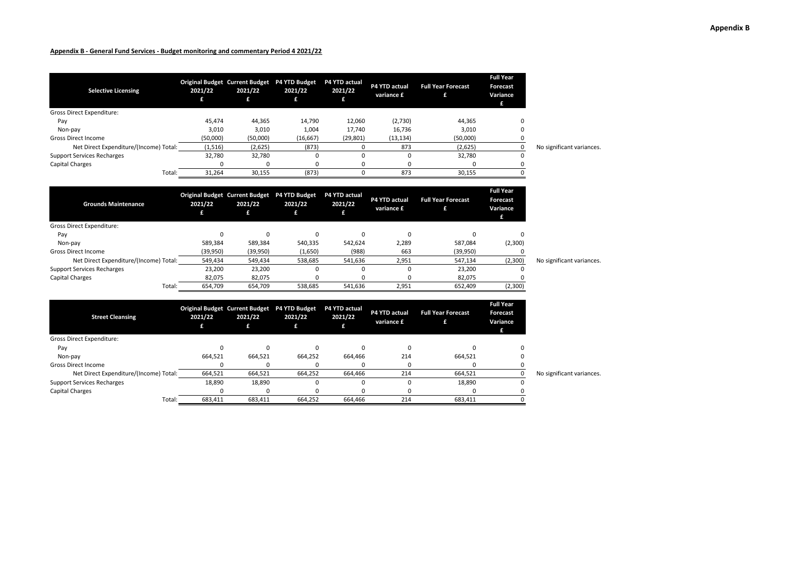| <b>Selective Licensing</b>             | 2021/22  | <b>Original Budget Current Budget</b><br>2021/22<br>£ | P4 YTD Budget<br>2021/22<br>£ | <b>P4 YTD actual</b><br>2021/22 | P4 YTD actual<br>variance £ | <b>Full Year Forecast</b><br>£ | <b>Full Year</b><br><b>Forecast</b><br>Variance<br>£ |                           |
|----------------------------------------|----------|-------------------------------------------------------|-------------------------------|---------------------------------|-----------------------------|--------------------------------|------------------------------------------------------|---------------------------|
| <b>Gross Direct Expenditure:</b>       |          |                                                       |                               |                                 |                             |                                |                                                      |                           |
| Pay                                    | 45.474   | 44,365                                                | 14,790                        | 12,060                          | (2,730)                     | 44,365                         | $\Omega$                                             |                           |
| Non-pay                                | 3,010    | 3,010                                                 | 1,004                         | 17,740                          | 16,736                      | 3,010                          | 0                                                    |                           |
| <b>Gross Direct Income</b>             | (50,000) | (50,000)                                              | (16, 667)                     | (29, 801)                       | (13, 134)                   | (50,000)                       |                                                      |                           |
| Net Direct Expenditure/(Income) Total: | (1,516)  | (2,625)                                               | (873)                         |                                 | 873                         | (2,625)                        | 0                                                    | No significant variances. |
| <b>Support Services Recharges</b>      | 32,780   | 32,780                                                |                               | ш                               |                             | 32,780                         | 0                                                    |                           |
| Capital Charges                        |          |                                                       |                               |                                 |                             | n                              |                                                      |                           |
| Total:                                 | 31,264   | 30,155                                                | (873)                         |                                 | 873                         | 30,155                         |                                                      |                           |

| <b>Grounds Maintenance</b>             | 2021/22  | 2021/22<br>£ | Original Budget Current Budget P4 YTD Budget<br>2021/22 | <b>P4 YTD actual</b><br>2021/22 | P4 YTD actual<br>variance £ | <b>Full Year Forecast</b> | <b>Full Year</b><br><b>Forecast</b><br>Variance |                           |
|----------------------------------------|----------|--------------|---------------------------------------------------------|---------------------------------|-----------------------------|---------------------------|-------------------------------------------------|---------------------------|
| Gross Direct Expenditure:              |          |              |                                                         |                                 |                             |                           |                                                 |                           |
| Pay                                    |          |              | 0                                                       | $\Omega$                        |                             | $\Omega$                  | C                                               |                           |
| Non-pay                                | 589,384  | 589,384      | 540,335                                                 | 542,624                         | 2,289                       | 587,084                   | (2,300)                                         |                           |
| <b>Gross Direct Income</b>             | (39,950) | (39,950)     | (1,650)                                                 | (988)                           | 663                         | (39,950)                  |                                                 |                           |
| Net Direct Expenditure/(Income) Total: | 549,434  | 549,434      | 538,685                                                 | 541,636                         | 2,951                       | 547,134                   | (2,300)                                         | No significant variances. |
| <b>Support Services Recharges</b>      | 23,200   | 23,200       |                                                         |                                 |                             | 23,200                    |                                                 |                           |
| <b>Capital Charges</b>                 | 82,075   | 82,075       |                                                         |                                 |                             | 82,075                    |                                                 |                           |
| Total:                                 | 654,709  | 654,709      | 538,685                                                 | 541,636                         | 2,951                       | 652,409                   | (2,300)                                         |                           |

| <b>Street Cleansing</b>                | 2021/22 | 2021/22<br>£ | Original Budget Current Budget P4 YTD Budget<br>2021/22<br>£ | P4 YTD actual<br>2021/22 | P4 YTD actual<br>variance £ | <b>Full Year Forecast</b> | <b>Full Year</b><br><b>Forecast</b><br>Variance<br>£ |                           |
|----------------------------------------|---------|--------------|--------------------------------------------------------------|--------------------------|-----------------------------|---------------------------|------------------------------------------------------|---------------------------|
| Gross Direct Expenditure:              |         |              |                                                              |                          |                             |                           |                                                      |                           |
| Pay                                    |         |              |                                                              |                          |                             |                           |                                                      |                           |
| Non-pay                                | 664,521 | 664,521      | 664,252                                                      | 664,466                  | 214                         | 664,521                   |                                                      |                           |
| <b>Gross Direct Income</b>             |         |              |                                                              |                          |                             |                           |                                                      |                           |
| Net Direct Expenditure/(Income) Total: | 664,521 | 664,521      | 664,252                                                      | 664,466                  | 214                         | 664,521                   |                                                      | No significant variances. |
| <b>Support Services Recharges</b>      | 18,890  | 18,890       | 0                                                            | 0                        |                             | 18,890                    |                                                      |                           |
| Capital Charges                        |         | <sup>0</sup> |                                                              | $\Omega$                 |                             |                           |                                                      |                           |
| Total:                                 | 683,411 | 683,411      | 664,252                                                      | 664.466                  | 214                         | 683,411                   |                                                      |                           |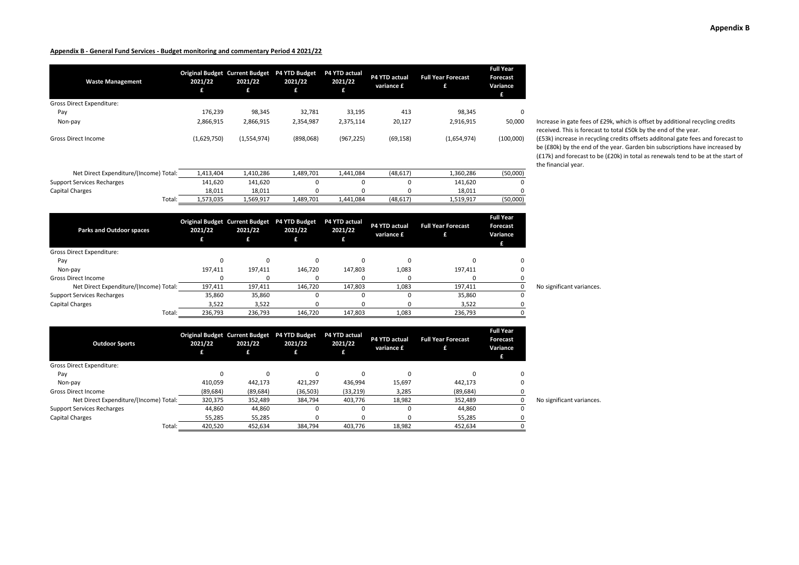| <b>Waste Management</b>                | 2021/22<br>£ | 2021/22<br>£                                                 | Original Budget Current Budget P4 YTD Budget<br>2021/22<br>£ | P4 YTD actual<br>2021/22      | P4 YTD actual<br>variance £ | <b>Full Year Forecast</b><br>£ | Forecast<br>Variance<br>£                     |                                                                                                         |
|----------------------------------------|--------------|--------------------------------------------------------------|--------------------------------------------------------------|-------------------------------|-----------------------------|--------------------------------|-----------------------------------------------|---------------------------------------------------------------------------------------------------------|
| Gross Direct Expenditure:              |              |                                                              |                                                              |                               |                             |                                |                                               |                                                                                                         |
| Pay                                    | 176,239      | 98,345                                                       | 32,781                                                       | 33,195                        | 413                         | 98,345                         | 0                                             |                                                                                                         |
| Non-pay                                | 2,866,915    | 2,866,915                                                    | 2,354,987                                                    | 2,375,114                     | 20,127                      | 2,916,915                      | 50,000                                        | Increase in gate fees of<br>received. This is forecas                                                   |
| <b>Gross Direct Income</b>             | (1,629,750)  | (1,554,974)                                                  | (898,068)                                                    | (967, 225)                    | (69, 158)                   | (1,654,974)                    | (100,000)                                     | (£53k) increase in recycl<br>be (£80k) by the end of<br>(£17k) and forecast to b<br>the financial year. |
| Net Direct Expenditure/(Income) Total: | 1,413,404    | 1,410,286                                                    | 1,489,701                                                    | 1,441,084                     | (48, 617)                   | 1,360,286                      | (50,000)                                      |                                                                                                         |
| <b>Support Services Recharges</b>      | 141,620      | 141,620                                                      | $\Omega$                                                     | $\Omega$                      | 0                           | 141,620                        | n                                             |                                                                                                         |
|                                        | 18,011       | 18,011                                                       | $\Omega$                                                     |                               | $\Omega$                    | 18,011                         |                                               |                                                                                                         |
|                                        |              |                                                              |                                                              |                               |                             |                                |                                               |                                                                                                         |
| Capital Charges<br>Total:              | 1,573,035    | 1,569,917                                                    | 1,489,701                                                    | 1,441,084                     | (48, 617)                   | 1,519,917                      | (50,000)                                      |                                                                                                         |
| <b>Parks and Outdoor spaces</b>        | 2021/22<br>£ | Original Budget Current Budget P4 YTD Budget<br>2021/22<br>£ | 2021/22<br>£                                                 | P4 YTD actual<br>2021/22<br>ß | P4 YTD actual<br>variance £ | <b>Full Year Forecast</b><br>£ | <b>Full Year</b><br>Forecast<br>Variance<br>£ |                                                                                                         |
| Gross Direct Expenditure:              |              |                                                              |                                                              |                               |                             |                                |                                               |                                                                                                         |
| Pay                                    | 0            | 0                                                            | $\Omega$                                                     | $\Omega$                      | 0                           | $\Omega$                       |                                               |                                                                                                         |
| Non-pay                                | 197,411      | 197,411                                                      | 146,720                                                      | 147,803                       | 1,083                       | 197,411                        |                                               |                                                                                                         |
| <b>Gross Direct Income</b>             | $\Omega$     | 0                                                            | $\Omega$                                                     | $\Omega$                      | 0                           | $\Omega$                       | 0                                             |                                                                                                         |
| Net Direct Expenditure/(Income) Total: | 197,411      | 197,411                                                      | 146,720                                                      | 147,803                       | 1,083                       | 197,411                        | $\mathbf 0$                                   | No significant variances.                                                                               |
| <b>Support Services Recharges</b>      | 35,860       | 35,860                                                       | 0                                                            | $\Omega$                      | 0                           | 35,860                         | $\Omega$                                      |                                                                                                         |
| Capital Charges                        | 3,522        | 3,522                                                        | $\Omega$                                                     |                               | $\Omega$                    | 3,522                          | 0                                             |                                                                                                         |

**Outdoor Sports Original Budget 2021/22 £ Current Budget 2021/22 £ P4 YTD Budget 2021/22 £ P4 YTD actual 2021/22 £ P4 YTD actual variance £ Full Year Forecast £ Forecast Variance £** Gross Direct Expenditure: Pay 0 0 0 0 0 0 0 Non-pay 410,059 442,173 421,297 436,994 15,697 442,173 0 Gross Direct Income (89,684) (89,684) (36,503) (33,219) 3,285 (89,684) 0 Net Direct Expenditure/(Income) Total: 320,375 352,489 384,794 403,776 18,982 352,489 0 No significant variances.<br>C Services Recharges 0 44,860 44,860 0 0 0 44,860 0 Support Services Recharges 1988 14,860 14,860 14,860 0 0 0 0 44,860 0 0 0 44,860 0 0 0 44,860 0 0 0 55,285 0 0 0 55,285 0 0 0 0 55,285 0 0 0 0 55,285 0 0 0 0 55,285 0 0 0 0 55,285 0 0 0 55,285 0 0 0 55,285 0 0 0 55,285 0 0 Capital Charges 55,285 55,285 0 0 0 55,285 0

Total: 420,520 452,634 384,794 403,776 18,982 452,634 0

gate fees of £29k, which is offset by additional recycling credits his is forecast to total £50k by the end of the year. ease in recycling credits offsets additonal gate fees and forecast to by the end of the year. Garden bin subscriptions have increased by forecast to be (£20k) in total as renewals tend to be at the start of al year.

**Full Year**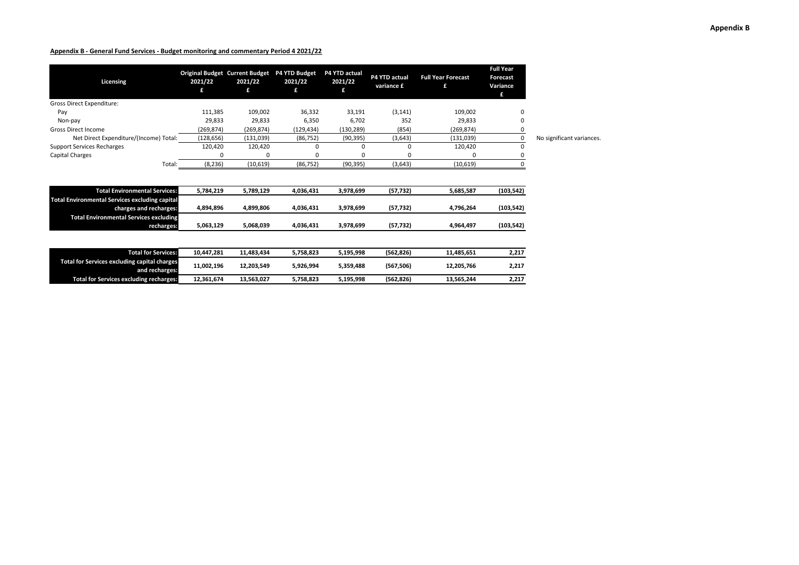| Licensing                                                                                     | 2021/22    | <b>Original Budget Current Budget</b><br>2021/22<br>£ | P4 YTD Budget<br>2021/22<br>£ | P4 YTD actual<br>2021/22<br>£ | <b>P4 YTD actual</b><br>variance £ | <b>Full Year Forecast</b><br>£ | <b>Full Year</b><br><b>Forecast</b><br>Variance<br>£ |                           |
|-----------------------------------------------------------------------------------------------|------------|-------------------------------------------------------|-------------------------------|-------------------------------|------------------------------------|--------------------------------|------------------------------------------------------|---------------------------|
| Gross Direct Expenditure:                                                                     |            |                                                       |                               |                               |                                    |                                |                                                      |                           |
| Pay                                                                                           | 111,385    | 109,002                                               | 36,332                        | 33,191                        | (3, 141)                           | 109,002                        | 0                                                    |                           |
| Non-pay                                                                                       | 29,833     | 29,833                                                | 6,350                         | 6,702                         | 352                                | 29,833                         | 0                                                    |                           |
| <b>Gross Direct Income</b>                                                                    | (269, 874) | (269, 874)                                            | (129, 434)                    | (130, 289)                    | (854)                              | (269.874)                      | 0                                                    |                           |
| Net Direct Expenditure/(Income) Total:                                                        | (128, 656) | (131, 039)                                            | (86, 752)                     | (90, 395)                     | (3,643)                            | (131,039)                      | 0                                                    | No significant variances. |
| <b>Support Services Recharges</b>                                                             | 120,420    | 120,420                                               | 0                             | 0                             | 0                                  | 120,420                        | 0                                                    |                           |
| <b>Capital Charges</b>                                                                        |            |                                                       |                               |                               |                                    |                                |                                                      |                           |
| Total:                                                                                        | (8, 236)   | (10, 619)                                             | (86, 752)                     | (90, 395)                     | (3,643)                            | (10,619)                       | $\Omega$                                             |                           |
| <b>Total Environmental Services:</b><br><b>Total Environmental Services excluding capital</b> | 5,784,219  | 5,789,129                                             | 4,036,431                     | 3,978,699                     | (57, 732)                          | 5,685,587                      | (103, 542)                                           |                           |
| charges and recharges:                                                                        | 4,894,896  | 4,899,806                                             | 4,036,431                     | 3,978,699                     | (57, 732)                          | 4,796,264                      | (103, 542)                                           |                           |
| <b>Total Environmental Services excluding</b><br>recharges:                                   | 5,063,129  | 5,068,039                                             | 4,036,431                     | 3,978,699                     | (57, 732)                          | 4,964,497                      | (103, 542)                                           |                           |
| <b>Total for Services:</b>                                                                    | 10,447,281 | 11,483,434                                            | 5,758,823                     | 5,195,998                     | (562, 826)                         | 11,485,651                     | 2,217                                                |                           |
| <b>Total for Services excluding capital charges</b><br>and recharges:                         | 11,002,196 | 12,203,549                                            | 5,926,994                     | 5,359,488                     | (567, 506)                         | 12,205,766                     | 2,217                                                |                           |
| <b>Total for Services excluding recharges:</b>                                                | 12,361,674 | 13,563,027                                            | 5,758,823                     | 5,195,998                     | (562, 826)                         | 13,565,244                     | 2,217                                                |                           |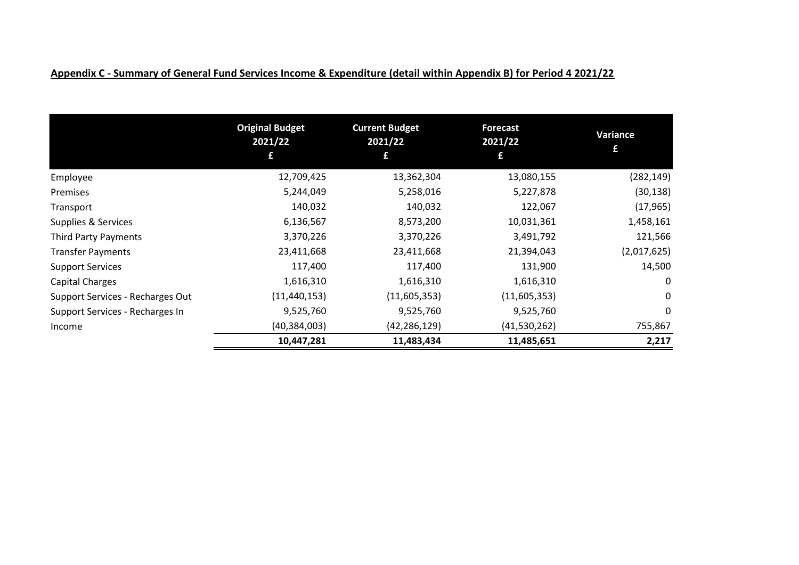|                                  | <b>Original Budget</b><br>2021/22 | <b>Current Budget</b><br>2021/22 | <b>Forecast</b><br>2021/22 | Variance<br>£ |
|----------------------------------|-----------------------------------|----------------------------------|----------------------------|---------------|
|                                  | £                                 | £                                | £                          |               |
| Employee                         | 12,709,425                        | 13,362,304                       | 13,080,155                 | (282, 149)    |
| Premises                         | 5,244,049                         | 5,258,016                        | 5,227,878                  | (30, 138)     |
| Transport                        | 140,032                           | 140,032                          | 122,067                    | (17, 965)     |
| Supplies & Services              | 6,136,567                         | 8,573,200                        | 10,031,361                 | 1,458,161     |
| Third Party Payments             | 3,370,226                         | 3,370,226                        | 3,491,792                  | 121,566       |
| <b>Transfer Payments</b>         | 23,411,668                        | 23,411,668                       | 21,394,043                 | (2,017,625)   |
| <b>Support Services</b>          | 117,400                           | 117,400                          | 131,900                    | 14,500        |
| Capital Charges                  | 1,616,310                         | 1,616,310                        | 1,616,310                  | 0             |
| Support Services - Recharges Out | (11, 440, 153)                    | (11,605,353)                     | (11,605,353)               | 0             |
| Support Services - Recharges In  | 9,525,760                         | 9,525,760                        | 9,525,760                  | 0             |
| Income                           | (40, 384, 003)                    | (42, 286, 129)                   | (41,530,262)               | 755,867       |
|                                  | 10,447,281                        | 11,483,434                       | 11,485,651                 | 2,217         |

# **Appendix C - Summary of General Fund Services Income & Expenditure (detail within Appendix B) for Period 4 2021/22**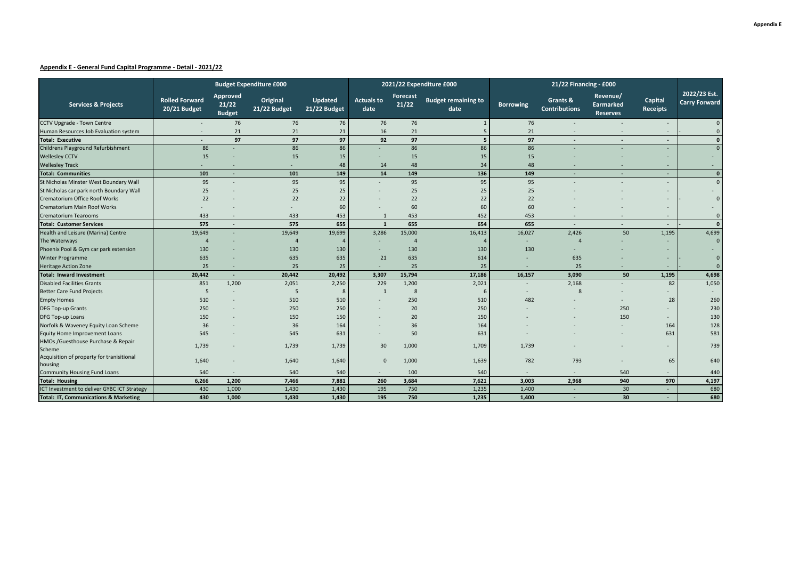### **Appendix E - General Fund Capital Programme - Detail - 2021/22**

|                                                      |                                       | <b>Budget Expenditure £000</b>     |                          |                                |                           | 2021/22 Expenditure £000 | 21/22 Financing - £000             |                  |                                  |                                          |                            |                                      |
|------------------------------------------------------|---------------------------------------|------------------------------------|--------------------------|--------------------------------|---------------------------|--------------------------|------------------------------------|------------------|----------------------------------|------------------------------------------|----------------------------|--------------------------------------|
| <b>Services &amp; Projects</b>                       | <b>Rolled Forward</b><br>20/21 Budget | Approved<br>21/22<br><b>Budget</b> | Original<br>21/22 Budget | <b>Updated</b><br>21/22 Budget | <b>Actuals to</b><br>date | Forecast<br>21/22        | <b>Budget remaining to</b><br>date | <b>Borrowing</b> | Grants &<br><b>Contributions</b> | Revenue/<br>Earmarked<br><b>Reserves</b> | Capital<br><b>Receipts</b> | 2022/23 Est.<br><b>Carry Forward</b> |
| CCTV Upgrade - Town Centre                           |                                       | 76                                 | 76                       | 76                             | 76                        | 76                       |                                    | 76               | $\sim$                           |                                          |                            | $\Omega$                             |
| Human Resources Job Evaluation system                |                                       | 21                                 | 21                       | 21                             | 16                        | 21                       | -5                                 | 21               |                                  |                                          |                            | $\Omega$                             |
| <b>Total: Executive</b>                              |                                       | 97                                 | 97                       | 97                             | 92                        | 97                       | 5                                  | 97               | $\sim$                           |                                          |                            | $\Omega$                             |
| Childrens Playground Refurbishment                   | 86                                    |                                    | 86                       | 86                             |                           | 86                       | 86                                 | 86               |                                  |                                          |                            | $\Omega$                             |
| <b>Wellesley CCTV</b>                                | 15                                    |                                    | 15                       | 15                             |                           | 15                       | 15                                 | 15               |                                  |                                          |                            |                                      |
| <b>Wellesley Track</b>                               | $\overline{\phantom{a}}$              | $\overline{a}$                     |                          | 48                             | 14                        | 48                       | 34                                 | 48               |                                  |                                          | $\overline{\phantom{a}}$   |                                      |
| <b>Total: Communities</b>                            | 101                                   | $\sim$                             | 101                      | 149                            | 14                        | 149                      | 136                                | 149              | ٠                                | ٠                                        | ۰.                         | $\Omega$                             |
| St Nicholas Minster West Boundary Wall               | 95                                    |                                    | 95                       | 95                             |                           | 95                       | 95                                 | 95               |                                  |                                          |                            | $\Omega$                             |
| St Nicholas car park north Boundary Wall             | 25                                    |                                    | 25                       | 25                             |                           | 25                       | 25                                 | 25               |                                  |                                          |                            |                                      |
| Crematorium Office Roof Works                        | 22                                    |                                    | 22                       | 22                             |                           | 22                       | 22                                 | 22               |                                  |                                          |                            | $\mathbf{0}$                         |
| <b>Crematorium Main Roof Works</b>                   |                                       |                                    |                          | 60                             |                           | 60                       | 60                                 | 60               |                                  |                                          |                            |                                      |
| <b>Crematorium Tearooms</b>                          | 433                                   |                                    | 433                      | 453                            | -1                        | 453                      | 452                                | 453              |                                  |                                          |                            |                                      |
| <b>Total: Customer Services</b>                      | 575                                   |                                    | 575                      | 655                            | $\overline{\mathbf{1}}$   | 655                      | 654                                | 655              | ٠                                |                                          | ۰.                         | $\Omega$                             |
| Health and Leisure (Marina) Centre                   | 19,649                                |                                    | 19,649                   | 19,699                         | 3,286                     | 15,000                   | 16,413                             | 16,027           | 2,426                            | 50                                       | 1,195                      | 4,699                                |
| The Waterways                                        |                                       |                                    | $\boldsymbol{\Delta}$    |                                |                           | $\overline{a}$           |                                    |                  | $\Delta$                         |                                          |                            | $\mathbf{0}$                         |
| Phoenix Pool & Gym car park extension                | 130                                   |                                    | 130                      | 130                            |                           | 130                      | 130                                | 130              |                                  |                                          |                            |                                      |
| <b>Winter Programme</b>                              | 635                                   |                                    | 635                      | 635                            | 21                        | 635                      | 614                                |                  | 635                              |                                          |                            | $\mathbf{0}$                         |
| <b>Heritage Action Zone</b>                          | 25                                    |                                    | 25                       | 25                             | ٠                         | 25                       | 25                                 |                  | 25                               |                                          |                            | $\Omega$                             |
| <b>Total: Inward Investment</b>                      | 20,442                                | $\sim$                             | 20,442                   | 20,492                         | 3,307                     | 15,794                   | 17,186                             | 16,157           | 3,090                            | 50                                       | 1,195                      | 4,698                                |
| <b>Disabled Facilities Grants</b>                    | 851                                   | 1,200                              | 2,051                    | 2,250                          | 229                       | 1,200                    | 2,021                              |                  | 2,168                            |                                          | 82                         | 1,050                                |
| <b>Better Care Fund Projects</b>                     | 5                                     |                                    | 5                        |                                | $\overline{1}$            | 8                        | -6                                 |                  | 8                                |                                          |                            |                                      |
| <b>Empty Homes</b>                                   | 510                                   |                                    | 510                      | 510                            |                           | 250                      | 510                                | 482              |                                  |                                          | 28                         | 260                                  |
| DFG Top-up Grants                                    | 250                                   |                                    | 250                      | 250                            |                           | 20                       | 250                                |                  |                                  | 250                                      |                            | 230                                  |
| DFG Top-up Loans                                     | 150                                   |                                    | 150                      | 150                            |                           | 20                       | 150                                |                  |                                  | 150                                      |                            | 130                                  |
| Norfolk & Waveney Equity Loan Scheme                 | 36                                    |                                    | 36                       | 164                            |                           | 36                       | 164                                |                  |                                  |                                          | 164                        | 128                                  |
| Equity Home Improvement Loans                        | 545                                   |                                    | 545                      | 631                            |                           | 50                       | 631                                |                  |                                  |                                          | 631                        | 581                                  |
| HMOs /Guesthouse Purchase & Repair<br>Scheme         | 1,739                                 |                                    | 1,739                    | 1,739                          | 30                        | 1,000                    | 1,709                              | 1,739            |                                  |                                          |                            | 739                                  |
| Acquisition of property for tranisitional<br>housing | 1,640                                 |                                    | 1,640                    | 1,640                          | $\mathbf{0}$              | 1,000                    | 1,639                              | 782              | 793                              |                                          | 65                         | 640                                  |
| <b>Community Housing Fund Loans</b>                  | 540                                   |                                    | 540                      | 540                            |                           | 100                      | 540                                |                  |                                  | 540                                      |                            | 440                                  |
| <b>Total: Housing</b>                                | 6,266                                 | 1,200                              | 7,466                    | 7,881                          | 260                       | 3,684                    | 7,621                              | 3,003            | 2,968                            | 940                                      | 970                        | 4,197                                |
| ICT Investment to deliver GYBC ICT Strategy          | 430                                   | 1,000                              | 1,430                    | 1,430                          | 195                       | 750                      | 1,235                              | 1,400            | ٠                                | 30                                       |                            | 680                                  |
| <b>Total: IT, Communications &amp; Marketing</b>     | 430                                   | 1,000                              | 1,430                    | 1,430                          | 195                       | 750                      | 1,235                              | 1,400            |                                  | 30                                       |                            | 680                                  |